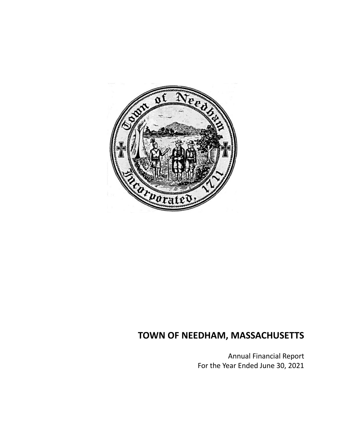

Annual Financial Report For the Year Ended June 30, 2021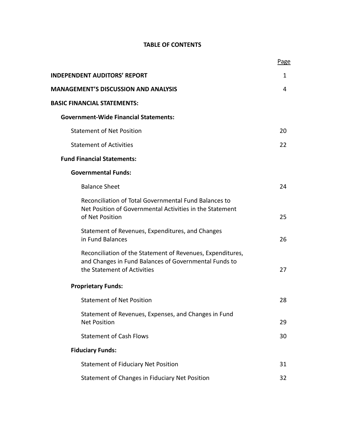# **TABLE OF CONTENTS**

|                                                                                                                                                    | Page |
|----------------------------------------------------------------------------------------------------------------------------------------------------|------|
| <b>INDEPENDENT AUDITORS' REPORT</b>                                                                                                                | 1    |
| <b>MANAGEMENT'S DISCUSSION AND ANALYSIS</b>                                                                                                        | 4    |
| <b>BASIC FINANCIAL STATEMENTS:</b>                                                                                                                 |      |
| <b>Government-Wide Financial Statements:</b>                                                                                                       |      |
| <b>Statement of Net Position</b>                                                                                                                   | 20   |
| <b>Statement of Activities</b>                                                                                                                     | 22   |
| <b>Fund Financial Statements:</b>                                                                                                                  |      |
| <b>Governmental Funds:</b>                                                                                                                         |      |
| <b>Balance Sheet</b>                                                                                                                               | 24   |
| Reconciliation of Total Governmental Fund Balances to<br>Net Position of Governmental Activities in the Statement<br>of Net Position               | 25   |
| Statement of Revenues, Expenditures, and Changes<br>in Fund Balances                                                                               | 26   |
| Reconciliation of the Statement of Revenues, Expenditures,<br>and Changes in Fund Balances of Governmental Funds to<br>the Statement of Activities | 27   |
| <b>Proprietary Funds:</b>                                                                                                                          |      |
| <b>Statement of Net Position</b>                                                                                                                   | 28   |
| Statement of Revenues, Expenses, and Changes in Fund<br><b>Net Position</b>                                                                        | 29   |
| <b>Statement of Cash Flows</b>                                                                                                                     | 30   |
| <b>Fiduciary Funds:</b>                                                                                                                            |      |
| <b>Statement of Fiduciary Net Position</b>                                                                                                         | 31   |
| Statement of Changes in Fiduciary Net Position                                                                                                     | 32   |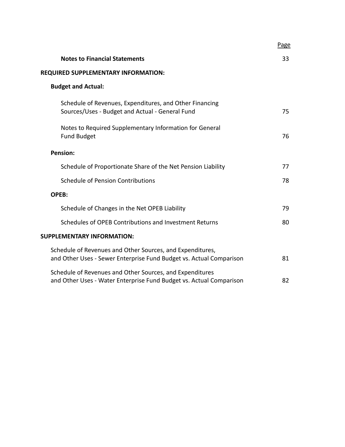|                                                                                                                                  | Page |
|----------------------------------------------------------------------------------------------------------------------------------|------|
| <b>Notes to Financial Statements</b>                                                                                             | 33   |
| <b>REQUIRED SUPPLEMENTARY INFORMATION:</b>                                                                                       |      |
| <b>Budget and Actual:</b>                                                                                                        |      |
| Schedule of Revenues, Expenditures, and Other Financing<br>Sources/Uses - Budget and Actual - General Fund                       | 75   |
| Notes to Required Supplementary Information for General<br><b>Fund Budget</b>                                                    | 76   |
| <b>Pension:</b>                                                                                                                  |      |
| Schedule of Proportionate Share of the Net Pension Liability                                                                     | 77   |
| Schedule of Pension Contributions                                                                                                | 78   |
| OPEB:                                                                                                                            |      |
| Schedule of Changes in the Net OPEB Liability                                                                                    | 79   |
| Schedules of OPEB Contributions and Investment Returns                                                                           | 80   |
| <b>SUPPLEMENTARY INFORMATION:</b>                                                                                                |      |
| Schedule of Revenues and Other Sources, and Expenditures,<br>and Other Uses - Sewer Enterprise Fund Budget vs. Actual Comparison | 81   |
| Schedule of Revenues and Other Sources, and Expenditures<br>and Other Uses - Water Enterprise Fund Budget vs. Actual Comparison  | 82   |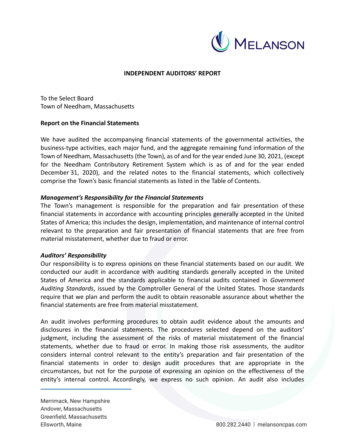

## **INDEPENDENT AUDITORS' REPORT**

To the Select Board Town of Needham, Massachusetts

### **Report on the Financial Statements**

We have audited the accompanying financial statements of the governmental activities, the business-type activities, each major fund, and the aggregate remaining fund information of the Town of Needham, Massachusetts(the Town), as of and for the year ended June 30, 2021, (except for the Needham Contributory Retirement System which is as of and for the year ended December 31, 2020), and the related notes to the financial statements, which collectively comprise the Town's basic financial statements as listed in the Table of Contents.

### *Management's Responsibility for the Financial Statements*

The Town's management is responsible for the preparation and fair presentation of these financial statements in accordance with accounting principles generally accepted in the United States of America; this includes the design, implementation, and maintenance of internal control relevant to the preparation and fair presentation of financial statements that are free from material misstatement, whether due to fraud or error.

### *Auditors' Responsibility*

Our responsibility is to express opinions on these financial statements based on our audit. We conducted our audit in accordance with auditing standards generally accepted in the United States of America and the standards applicable to financial audits contained in *Government Auditing Standards*, issued by the Comptroller General of the United States. Those standards require that we plan and perform the audit to obtain reasonable assurance about whether the financial statements are free from material misstatement.

An audit involves performing procedures to obtain audit evidence about the amounts and disclosures in the financial statements. The procedures selected depend on the auditors' judgment, including the assessment of the risks of material misstatement of the financial statements, whether due to fraud or error. In making those risk assessments, the auditor considers internal control relevant to the entity's preparation and fair presentation of the financial statements in order to design audit procedures that are appropriate in the circumstances, but not for the purpose of expressing an opinion on the effectiveness of the entity's internal control. Accordingly, we express no such opinion. An audit also includes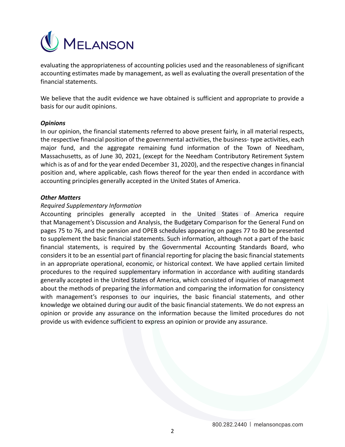

evaluating the appropriateness of accounting policies used and the reasonableness of significant accounting estimates made by management, as well as evaluating the overall presentation of the financial statements.

We believe that the audit evidence we have obtained is sufficient and appropriate to provide a basis for our audit opinions.

## *Opinions*

In our opinion, the financial statements referred to above present fairly, in all material respects, the respective financial position of the governmental activities, the business- type activities, each major fund, and the aggregate remaining fund information of the Town of Needham, Massachusetts, as of June 30, 2021, (except for the Needham Contributory Retirement System which is as of and for the year ended December 31, 2020), and the respective changes in financial position and, where applicable, cash flows thereof for the year then ended in accordance with accounting principles generally accepted in the United States of America.

## *Other Matters*

## *Required Supplementary Information*

Accounting principles generally accepted in the United States of America require that Management's Discussion and Analysis, the Budgetary Comparison for the General Fund on pages [75](#page-77-0) to [76,](#page-78-0) and the pension and OPEB schedules appearing on pages [77](#page-79-0) to [80](#page-82-0) be presented to supplement the basic financial statements. Such information, although not a part of the basic financial statements, is required by the Governmental Accounting Standards Board, who considers it to be an essential part of financial reporting for placing the basic financial statements in an appropriate operational, economic, or historical context. We have applied certain limited procedures to the required supplementary information in accordance with auditing standards generally accepted in the United States of America, which consisted of inquiries of management about the methods of preparing the information and comparing the information for consistency with management's responses to our inquiries, the basic financial statements, and other knowledge we obtained during our audit of the basic financial statements. We do not express an opinion or provide any assurance on the information because the limited procedures do not provide us with evidence sufficient to express an opinion or provide any assurance.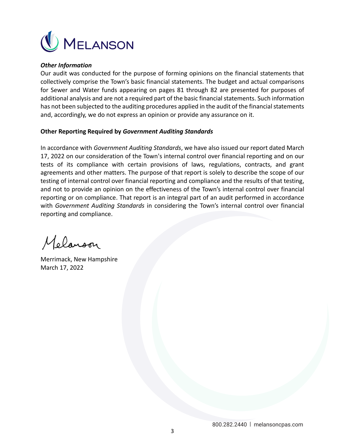

## *Other Information*

Our audit was conducted for the purpose of forming opinions on the financial statements that collectively comprise the Town's basic financial statements. The budget and actual comparisons for Sewer and Water funds appearing on pages [81](#page-83-0) through [82](#page-84-0) are presented for purposes of additional analysis and are not a required part of the basic financial statements. Such information has not been subjected to the auditing procedures applied in the audit of the financial statements and, accordingly, we do not express an opinion or provide any assurance on it.

## **Other Reporting Required by** *Government Auditing Standards*

In accordance with *Government Auditing Standards*, we have also issued our report dated March 17, 2022 on our consideration of the Town's internal control over financial reporting and on our tests of its compliance with certain provisions of laws, regulations, contracts, and grant agreements and other matters. The purpose of that report is solely to describe the scope of our testing of internal control over financial reporting and compliance and the results of that testing, and not to provide an opinion on the effectiveness of the Town's internal control over financial reporting or on compliance. That report is an integral part of an audit performed in accordance with *Government Auditing Standards* in considering the Town's internal control over financial reporting and compliance.

Melanoon

Merrimack, New Hampshire March 17, 2022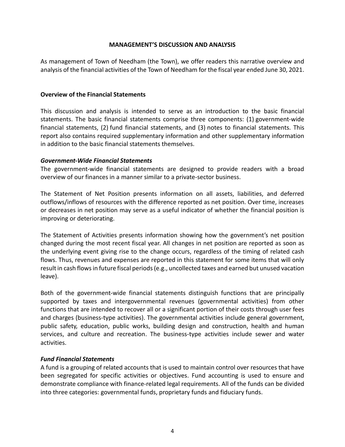# **MANAGEMENT'S DISCUSSION AND ANALYSIS**

<span id="page-6-0"></span>As management of Town of Needham (the Town), we offer readers this narrative overview and analysis of the financial activities of the Town of Needham for the fiscal year ended June 30, 2021.

### **Overview of the Financial Statements**

This discussion and analysis is intended to serve as an introduction to the basic financial statements. The basic financial statements comprise three components: (1) government-wide financial statements, (2) fund financial statements, and (3) notes to financial statements. This report also contains required supplementary information and other supplementary information in addition to the basic financial statements themselves.

## *Government-Wide Financial Statements*

The government-wide financial statements are designed to provide readers with a broad overview of our finances in a manner similar to a private-sector business.

The Statement of Net Position presents information on all assets, liabilities, and deferred outflows/inflows of resources with the difference reported as net position. Over time, increases or decreases in net position may serve as a useful indicator of whether the financial position is improving or deteriorating.

The Statement of Activities presents information showing how the government's net position changed during the most recent fiscal year. All changes in net position are reported as soon as the underlying event giving rise to the change occurs, regardless of the timing of related cash flows. Thus, revenues and expenses are reported in this statement for some items that will only result in cash flows in future fiscal periods (e.g., uncollected taxes and earned but unused vacation leave).

Both of the government-wide financial statements distinguish functions that are principally supported by taxes and intergovernmental revenues (governmental activities) from other functions that are intended to recover all or a significant portion of their costs through user fees and charges (business-type activities). The governmental activities include general government, public safety, education, public works, building design and construction, health and human services, and culture and recreation. The business-type activities include sewer and water activities.

# *Fund Financial Statements*

A fund is a grouping of related accounts that is used to maintain control over resources that have been segregated for specific activities or objectives. Fund accounting is used to ensure and demonstrate compliance with finance-related legal requirements. All of the funds can be divided into three categories: governmental funds, proprietary funds and fiduciary funds.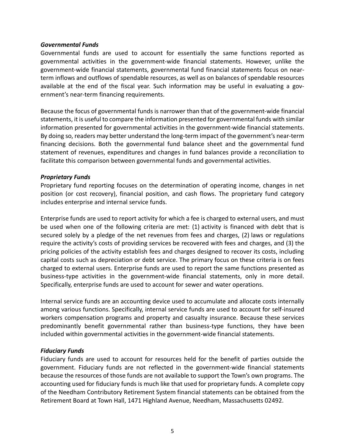### *Governmental Funds*

Governmental funds are used to account for essentially the same functions reported as governmental activities in the government-wide financial statements. However, unlike the government-wide financial statements, governmental fund financial statements focus on nearterm inflows and outflows of spendable resources, as well as on balances of spendable resources available at the end of the fiscal year. Such information may be useful in evaluating a government's near-term financing requirements.

Because the focus of governmental funds is narrower than that of the government-wide financial statements, it is useful to compare the information presented for governmental funds with similar information presented for governmental activities in the government-wide financial statements. By doing so, readers may better understand the long-term impact of the government's near-term financing decisions. Both the governmental fund balance sheet and the governmental fund statement of revenues, expenditures and changes in fund balances provide a reconciliation to facilitate this comparison between governmental funds and governmental activities.

# *Proprietary Funds*

Proprietary fund reporting focuses on the determination of operating income, changes in net position (or cost recovery), financial position, and cash flows. The proprietary fund category includes enterprise and internal service funds.

Enterprise funds are used to report activity for which a fee is charged to external users, and must be used when one of the following criteria are met: (1) activity is financed with debt that is secured solely by a pledge of the net revenues from fees and charges, (2) laws or regulations require the activity's costs of providing services be recovered with fees and charges, and (3) the pricing policies of the activity establish fees and charges designed to recover its costs, including capital costs such as depreciation or debt service. The primary focus on these criteria is on fees charged to external users. Enterprise funds are used to report the same functions presented as business-type activities in the government-wide financial statements, only in more detail. Specifically, enterprise funds are used to account for sewer and water operations.

Internal service funds are an accounting device used to accumulate and allocate costs internally among various functions. Specifically, internal service funds are used to account for self-insured workers compensation programs and property and casualty insurance. Because these services predominantly benefit governmental rather than business-type functions, they have been included within governmental activities in the government-wide financial statements.

# *Fiduciary Funds*

Fiduciary funds are used to account for resources held for the benefit of parties outside the government. Fiduciary funds are not reflected in the government-wide financial statements because the resources of those funds are not available to support the Town's own programs. The accounting used for fiduciary funds is much like that used for proprietary funds. A complete copy of the Needham Contributory Retirement System financial statements can be obtained from the Retirement Board at Town Hall, 1471 Highland Avenue, Needham, Massachusetts 02492.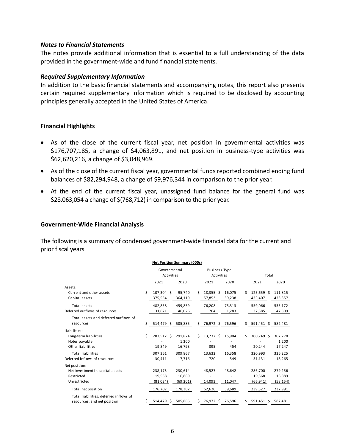### *Notes to Financial Statements*

The notes provide additional information that is essential to a full understanding of the data provided in the government-wide and fund financial statements.

# *Required Supplementary Information*

In addition to the basic financial statements and accompanying notes, this report also presents certain required supplementary information which is required to be disclosed by accounting principles generally accepted in the United States of America.

## **Financial Highlights**

- As of the close of the current fiscal year, net position in governmental activities was \$176,707,185, a change of \$4,063,891, and net position in business-type activities was \$62,620,216, a change of \$3,048,969.
- As of the close of the current fiscal year, governmental funds reported combined ending fund balances of \$82,294,948, a change of \$9,976,344 in comparison to the prior year.
- At the end of the current fiscal year, unassigned fund balance for the general fund was \$28,063,054 a change of \$(768,712) in comparison to the prior year.

### **Government-Wide Financial Analysis**

The following is a summary of condensed government-wide financial data for the current and prior fiscal years.

| <b>Net Position Summary (000s)</b>     |                               |                    |           |    |                  |        |    |                       |           |  |
|----------------------------------------|-------------------------------|--------------------|-----------|----|------------------|--------|----|-----------------------|-----------|--|
|                                        | Governmental<br>Business-Type |                    |           |    |                  |        |    |                       |           |  |
|                                        |                               | Activities         |           |    | Activities       |        |    | Total                 |           |  |
|                                        |                               | 2021               | 2020      |    | 2021             | 2020   |    | 2021                  | 2020      |  |
| Assets:                                |                               |                    |           |    |                  |        |    |                       |           |  |
| Current and other assets               | Ś.                            | 107.304 \$         | 95,740    | Ś. | $18,355$ \$      | 16,075 | S. | $125,659$ \$          | 111,815   |  |
| Capital assets                         |                               | 375,554            | 364,119   |    | 57,853           | 59,238 |    | 433,407               | 423,357   |  |
| Total assets                           |                               | 482,858            | 459,859   |    | 76,208           | 75,313 |    | 559,066               | 535,172   |  |
| Deferred outflows of resources         |                               | 31,621             | 46,026    |    | 764              | 1,283  |    | 32,385                | 47,309    |  |
| Total assets and deferred outflows of  |                               |                    |           |    |                  |        |    |                       |           |  |
| resources                              | Ś                             | 514,479 \$ 505,885 |           |    | \$76,972\$70,596 |        |    | $$591,451$ $$582,481$ |           |  |
| Liabilities:                           |                               |                    |           |    |                  |        |    |                       |           |  |
| Long-term liabilities                  | Ś                             | 287,512 \$         | 291,874   | S  | $13,237$ \$      | 15,904 | S. | 300,749 \$            | 307,778   |  |
| Notes payable                          |                               |                    | 1,200     |    |                  |        |    |                       | 1,200     |  |
| Other liabilities                      |                               | 19,849             | 16,793    |    | 395              | 454    |    | 20,244                | 17,247    |  |
| <b>Total liabilities</b>               |                               | 307,361            | 309,867   |    | 13,632           | 16,358 |    | 320,993               | 326,225   |  |
| Deferred inflows of resources          |                               | 30,411             | 17,716    |    | 720              | 549    |    | 31,131                | 18,265    |  |
| Net position:                          |                               |                    |           |    |                  |        |    |                       |           |  |
| Net investment in capital assets       |                               | 238,173            | 230,614   |    | 48,527           | 48,642 |    | 286,700               | 279,256   |  |
| Restricted                             |                               | 19,568             | 16,889    |    |                  |        |    | 19,568                | 16,889    |  |
| Unrestricted                           |                               | (81,034)           | (69, 201) |    | 14,093           | 11,047 |    | (66, 941)             | (58, 154) |  |
| Total net position                     |                               | 176,707            | 178,302   |    | 62,620           | 59,689 |    | 239,327               | 237,991   |  |
| Total liabilities, deferred inflows of |                               |                    |           |    |                  |        |    |                       |           |  |
| resources, and net position            | Ś                             | 514,479 \$         | 505,885   | \$ | 76,972 \$        | 76,596 | \$ | $591,451$ \$          | 582,481   |  |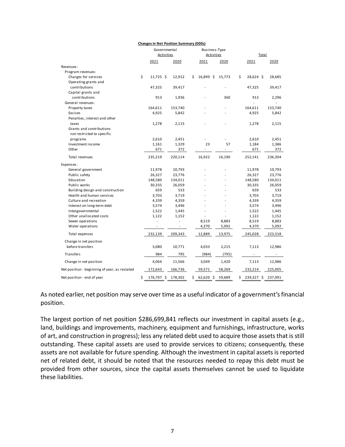| Governmental<br>Business-Type<br><b>Activities</b><br><b>Activities</b><br>Total<br>2021<br>2021<br>2020<br>2021<br>2020<br>2020<br>Revenues:<br>Program revenues:<br>$\boldsymbol{\mathsf{S}}$<br>\$<br>$11,725$ \$<br>12,912<br>\$<br>16,899 \$<br>15,773<br>28,624 \$<br>28,685<br>Charges for services<br>Operating grants and<br>47,325<br>39,417<br>47,325<br>39,417<br>contributions<br>Capital grants and |
|-------------------------------------------------------------------------------------------------------------------------------------------------------------------------------------------------------------------------------------------------------------------------------------------------------------------------------------------------------------------------------------------------------------------|
|                                                                                                                                                                                                                                                                                                                                                                                                                   |
|                                                                                                                                                                                                                                                                                                                                                                                                                   |
|                                                                                                                                                                                                                                                                                                                                                                                                                   |
|                                                                                                                                                                                                                                                                                                                                                                                                                   |
|                                                                                                                                                                                                                                                                                                                                                                                                                   |
|                                                                                                                                                                                                                                                                                                                                                                                                                   |
|                                                                                                                                                                                                                                                                                                                                                                                                                   |
|                                                                                                                                                                                                                                                                                                                                                                                                                   |
|                                                                                                                                                                                                                                                                                                                                                                                                                   |
| contributions<br>913<br>1,936<br>360<br>913<br>2,296                                                                                                                                                                                                                                                                                                                                                              |
| General revenues:                                                                                                                                                                                                                                                                                                                                                                                                 |
| 164,611<br>164,611<br>153,740<br>153,740<br>Property taxes                                                                                                                                                                                                                                                                                                                                                        |
| 4,925<br>5,842<br>Excises<br>4,925<br>5,842                                                                                                                                                                                                                                                                                                                                                                       |
| Penalties, interest and other                                                                                                                                                                                                                                                                                                                                                                                     |
| 1,278<br>2,115<br>1,278<br>2,115<br>taxes                                                                                                                                                                                                                                                                                                                                                                         |
| Grants and contributions                                                                                                                                                                                                                                                                                                                                                                                          |
| not restricted to specific                                                                                                                                                                                                                                                                                                                                                                                        |
| 2,610<br>2,451<br>2,610<br>2,451<br>programs                                                                                                                                                                                                                                                                                                                                                                      |
| 57<br>Investment income<br>1,161<br>1,329<br>23<br>1,184<br>1,386                                                                                                                                                                                                                                                                                                                                                 |
| 372<br>Other<br>671<br>$\overline{a}$<br>671<br>372                                                                                                                                                                                                                                                                                                                                                               |
| 235,219<br>16,922<br>16,190<br>Total revenues<br>220,114<br>252,141<br>236,304                                                                                                                                                                                                                                                                                                                                    |
| Expenses:                                                                                                                                                                                                                                                                                                                                                                                                         |
| 11,978<br>General government<br>10,793<br>11,978<br>10,793                                                                                                                                                                                                                                                                                                                                                        |
| Public safety<br>26,327<br>23,776<br>26,327<br>23,776                                                                                                                                                                                                                                                                                                                                                             |
| 148,580<br>Education<br>148,580<br>134,011<br>134,011                                                                                                                                                                                                                                                                                                                                                             |
| Public works<br>26,059<br>30,335<br>26,059<br>30,335                                                                                                                                                                                                                                                                                                                                                              |
| 533<br>Building design and construction<br>659<br>659<br>533<br>$\overline{a}$                                                                                                                                                                                                                                                                                                                                    |
| Health and human services<br>3,703<br>3,719<br>3,703<br>3,719                                                                                                                                                                                                                                                                                                                                                     |
| Culture and recreation<br>4,339<br>4,359<br>4,339<br>4,359                                                                                                                                                                                                                                                                                                                                                        |
| Interest on long-term debt<br>3,574<br>3,496<br>3,574<br>3,496                                                                                                                                                                                                                                                                                                                                                    |
| Intergovernmental<br>1,522<br>1,522<br>1,445<br>1,445                                                                                                                                                                                                                                                                                                                                                             |
| Other unallocated costs<br>1,122<br>1,122<br>1,152<br>1,152                                                                                                                                                                                                                                                                                                                                                       |
| 8,519<br>Sewer operations<br>÷.<br>L.<br>8,883<br>8,519<br>8,883                                                                                                                                                                                                                                                                                                                                                  |
| Water operations<br>4,370<br>5,092<br>4,370<br>5,092<br>$\qquad \qquad \blacksquare$                                                                                                                                                                                                                                                                                                                              |
| 232,139<br>209,343<br>12,889<br>13,975<br>245,028<br>223,318<br>Total expenses                                                                                                                                                                                                                                                                                                                                    |
| Change in net position                                                                                                                                                                                                                                                                                                                                                                                            |
| before transfers<br>3,080<br>10,771<br>4,033<br>2,215<br>7,113<br>12,986                                                                                                                                                                                                                                                                                                                                          |
| Transfers<br>984<br>795<br>(984)<br>(795)                                                                                                                                                                                                                                                                                                                                                                         |
| 4,064<br>3,049<br>1,420<br>Change in net position<br>11,566<br>7,113<br>12,986                                                                                                                                                                                                                                                                                                                                    |
| Net position - beginning of year, as restated<br>172,643<br>166,736<br>59,571<br>58,269<br>232,214<br>225,005                                                                                                                                                                                                                                                                                                     |
| \$<br>176,707 \$<br>178,302<br>\$<br>62,620 \$<br>59,689<br>\$<br>239,327 \$<br>237,991<br>Net position - end of year                                                                                                                                                                                                                                                                                             |

As noted earlier, net position may serve over time as a useful indicator of a government's financial position.

The largest portion of net position \$286,699,841 reflects our investment in capital assets (e.g., land, buildings and improvements, machinery, equipment and furnishings, infrastructure, works of art, and construction in progress); less any related debt used to acquire those assets that is still outstanding. These capital assets are used to provide services to citizens; consequently, these assets are not available for future spending. Although the investment in capital assets is reported net of related debt, it should be noted that the resources needed to repay this debt must be provided from other sources, since the capital assets themselves cannot be used to liquidate these liabilities.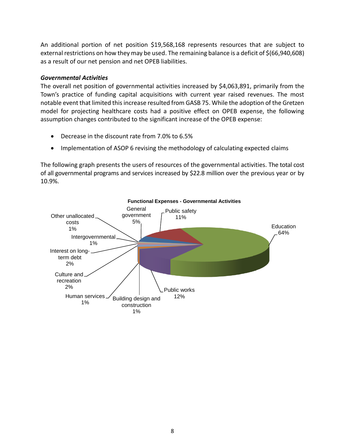An additional portion of net position \$19,568,168 represents resources that are subject to external restrictions on how they may be used. The remaining balance is a deficit of \$(66,940,608) as a result of our net pension and net OPEB liabilities.

# *Governmental Activities*

The overall net position of governmental activities increased by \$4,063,891, primarily from the Town's practice of funding capital acquisitions with current year raised revenues. The most notable event that limited this increase resulted from GASB 75. While the adoption of the Gretzen model for projecting healthcare costs had a positive effect on OPEB expense, the following assumption changes contributed to the significant increase of the OPEB expense:

- Decrease in the discount rate from 7.0% to 6.5%
- Implementation of ASOP 6 revising the methodology of calculating expected claims

The following graph presents the users of resources of the governmental activities. The total cost of all governmental programs and services increased by \$22.8 million over the previous year or by 10.9%.

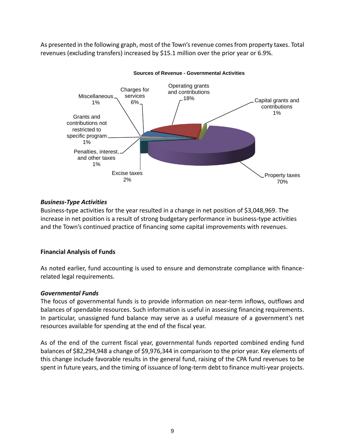As presented in the following graph, most of the Town's revenue comes from property taxes. Total revenues (excluding transfers) increased by \$15.1 million over the prior year or 6.9%.



### **Sources of Revenue - Governmental Activities**

# *Business-Type Activities*

Business-type activities for the year resulted in a change in net position of \$3,048,969. The increase in net position is a result of strong budgetary performance in business-type activities and the Town's continued practice of financing some capital improvements with revenues.

# **Financial Analysis of Funds**

As noted earlier, fund accounting is used to ensure and demonstrate compliance with financerelated legal requirements.

### *Governmental Funds*

The focus of governmental funds is to provide information on near-term inflows, outflows and balances of spendable resources. Such information is useful in assessing financing requirements. In particular, unassigned fund balance may serve as a useful measure of a government's net resources available for spending at the end of the fiscal year.

As of the end of the current fiscal year, governmental funds reported combined ending fund balances of \$82,294,948 a change of \$9,976,344 in comparison to the prior year. Key elements of this change include favorable results in the general fund, raising of the CPA fund revenues to be spent in future years, and the timing of issuance of long-term debt to finance multi-year projects.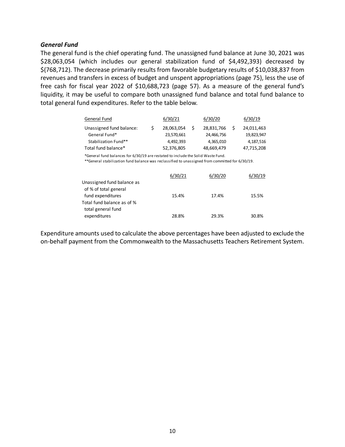## *General Fund*

The general fund is the chief operating fund. The unassigned fund balance at June 30, 2021 was \$28,063,054 (which includes our general stabilization fund of \$4,492,393) decreased by \$(768,712). The decrease primarily results from favorable budgetary results of \$10,038,837 from revenues and transfers in excess of budget and unspent appropriations (page [75\)](#page-77-0), less the use of free cash for fiscal year 2022 of \$10,688,723 (page [57\)](#page-59-0). As a measure of the general fund's liquidity, it may be useful to compare both unassigned fund balance and total fund balance to total general fund expenditures. Refer to the table below.

| 6/30/21    |    | 6/30/20    | 6/30/19    |
|------------|----|------------|------------|
| 28,063,054 | -S | 28,831,766 | 24,011,463 |
| 23,570,661 |    | 24,466,756 | 19.823.947 |
| 4.492.393  |    | 4,365,010  | 4,187,516  |
| 52,376,805 |    | 48,669,479 | 47,715,208 |
|            |    |            |            |

\*General fund balances for 6/30/19 are restated to include the Solid Waste Fund.

\*\*General stabilization fund balance was reclassified to unassigned from committed for 6/30/19.

|                            | 6/30/21 | 6/30/20 | 6/30/19 |
|----------------------------|---------|---------|---------|
| Unassigned fund balance as |         |         |         |
| of % of total general      |         |         |         |
| fund expenditures          | 15.4%   | 17.4%   | 15.5%   |
| Total fund balance as of % |         |         |         |
| total general fund         |         |         |         |
| expenditures               | 28.8%   | 29.3%   | 30.8%   |
|                            |         |         |         |

Expenditure amounts used to calculate the above percentages have been adjusted to exclude the on-behalf payment from the Commonwealth to the Massachusetts Teachers Retirement System.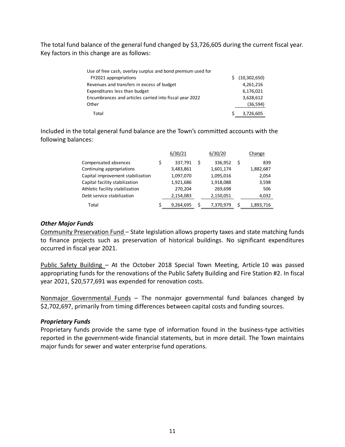The total fund balance of the general fund changed by \$3,726,605 during the current fiscal year. Key factors in this change are as follows:

| Use of free cash, overlay surplus and bond premium used for |    |                |
|-------------------------------------------------------------|----|----------------|
| FY2021 appropriations                                       | S. | (10, 302, 650) |
| Revenues and transfers in excess of budget                  |    | 4,261,216      |
| Expenditures less than budget                               |    | 6,176,021      |
| Encumbrances and articles carried into fiscal year 2022     |    | 3,628,612      |
| Other                                                       |    | (36,594)       |
| Total                                                       |    | 3,726,605      |

Included in the total general fund balance are the Town's committed accounts with the following balances:

|                                   | 6/30/21         |    | 6/30/20   |    | Change    |
|-----------------------------------|-----------------|----|-----------|----|-----------|
| Compensated absences              | \$<br>337,791   | \$ | 336,952   | \$ | 839       |
| Continuing appropriations         | 3,483,861       |    | 1,601,174 |    | 1,882,687 |
| Capital improvement stabilization | 1,097,070       |    | 1,095,016 |    | 2,054     |
| Capital facility stabilization    | 1,921,686       |    | 1,918,088 |    | 3,598     |
| Athletic facility stabilization   | 270,204         |    | 269,698   |    | 506       |
| Debt service stabilization        | 2,154,083       |    | 2,150,051 |    | 4,032     |
| Total                             | \$<br>9,264,695 | Ś  | 7,370,979 | ς  | 1,893,716 |

### *Other Major Funds*

Community Preservation Fund – State legislation allows property taxes and state matching funds to finance projects such as preservation of historical buildings. No significant expenditures occurred in fiscal year 2021.

Public Safety Building – At the October 2018 Special Town Meeting, Article 10 was passed appropriating funds for the renovations of the Public Safety Building and Fire Station #2. In fiscal year 2021, \$20,577,691 was expended for renovation costs.

Nonmajor Governmental Funds - The nonmajor governmental fund balances changed by \$2,702,697, primarily from timing differences between capital costs and funding sources.

### *Proprietary Funds*

Proprietary funds provide the same type of information found in the business-type activities reported in the government-wide financial statements, but in more detail. The Town maintains major funds for sewer and water enterprise fund operations.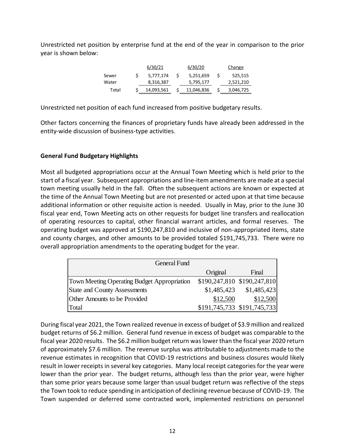Unrestricted net position by enterprise fund at the end of the year in comparison to the prior year is shown below:

|       | 6/30/21    | 6/30/20    | Change    |
|-------|------------|------------|-----------|
| Sewer | 5,777,174  | 5,251,659  | 525,515   |
| Water | 8,316,387  | 5,795,177  | 2,521,210 |
| Total | 14,093,561 | 11,046,836 | 3,046,725 |

Unrestricted net position of each fund increased from positive budgetary results.

Other factors concerning the finances of proprietary funds have already been addressed in the entity-wide discussion of business-type activities.

# **General Fund Budgetary Highlights**

Most all budgeted appropriations occur at the Annual Town Meeting which is held prior to the start of a fiscal year. Subsequent appropriations and line-item amendments are made at a special town meeting usually held in the fall. Often the subsequent actions are known or expected at the time of the Annual Town Meeting but are not presented or acted upon at that time because additional information or other requisite action is needed. Usually in May, prior to the June 30 fiscal year end, Town Meeting acts on other requests for budget line transfers and reallocation of operating resources to capital, other financial warrant articles, and formal reserves. The operating budget was approved at \$190,247,810 and inclusive of non-appropriated items, state and county charges, and other amounts to be provided totaled \$191,745,733. There were no overall appropriation amendments to the operating budget for the year.

| <b>General Fund</b>                         |             |                             |
|---------------------------------------------|-------------|-----------------------------|
|                                             | Original    | Final                       |
| Town Meeting Operating Budget Appropriation |             | \$190,247,810 \$190,247,810 |
| <b>State and County Assessments</b>         | \$1,485,423 | \$1,485,423                 |
| Other Amounts to be Provided                | \$12,500    | \$12,500                    |
| Total                                       |             | \$191,745,733 \$191,745,733 |

During fiscal year 2021, the Town realized revenue in excess of budget of \$3.9 million and realized budget returns of \$6.2 million. General fund revenue in excess of budget was comparable to the fiscal year 2020 results. The \$6.2 million budget return was lower than the fiscal year 2020 return of approximately \$7.6 million. The revenue surplus was attributable to adjustments made to the revenue estimates in recognition that COVID-19 restrictions and business closures would likely result in lower receipts in several key categories. Many local receipt categories for the year were lower than the prior year. The budget returns, although less than the prior year, were higher than some prior years because some larger than usual budget return was reflective of the steps the Town took to reduce spending in anticipation of declining revenue because of COVID-19. The Town suspended or deferred some contracted work, implemented restrictions on personnel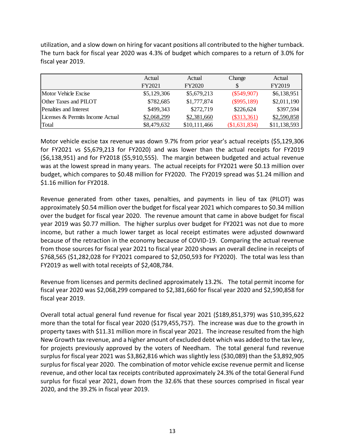utilization, and a slow down on hiring for vacant positions all contributed to the higher turnback. The turn back for fiscal year 2020 was 4.3% of budget which compares to a return of 3.0% for fiscal year 2019.

|                                  | Actual      | Actual        | Change        | Actual       |
|----------------------------------|-------------|---------------|---------------|--------------|
|                                  | FY2021      | <b>FY2020</b> | S             | FY2019       |
| Motor Vehicle Excise             | \$5,129,306 | \$5,679,213   | $(\$549,907)$ | \$6,138,951  |
| Other Taxes and PILOT            | \$782,685   | \$1,777,874   | $(\$995,189)$ | \$2,011,190  |
| Penalties and Interest           | \$499,343   | \$272,719     | \$226,624     | \$397,594    |
| Licenses & Permits Income Actual | \$2,068,299 | \$2,381,660   | $(\$313,361)$ | \$2,590,858  |
| Total                            | \$8,479,632 | \$10,111,466  | (\$1,631,834) | \$11,138,593 |

Motor vehicle excise tax revenue was down 9.7% from prior year's actual receipts (\$5,129,306 for FY2021 vs \$5,679,213 for FY2020) and was lower than the actual receipts for FY2019 (\$6,138,951) and for FY2018 (\$5,910,555). The margin between budgeted and actual revenue was at the lowest spread in many years. The actual receipts for FY2021 were \$0.13 million over budget, which compares to \$0.48 million for FY2020. The FY2019 spread was \$1.24 million and \$1.16 million for FY2018.

Revenue generated from other taxes, penalties, and payments in lieu of tax (PILOT) was approximately \$0.54 million over the budget for fiscal year 2021 which compares to \$0.34 million over the budget for fiscal year 2020. The revenue amount that came in above budget for fiscal year 2019 was \$0.77 million. The higher surplus over budget for FY2021 was not due to more income, but rather a much lower target as local receipt estimates were adjusted downward because of the retraction in the economy because of COVID-19. Comparing the actual revenue from those sources for fiscal year 2021 to fiscal year 2020 shows an overall decline in receipts of \$768,565 (\$1,282,028 for FY2021 compared to \$2,050,593 for FY2020). The total was less than FY2019 as well with total receipts of \$2,408,784.

Revenue from licenses and permits declined approximately 13.2%. The total permit income for fiscal year 2020 was \$2,068,299 compared to \$2,381,660 for fiscal year 2020 and \$2,590,858 for fiscal year 2019.

Overall total actual general fund revenue for fiscal year 2021 (\$189,851,379) was \$10,395,622 more than the total for fiscal year 2020 (\$179,455,757). The increase was due to the growth in property taxes with \$11.31 million more in fiscal year 2021. The increase resulted from the high New Growth tax revenue, and a higher amount of excluded debt which was added to the tax levy, for projects previously approved by the voters of Needham. The total general fund revenue surplus for fiscal year 2021 was \$3,862,816 which was slightly less (\$30,089) than the \$3,892,905 surplus for fiscal year 2020. The combination of motor vehicle excise revenue permit and license revenue, and other local tax receipts contributed approximately 24.3% of the total General Fund surplus for fiscal year 2021, down from the 32.6% that these sources comprised in fiscal year 2020, and the 39.2% in fiscal year 2019.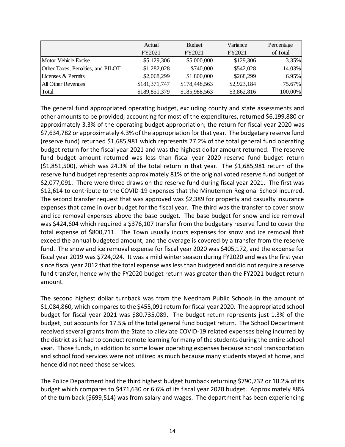|                                   | Actual        | <b>Budget</b> | Variance    | Percentage |
|-----------------------------------|---------------|---------------|-------------|------------|
|                                   | FY2021        | FY2021        | FY2021      | of Total   |
| Motor Vehicle Excise              | \$5,129,306   | \$5,000,000   | \$129,306   | 3.35%      |
| Other Taxes, Penalties, and PILOT | \$1,282,028   | \$740,000     | \$542,028   | 14.03%     |
| Licenses & Permits                | \$2,068,299   | \$1,800,000   | \$268,299   | 6.95%      |
| All Other Revenues                | \$181,371,747 | \$178,448,563 | \$2,923,184 | 75.67%     |
| Total                             | \$189,851,379 | \$185,988,563 | \$3,862,816 | 100.00%    |

The general fund appropriated operating budget, excluding county and state assessments and other amounts to be provided, accounting for most of the expenditures, returned \$6,199,880 or approximately 3.3% of the operating budget appropriation; the return for fiscal year 2020 was \$7,634,782 or approximately 4.3% of the appropriation for that year. The budgetary reserve fund (reserve fund) returned \$1,685,981 which represents 27.2% of the total general fund operating budget return for the fiscal year 2021 and was the highest dollar amount returned. The reserve fund budget amount returned was less than fiscal year 2020 reserve fund budget return (\$1,851,500), which was 24.3% of the total return in that year. The \$1,685,981 return of the reserve fund budget represents approximately 81% of the original voted reserve fund budget of \$2,077,091. There were three draws on the reserve fund during fiscal year 2021. The first was \$12,614 to contribute to the COVID-19 expenses that the Minutemen Regional School incurred. The second transfer request that was approved was \$2,389 for property and casualty insurance expenses that came in over budget for the fiscal year. The third was the transfer to cover snow and ice removal expenses above the base budget. The base budget for snow and ice removal was \$424,604 which required a \$376,107 transfer from the budgetary reserve fund to cover the total expense of \$800,711. The Town usually incurs expenses for snow and ice removal that exceed the annual budgeted amount, and the overage is covered by a transfer from the reserve fund. The snow and ice removal expense for fiscal year 2020 was \$405,172, and the expense for fiscal year 2019 was \$724,024. It was a mild winter season during FY2020 and was the first year since fiscal year 2012 that the total expense was less than budgeted and did not require a reserve fund transfer, hence why the FY2020 budget return was greater than the FY2021 budget return amount.

The second highest dollar turnback was from the Needham Public Schools in the amount of \$1,084,860, which compares to the \$455,091 return for fiscal year 2020. The appropriated school budget for fiscal year 2021 was \$80,735,089. The budget return represents just 1.3% of the budget, but accounts for 17.5% of the total general fund budget return. The School Department received several grants from the State to alleviate COVID-19 related expenses being incurred by the district as it had to conduct remote learning for many of the students during the entire school year. Those funds, in addition to some lower operating expenses because school transportation and school food services were not utilized as much because many students stayed at home, and hence did not need those services.

The Police Department had the third highest budget turnback returning \$790,732 or 10.2% of its budget which compares to \$471,630 or 6.6% of its fiscal year 2020 budget. Approximately 88% of the turn back (\$699,514) was from salary and wages. The department has been experiencing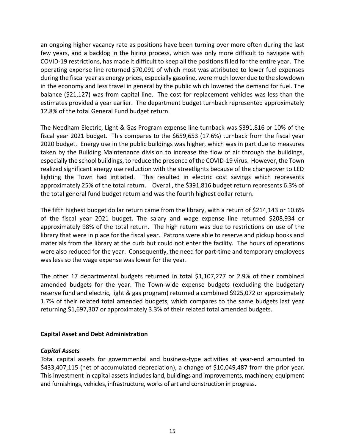an ongoing higher vacancy rate as positions have been turning over more often during the last few years, and a backlog in the hiring process, which was only more difficult to navigate with COVID-19 restrictions, has made it difficult to keep all the positions filled for the entire year. The operating expense line returned \$70,091 of which most was attributed to lower fuel expenses during the fiscal year as energy prices, especially gasoline, were much lower due to the slowdown in the economy and less travel in general by the public which lowered the demand for fuel. The balance (\$21,127) was from capital line. The cost for replacement vehicles was less than the estimates provided a year earlier. The department budget turnback represented approximately 12.8% of the total General Fund budget return.

The Needham Electric, Light & Gas Program expense line turnback was \$391,816 or 10% of the fiscal year 2021 budget. This compares to the \$659,653 (17.6%) turnback from the fiscal year 2020 budget. Energy use in the public buildings was higher, which was in part due to measures taken by the Building Maintenance division to increase the flow of air through the buildings, especially the school buildings, to reduce the presence of the COVID-19 virus. However, the Town realized significant energy use reduction with the streetlights because of the changeover to LED lighting the Town had initiated. This resulted in electric cost savings which represents approximately 25% of the total return. Overall, the \$391,816 budget return represents 6.3% of the total general fund budget return and was the fourth highest dollar return.

The fifth highest budget dollar return came from the library, with a return of \$214,143 or 10.6% of the fiscal year 2021 budget. The salary and wage expense line returned \$208,934 or approximately 98% of the total return. The high return was due to restrictions on use of the library that were in place for the fiscal year. Patrons were able to reserve and pickup books and materials from the library at the curb but could not enter the facility. The hours of operations were also reduced for the year. Consequently, the need for part-time and temporary employees was less so the wage expense was lower for the year.

The other 17 departmental budgets returned in total \$1,107,277 or 2.9% of their combined amended budgets for the year. The Town-wide expense budgets (excluding the budgetary reserve fund and electric, light & gas program) returned a combined \$925,072 or approximately 1.7% of their related total amended budgets, which compares to the same budgets last year returning \$1,697,307 or approximately 3.3% of their related total amended budgets.

# **Capital Asset and Debt Administration**

# *Capital Assets*

Total capital assets for governmental and business-type activities at year-end amounted to \$433,407,115 (net of accumulated depreciation), a change of \$10,049,487 from the prior year. This investment in capital assets includes land, buildings and improvements, machinery, equipment and furnishings, vehicles, infrastructure, works of art and construction in progress.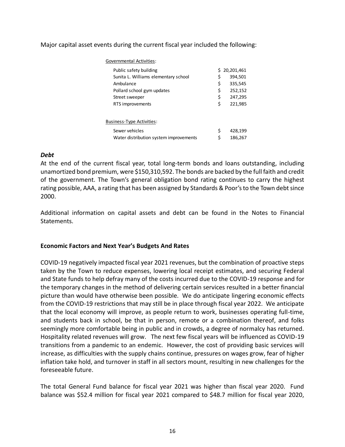# Major capital asset events during the current fiscal year included the following:

| Governmental Activities:               |               |
|----------------------------------------|---------------|
| Public safety building                 | \$20,201,461  |
| Sunita L. Williams elementary school   | \$<br>394,501 |
| Ambulance                              | \$<br>335,545 |
| Pollard school gym updates             | \$<br>252,152 |
| Street sweeper                         | \$<br>247,295 |
| RTS improvements                       | \$<br>221,985 |
|                                        |               |
| <b>Business-Type Activities:</b>       |               |
| Sewer vehicles                         | \$<br>428,199 |
| Water distribution system improvements | \$<br>186,267 |
|                                        |               |

## *Debt*

At the end of the current fiscal year, total long-term bonds and loans outstanding, including unamortized bond premium, were \$150,310,592. The bonds are backed by the full faith and credit of the government. The Town's general obligation bond rating continues to carry the highest rating possible, AAA, a rating that has been assigned by Standards & Poor's to the Town debt since 2000.

Additional information on capital assets and debt can be found in the Notes to Financial Statements.

# **Economic Factors and Next Year's Budgets And Rates**

COVID-19 negatively impacted fiscal year 2021 revenues, but the combination of proactive steps taken by the Town to reduce expenses, lowering local receipt estimates, and securing Federal and State funds to help defray many of the costs incurred due to the COVID-19 response and for the temporary changes in the method of delivering certain services resulted in a better financial picture than would have otherwise been possible. We do anticipate lingering economic effects from the COVID-19 restrictions that may still be in place through fiscal year 2022. We anticipate that the local economy will improve, as people return to work, businesses operating full-time, and students back in school, be that in person, remote or a combination thereof, and folks seemingly more comfortable being in public and in crowds, a degree of normalcy has returned. Hospitality related revenues will grow. The next few fiscal years will be influenced as COVID-19 transitions from a pandemic to an endemic. However, the cost of providing basic services will increase, as difficulties with the supply chains continue, pressures on wages grow, fear of higher inflation take hold, and turnover in staff in all sectors mount, resulting in new challenges for the foreseeable future.

The total General Fund balance for fiscal year 2021 was higher than fiscal year 2020. Fund balance was \$52.4 million for fiscal year 2021 compared to \$48.7 million for fiscal year 2020,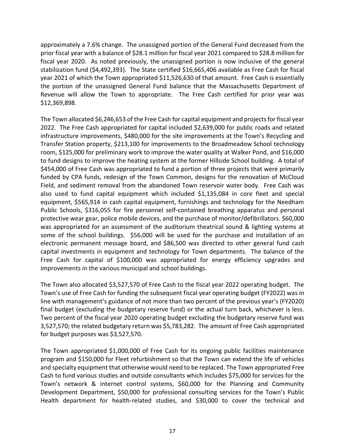approximately a 7.6% change. The unassigned portion of the General Fund decreased from the prior fiscal year with a balance of \$28.1 million for fiscal year 2021 compared to \$28.8 million for fiscal year 2020. As noted previously, the unassigned portion is now inclusive of the general stabilization fund (\$4,492,393). The State certified \$16,665,406 available as Free Cash for fiscal year 2021 of which the Town appropriated \$11,526,630 of that amount. Free Cash is essentially the portion of the unassigned General Fund balance that the Massachusetts Department of Revenue will allow the Town to appropriate. The Free Cash certified for prior year was \$12,369,898.

The Town allocated \$6,246,653 of the Free Cash for capital equipment and projects for fiscal year 2022. The Free Cash appropriated for capital included \$2,639,000 for public roads and related infrastructure improvements, \$480,000 for the site improvements at the Town's Recycling and Transfer Station property, \$213,100 for improvements to the Broadmeadow School technology room, \$125,000 for preliminary work to improve the water quality at Walker Pond, and \$16,000 to fund designs to improve the heating system at the former Hillside School building. A total of \$454,000 of Free Cash was appropriated to fund a portion of three projects that were primarily funded by CPA funds, redesign of the Town Common, designs for the renovation of McCloud Field, and sediment removal from the abandoned Town reservoir water body. Free Cash was also used to fund capital equipment which included \$1,135,084 in core fleet and special equipment, \$565,914 in cash capital equipment, furnishings and technology for the Needham Public Schools, \$316,055 for fire personnel self-contained breathing apparatus and personal protective wear gear, police mobile devices, and the purchase of monitor/defibrillators. \$60,000 was appropriated for an assessment of the auditorium theatrical sound & lighting systems at some of the school buildings. \$56,000 will be used for the purchase and installation of an electronic permanent message board, and \$86,500 was directed to other general fund cash capital investments in equipment and technology for Town departments. The balance of the Free Cash for capital of \$100,000 was appropriated for energy efficiency upgrades and improvements in the various municipal and school buildings.

The Town also allocated \$3,527,570 of Free Cash to the fiscal year 2022 operating budget. The Town's use of Free Cash for funding the subsequent fiscal year operating budget (FY2022) was in line with management's guidance of not more than two percent of the previous year's (FY2020) final budget (excluding the budgetary reserve fund) or the actual turn back, whichever is less. Two percent of the fiscal year 2020 operating budget excluding the budgetary reserve fund was 3,527,570; the related budgetary return was \$5,783,282. The amount of Free Cash appropriated for budget purposes was \$3,527,570.

The Town appropriated \$1,000,000 of Free Cash for its ongoing public facilities maintenance program and \$150,000 for Fleet refurbishment so that the Town can extend the life of vehicles and specialty equipment that otherwise would need to be replaced. The Town appropriated Free Cash to fund various studies and outside consultants which includes \$75,000 for services for the Town's network & internet control systems, \$60,000 for the Planning and Community Development Department, \$50,000 for professional consulting services for the Town's Public Health department for health-related studies, and \$30,000 to cover the technical and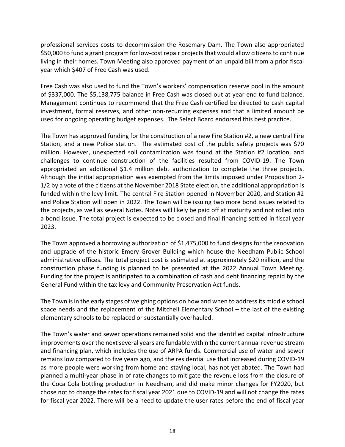professional services costs to decommission the Rosemary Dam. The Town also appropriated \$50,000 to fund a grant program for low-cost repair projects that would allow citizens to continue living in their homes. Town Meeting also approved payment of an unpaid bill from a prior fiscal year which \$407 of Free Cash was used.

Free Cash was also used to fund the Town's workers' compensation reserve pool in the amount of \$337,000. The \$5,138,775 balance in Free Cash was closed out at year end to fund balance. Management continues to recommend that the Free Cash certified be directed to cash capital investment, formal reserves, and other non-recurring expenses and that a limited amount be used for ongoing operating budget expenses. The Select Board endorsed this best practice.

The Town has approved funding for the construction of a new Fire Station #2, a new central Fire Station, and a new Police station. The estimated cost of the public safety projects was \$70 million. However, unexpected soil contamination was found at the Station #2 location, and challenges to continue construction of the facilities resulted from COVID-19. The Town appropriated an additional \$1.4 million debt authorization to complete the three projects. Although the initial appropriation was exempted from the limits imposed under Proposition 2- 1/2 by a vote of the citizens at the November 2018 State election, the additional appropriation is funded within the levy limit. The central Fire Station opened in November 2020, and Station #2 and Police Station will open in 2022. The Town will be issuing two more bond issues related to the projects, as well as several Notes. Notes will likely be paid off at maturity and not rolled into a bond issue. The total project is expected to be closed and final financing settled in fiscal year 2023.

The Town approved a borrowing authorization of \$1,475,000 to fund designs for the renovation and upgrade of the historic Emery Grover Building which house the Needham Public School administrative offices. The total project cost is estimated at approximately \$20 million, and the construction phase funding is planned to be presented at the 2022 Annual Town Meeting. Funding for the project is anticipated to a combination of cash and debt financing repaid by the General Fund within the tax levy and Community Preservation Act funds.

The Town is in the early stages of weighing options on how and when to address its middle school space needs and the replacement of the Mitchell Elementary School – the last of the existing elementary schools to be replaced or substantially overhauled.

The Town's water and sewer operations remained solid and the identified capital infrastructure improvements over the next several years are fundable within the current annual revenue stream and financing plan, which includes the use of ARPA funds. Commercial use of water and sewer remains low compared to five years ago, and the residential use that increased during COVID-19 as more people were working from home and staying local, has not yet abated. The Town had planned a multi-year phase in of rate changes to mitigate the revenue loss from the closure of the Coca Cola bottling production in Needham, and did make minor changes for FY2020, but chose not to change the rates for fiscal year 2021 due to COVID-19 and will not change the rates for fiscal year 2022. There will be a need to update the user rates before the end of fiscal year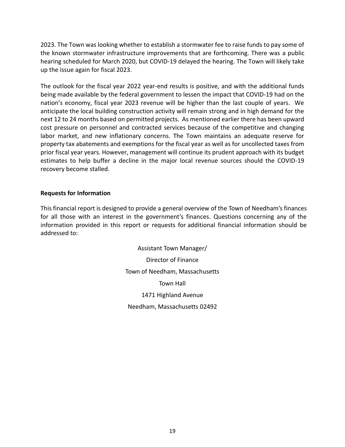2023. The Town was looking whether to establish a stormwater fee to raise funds to pay some of the known stormwater infrastructure improvements that are forthcoming. There was a public hearing scheduled for March 2020, but COVID-19 delayed the hearing. The Town will likely take up the issue again for fiscal 2023.

The outlook for the fiscal year 2022 year-end results is positive, and with the additional funds being made available by the federal government to lessen the impact that COVID-19 had on the nation's economy, fiscal year 2023 revenue will be higher than the last couple of years. We anticipate the local building construction activity will remain strong and in high demand for the next 12 to 24 months based on permitted projects. As mentioned earlier there has been upward cost pressure on personnel and contracted services because of the competitive and changing labor market, and new inflationary concerns. The Town maintains an adequate reserve for property tax abatements and exemptions for the fiscal year as well as for uncollected taxes from prior fiscal year years. However, management will continue its prudent approach with its budget estimates to help buffer a decline in the major local revenue sources should the COVID-19 recovery become stalled.

# **Requests for Information**

This financial report is designed to provide a general overview of the Town of Needham's finances for all those with an interest in the government's finances. Questions concerning any of the information provided in this report or requests for additional financial information should be addressed to:

> Assistant Town Manager/ Director of Finance Town of Needham, Massachusetts Town Hall 1471 Highland Avenue Needham, Massachusetts 02492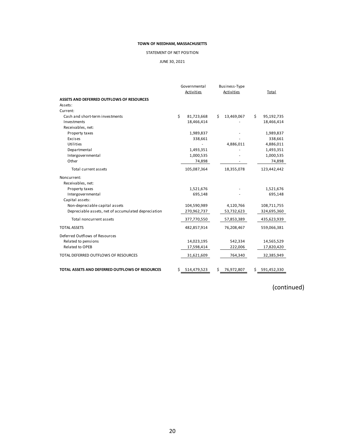### STATEMENT OF NET POSITION

#### JUNE 30, 2021

|                                                     |    | Governmental<br>Activities |    | Business-Type<br><b>Activities</b> |    | Total         |
|-----------------------------------------------------|----|----------------------------|----|------------------------------------|----|---------------|
| ASSETS AND DEFERRED OUTFLOWS OF RESOURCES           |    |                            |    |                                    |    |               |
| Assets:                                             |    |                            |    |                                    |    |               |
| Current:                                            |    |                            |    |                                    |    |               |
| Cash and short-term investments                     | \$ | 81,723,668                 | Ś. | 13,469,067                         | Ś. | 95,192,735    |
| Investments                                         |    | 18,466,414                 |    |                                    |    | 18,466,414    |
| Receivables, net:                                   |    |                            |    |                                    |    |               |
| Property taxes                                      |    | 1,989,837                  |    |                                    |    | 1,989,837     |
| Excises                                             |    | 338,661                    |    |                                    |    | 338,661       |
| Utilities                                           |    |                            |    | 4,886,011                          |    | 4,886,011     |
| Departmental                                        |    | 1,493,351                  |    |                                    |    | 1,493,351     |
| Intergovernmental                                   |    | 1,000,535                  |    |                                    |    | 1,000,535     |
| Other                                               |    | 74,898                     |    |                                    |    | 74,898        |
| Total current assets                                |    | 105,087,364                |    | 18,355,078                         |    | 123,442,442   |
| Noncurrent:                                         |    |                            |    |                                    |    |               |
| Receivables, net:                                   |    |                            |    |                                    |    |               |
| Property taxes                                      |    | 1,521,676                  |    |                                    |    | 1,521,676     |
| Intergovernmental                                   |    | 695,148                    |    |                                    |    | 695,148       |
| Capital assets:                                     |    |                            |    |                                    |    |               |
| Non-depreciable capital assets                      |    | 104,590,989                |    | 4,120,766                          |    | 108,711,755   |
| Depreciable assets, net of accumulated depreciation |    | 270,962,737                |    | 53,732,623                         |    | 324,695,360   |
| Total noncurrent assets                             |    | 377,770,550                |    | 57,853,389                         |    | 435,623,939   |
| <b>TOTAL ASSETS</b>                                 |    | 482,857,914                |    | 76,208,467                         |    | 559,066,381   |
| Deferred Outflows of Resources                      |    |                            |    |                                    |    |               |
| Related to pensions                                 |    | 14,023,195                 |    | 542,334                            |    | 14,565,529    |
| Related to OPEB                                     |    | 17,598,414                 |    | 222,006                            |    | 17,820,420    |
| TOTAL DEFERRED OUTFLOWS OF RESOURCES                |    | 31,621,609                 |    | 764,340                            |    | 32,385,949    |
| TOTAL ASSETS AND DEFERRED OUTFLOWS OF RESOURCES     | Ś  | 514,479,523                | Ś. | 76,972,807                         |    | \$591,452,330 |
|                                                     |    |                            |    |                                    |    |               |

(continued)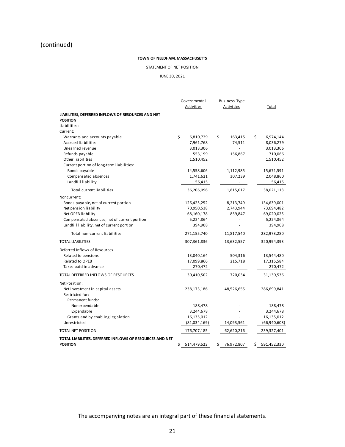# (continued)

#### **TOWN OF NEEDHAM, MASSACHUSETTS**

#### STATEMENT OF NET POSITION

#### JUNE 30, 2021

|                                                          | Governmental<br>Activities | <b>Business-Type</b><br>Activities |     | Total          |
|----------------------------------------------------------|----------------------------|------------------------------------|-----|----------------|
| LIABILITIES, DEFERRED INFLOWS OF RESOURCES AND NET       |                            |                                    |     |                |
| <b>POSITION</b>                                          |                            |                                    |     |                |
| Liabilities:                                             |                            |                                    |     |                |
| Current:                                                 |                            |                                    |     |                |
| Warrants and accounts payable                            | \$<br>6,810,729            | \$<br>163,415                      | \$  | 6,974,144      |
| Accrued liabilities                                      | 7,961,768                  | 74,511                             |     | 8,036,279      |
| Unearned revenue                                         | 3,013,306                  |                                    |     | 3,013,306      |
| Refunds payable                                          | 553,199                    | 156,867                            |     | 710,066        |
| Other liabilities                                        | 1,510,452                  |                                    |     | 1,510,452      |
| Current portion of long-term liabilities:                |                            |                                    |     |                |
| Bonds payable                                            | 14,558,606                 | 1,112,985                          |     | 15,671,591     |
| Compensated absences                                     | 1,741,621                  | 307,239                            |     | 2,048,860      |
| Landfill liability                                       | 56,415                     |                                    |     | 56,415         |
| Total current liabilities                                | 36,206,096                 | 1,815,017                          |     | 38,021,113     |
| Noncurrent:                                              |                            |                                    |     |                |
| Bonds payable, net of current portion                    | 126,425,252                | 8,213,749                          |     | 134,639,001    |
| Net pension liability                                    | 70,950,538                 | 2,743,944                          |     | 73,694,482     |
| Net OPEB liability                                       | 68,160,178                 | 859,847                            |     | 69,020,025     |
| Compensated absences, net of current portion             | 5,224,864                  |                                    |     | 5,224,864      |
| Landfill liability, net of current portion               | 394,908                    |                                    |     | 394,908        |
| Total non-current liabilities                            | 271,155,740                | 11,817,540                         |     | 282,973,280    |
| <b>TOTAL LIABILITIES</b>                                 | 307,361,836                | 13,632,557                         |     | 320,994,393    |
| Deferred Inflows of Resources                            |                            |                                    |     |                |
| Related to pensions                                      | 13,040,164                 | 504,316                            |     | 13,544,480     |
| Related to OPEB                                          | 17,099,866                 | 215,718                            |     | 17,315,584     |
| Taxes paid in advance                                    | 270,472                    | $\blacksquare$                     |     | 270,472        |
|                                                          |                            |                                    |     |                |
| TOTAL DEFERRED INFLOWS OF RESOURCES                      | 30,410,502                 | 720,034                            |     | 31,130,536     |
| Net Position:                                            |                            |                                    |     |                |
| Net investment in capital assets                         | 238,173,186                | 48,526,655                         |     | 286,699,841    |
| Restricted for:                                          |                            |                                    |     |                |
| Permanent funds:                                         |                            |                                    |     |                |
| Nonexpendable                                            | 188,478                    |                                    |     | 188,478        |
| Expendable                                               | 3,244,678                  |                                    |     | 3,244,678      |
| Grants and by enabling legislation                       | 16,135,012                 |                                    |     | 16,135,012     |
| Unrestricted                                             | (81,034,169)               | 14,093,561                         |     | (66, 940, 608) |
| <b>TOTAL NET POSITION</b>                                | 176,707,185                | 62,620,216                         |     | 239,327,401    |
| TOTAL LIABILITIES, DEFERRED INFLOWS OF RESOURCES AND NET |                            |                                    |     |                |
| <b>POSITION</b>                                          | \$<br>514,479,523          | \$<br>76,972,807                   | \$. | 591,452,330    |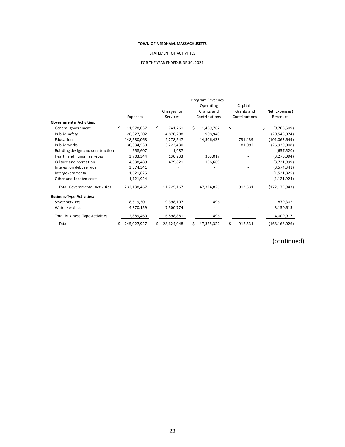STATEMENT OF ACTIVITIES

FOR THE YEAR ENDED JUNE 30, 2021

|                                      | Program Revenues |                 |    |             |               |            |    |               |    |                 |
|--------------------------------------|------------------|-----------------|----|-------------|---------------|------------|----|---------------|----|-----------------|
|                                      |                  |                 |    |             |               | Operating  |    | Capital       |    |                 |
|                                      |                  |                 |    | Charges for |               | Grants and |    | Grants and    |    | Net (Expenses)  |
|                                      |                  | <b>Expenses</b> |    | Services    | Contributions |            |    | Contributions |    | Revenues        |
| <b>Governmental Activities:</b>      |                  |                 |    |             |               |            |    |               |    |                 |
| General government                   | Ś.               | 11,978,037      | \$ | 741,761     | Ś.            | 1,469,767  | \$ |               | Ś. | (9,766,509)     |
| Public safety                        |                  | 26,327,302      |    | 4,870,288   |               | 908,940    |    |               |    | (20, 548, 074)  |
| Education                            |                  | 148,580,068     |    | 2,278,547   |               | 44,506,433 |    | 731,439       |    | (101, 063, 649) |
| Public works                         |                  | 30,334,530      |    | 3,223,430   |               |            |    | 181,092       |    | (26,930,008)    |
| Building design and construction     |                  | 658,607         |    | 1,087       |               |            |    |               |    | (657, 520)      |
| Health and human services            |                  | 3,703,344       |    | 130,233     |               | 303,017    |    |               |    | (3,270,094)     |
| Culture and recreation               |                  | 4,338,489       |    | 479,821     |               | 136,669    |    |               |    | (3,721,999)     |
| Interest on debt service             |                  | 3,574,341       |    |             |               |            |    |               |    | (3,574,341)     |
| Intergovernmental                    |                  | 1,521,825       |    |             |               |            |    |               |    | (1,521,825)     |
| Other unallocated costs              |                  | 1,121,924       |    |             |               |            |    |               |    | (1, 121, 924)   |
| <b>Total Governmental Activities</b> |                  | 232,138,467     |    | 11,725,167  |               | 47,324,826 |    | 912,531       |    | (172, 175, 943) |
| <b>Business-Type Activities:</b>     |                  |                 |    |             |               |            |    |               |    |                 |
| Sewer services                       |                  | 8,519,301       |    | 9,398,107   |               | 496        |    |               |    | 879,302         |
| Water services                       |                  | 4,370,159       |    | 7,500,774   |               |            |    |               |    | 3,130,615       |
| Total Business-Type Activities       |                  | 12,889,460      |    | 16,898,881  |               | 496        |    |               |    | 4,009,917       |
| Total                                | Ś                | 245,027,927     |    | 28,624,048  | Ś.            | 47,325,322 |    | 912,531       |    | (168, 166, 026) |

# (continued)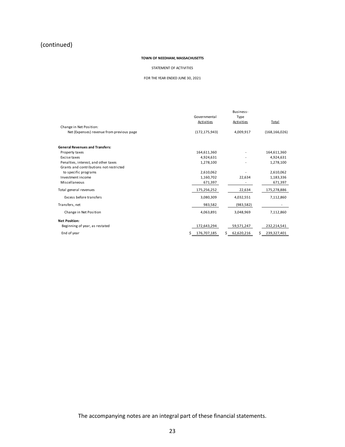# (continued)

#### **TOWN OF NEEDHAM, MASSACHUSETTS**

STATEMENT OF ACTIVITIES

#### FOR THE YEAR ENDED JUNE 30, 2021

| Change in Net Position:<br>Net (Expenses) revenue from previous page | Governmental<br><b>Activities</b><br>(172, 175, 943) | Business-<br>Type<br><b>Activities</b><br>4,009,917 | Total<br>(168, 166, 026) |
|----------------------------------------------------------------------|------------------------------------------------------|-----------------------------------------------------|--------------------------|
| <b>General Revenues and Transfers:</b>                               |                                                      |                                                     |                          |
| Property taxes                                                       | 164,611,360                                          |                                                     | 164,611,360              |
| Excise taxes                                                         | 4,924,631                                            |                                                     | 4,924,631                |
| Penalties, interest, and other taxes                                 | 1,278,100                                            |                                                     | 1,278,100                |
| Grants and contributions not restricted                              |                                                      |                                                     |                          |
| to specific programs                                                 | 2,610,062                                            |                                                     | 2,610,062                |
| Investment income                                                    | 1,160,702                                            | 22,634                                              | 1,183,336                |
| Miscellaneous                                                        | 671,397                                              |                                                     | 671,397                  |
| Total general revenues                                               | 175,256,252                                          | 22,634                                              | 175,278,886              |
| Excess before transfers                                              | 3,080,309                                            | 4,032,551                                           | 7,112,860                |
| Transfers, net                                                       | 983,582                                              | (983, 582)                                          |                          |
| Change in Net Position                                               | 4,063,891                                            | 3,048,969                                           | 7,112,860                |
| <b>Net Position:</b>                                                 |                                                      |                                                     |                          |
| Beginning of year, as restated                                       | 172,643,294                                          | 59,571,247                                          | 232,214,541              |
| End of year                                                          | 176,707,185<br>ς                                     | Ś.<br>62,620,216                                    | 239,327,401              |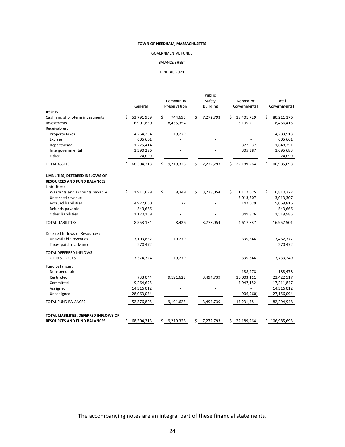#### GOVERNMENTAL FUNDS

#### BALANCE SHEET

JUNE 30, 2021

| <b>ASSETS</b>                                                                          | General          | Community<br>Preservation | Public<br>Safety<br>Building | Nonmajor<br>Governmental | Total<br>Governmental |
|----------------------------------------------------------------------------------------|------------------|---------------------------|------------------------------|--------------------------|-----------------------|
| Cash and short-term investments                                                        | 53,791,959<br>\$ | Ś.<br>744,695             | 7,272,793<br>Ś.              | 18,401,729<br>Ś          | \$<br>80,211,176      |
| Investments                                                                            | 6,901,850        | 8,455,354                 |                              | 3,109,211                | 18,466,415            |
| Receivables:                                                                           |                  |                           |                              |                          |                       |
| Property taxes                                                                         | 4,264,234        | 19,279                    |                              |                          | 4,283,513             |
| Excises                                                                                | 605,661          |                           |                              |                          | 605,661               |
| Departmental                                                                           | 1,275,414        |                           |                              | 372,937                  | 1,648,351             |
| Intergovernmental                                                                      | 1,390,296        |                           |                              | 305,387                  | 1,695,683             |
| Other                                                                                  | 74,899           |                           |                              | $\overline{\phantom{a}}$ | 74,899                |
| <b>TOTAL ASSETS</b>                                                                    | \$<br>68,304,313 | \$9,219,328               | \$<br>7,272,793              | \$<br>22,189,264         | \$106,985,698         |
| LIABILITIES, DEFERRED INFLOWS OF<br><b>RESOURCES AND FUND BALANCES</b><br>Liabilities: |                  |                           |                              |                          |                       |
| Warrants and accounts payable                                                          | \$<br>1,911,699  | \$<br>8,349               | 3,778,054<br>Ŝ.              | \$<br>1,112,625          | \$<br>6,810,727       |
| Unearned revenue                                                                       |                  |                           |                              | 3,013,307                | 3,013,307             |
| <b>Accrued liabilities</b>                                                             | 4,927,660        | 77                        |                              | 142,079                  | 5,069,816             |
| Refunds payable                                                                        | 543,666          |                           |                              |                          | 543,666               |
| Other liabilities                                                                      | 1,170,159        |                           |                              | 349,826                  | 1,519,985             |
| <b>TOTAL LIABILITIES</b>                                                               | 8,553,184        | 8,426                     | 3,778,054                    | 4,617,837                | 16,957,501            |
| Deferred Inflows of Resources:                                                         |                  |                           |                              |                          |                       |
| Unavailable revenues                                                                   | 7,103,852        | 19,279                    |                              | 339,646                  | 7,462,777             |
| Taxes paid in advance                                                                  | 270,472          |                           |                              |                          | 270,472               |
| <b>TOTAL DEFERRED INFLOWS</b><br>OF RESOURCES                                          | 7,374,324        | 19,279                    |                              | 339,646                  | 7,733,249             |
| Fund Balances:<br>Nonspendable                                                         |                  |                           |                              | 188,478                  | 188,478               |
| Restricted                                                                             | 733,044          | 9,191,623                 | 3,494,739                    | 10,003,111               | 23,422,517            |
| Committed                                                                              | 9,264,695        |                           |                              | 7,947,152                | 17,211,847            |
| Assigned                                                                               | 14,316,012       |                           |                              |                          | 14,316,012            |
| Unassigned                                                                             | 28,063,054       |                           |                              | (906, 960)               | 27,156,094            |
| TOTAL FUND BALANCES                                                                    | 52,376,805       | 9,191,623                 | 3,494,739                    | 17,231,781               | 82,294,948            |
| TOTAL LIABILITIES, DEFERRED INFLOWS OF<br><b>RESOURCES AND FUND BALANCES</b>           | \$<br>68,304,313 | \$.<br>9,219,328          | \$<br>7,272,793              | \$<br>22,189,264         | \$106,985,698         |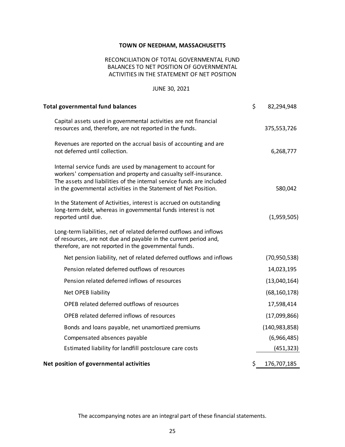## RECONCILIATION OF TOTAL GOVERNMENTAL FUND BALANCES TO NET POSITION OF GOVERNMENTAL ACTIVITIES IN THE STATEMENT OF NET POSITION

### JUNE 30, 2021

| <b>Total governmental fund balances</b>                                                                                                                                                                                                                                      | \$<br>82,294,948  |
|------------------------------------------------------------------------------------------------------------------------------------------------------------------------------------------------------------------------------------------------------------------------------|-------------------|
| Capital assets used in governmental activities are not financial<br>resources and, therefore, are not reported in the funds.                                                                                                                                                 | 375,553,726       |
| Revenues are reported on the accrual basis of accounting and are<br>not deferred until collection.                                                                                                                                                                           | 6,268,777         |
| Internal service funds are used by management to account for<br>workers' compensation and property and casualty self-insurance.<br>The assets and liabilities of the internal service funds are included<br>in the governmental activities in the Statement of Net Position. | 580,042           |
| In the Statement of Activities, interest is accrued on outstanding<br>long-term debt, whereas in governmental funds interest is not<br>reported until due.                                                                                                                   | (1,959,505)       |
| Long-term liabilities, net of related deferred outflows and inflows<br>of resources, are not due and payable in the current period and,<br>therefore, are not reported in the governmental funds.                                                                            |                   |
| Net pension liability, net of related deferred outflows and inflows                                                                                                                                                                                                          | (70, 950, 538)    |
| Pension related deferred outflows of resources                                                                                                                                                                                                                               | 14,023,195        |
| Pension related deferred inflows of resources                                                                                                                                                                                                                                | (13,040,164)      |
| Net OPEB liability                                                                                                                                                                                                                                                           | (68, 160, 178)    |
| OPEB related deferred outflows of resources                                                                                                                                                                                                                                  | 17,598,414        |
| OPEB related deferred inflows of resources                                                                                                                                                                                                                                   | (17,099,866)      |
| Bonds and loans payable, net unamortized premiums                                                                                                                                                                                                                            | (140, 983, 858)   |
| Compensated absences payable                                                                                                                                                                                                                                                 | (6,966,485)       |
| Estimated liability for landfill postclosure care costs                                                                                                                                                                                                                      | (451, 323)        |
| Net position of governmental activities                                                                                                                                                                                                                                      | \$<br>176,707,185 |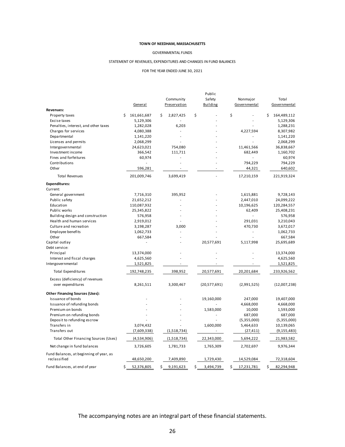### GOVERNMENTAL FUNDS

#### STATEMENT OF REVENUES, EXPENDITURES AND CHANGES IN FUND BALANCES

#### FOR THE YEAR ENDED JUNE 30, 2021

|                                                         |                   |                 | Public                    |                          |    |               |
|---------------------------------------------------------|-------------------|-----------------|---------------------------|--------------------------|----|---------------|
|                                                         | General           | Community       | Safety<br><b>Building</b> | Nonmajor<br>Governmental |    | Total         |
| <b>Revenues:</b>                                        |                   | Preservation    |                           |                          |    | Governmental  |
| Property taxes                                          | \$<br>161,661,687 | \$<br>2,827,425 | \$                        | \$                       | Ś  | 164,489,112   |
| Excise taxes                                            | 5,129,306         |                 |                           |                          |    | 5,129,306     |
| Penalties, interest, and other taxes                    | 1,282,028         | 6,203           |                           |                          |    | 1,288,231     |
| Charges for services                                    | 4,080,388         |                 |                           | 4,227,594                |    | 8,307,982     |
| Departmental                                            | 1,141,220         |                 |                           |                          |    | 1,141,220     |
| Licenses and permits                                    | 2,068,299         |                 |                           |                          |    | 2,068,299     |
| Intergovernmental                                       | 24,623,021        | 754,080         |                           | 11,461,566               |    | 36,838,667    |
| Investment income                                       | 366,542           | 111,711         |                           | 682,449                  |    | 1,160,702     |
| Fines and forfeitures                                   | 60,974            |                 |                           |                          |    | 60,974        |
| Contributions                                           |                   | L.              |                           | 794,229                  |    | 794,229       |
| Other                                                   | 596,281           |                 | $\overline{\phantom{a}}$  | 44,321                   |    | 640,602       |
| <b>Total Revenues</b>                                   | 201,009,746       | 3,699,419       |                           | 17,210,159               |    | 221,919,324   |
|                                                         |                   |                 |                           |                          |    |               |
| <b>Expenditures:</b>                                    |                   |                 |                           |                          |    |               |
| Current:                                                |                   |                 |                           |                          |    |               |
| General government                                      | 7,716,310         | 395,952         |                           | 1,615,881                |    | 9,728,143     |
| Public safety                                           | 21,652,212        |                 |                           | 2,447,010                |    | 24,099,222    |
| Education                                               | 110,087,932       |                 |                           | 10,196,625               |    | 120,284,557   |
| Public works                                            | 25,345,822        |                 |                           | 62,409                   |    | 25,408,231    |
| Building design and construction                        | 576,958           |                 |                           |                          |    | 576,958       |
| Health and human services                               | 2,919,012         |                 |                           | 291,031                  |    | 3,210,043     |
| Culture and recreation                                  | 3,198,287         | 3,000           |                           | 470,730                  |    | 3,672,017     |
| Employee benefits                                       | 1,062,733         |                 |                           | $\overline{a}$           |    | 1,062,733     |
| Other                                                   | 667,584           |                 |                           |                          |    | 667,584       |
| Capital outlay                                          |                   |                 | 20,577,691                | 5,117,998                |    | 25,695,689    |
| Debt service:                                           |                   |                 |                           |                          |    |               |
| Principal                                               | 13,374,000        |                 |                           |                          |    | 13,374,000    |
| Interest and fiscal charges                             | 4,625,560         |                 |                           |                          |    | 4,625,560     |
| Intergovernmental                                       | 1,521,825         |                 |                           |                          |    | 1,521,825     |
| <b>Total Expenditures</b>                               | 192,748,235       | 398,952         | 20,577,691                | 20,201,684               |    | 233,926,562   |
| Excess (deficiency) of revenues                         |                   |                 |                           |                          |    |               |
| over expenditures                                       | 8,261,511         | 3,300,467       | (20,577,691)              | (2,991,525)              |    | (12,007,238)  |
| <b>Other Financing Sources (Uses):</b>                  |                   |                 |                           |                          |    |               |
| <b>Issuance of bonds</b>                                |                   |                 | 19,160,000                | 247,000                  |    | 19,407,000    |
| Issuance of refunding bonds                             |                   |                 |                           | 4,668,000                |    | 4,668,000     |
| Premium on bonds                                        |                   |                 | 1,583,000                 | 10,000                   |    | 1,593,000     |
| Premium on refunding bonds                              |                   |                 |                           | 687,000                  |    | 687,000       |
| Deposit to refunding escrow                             |                   |                 |                           | (5,355,000)              |    | (5,355,000)   |
| Transfers in                                            | 3,074,432         |                 | 1,600,000                 | 5,464,633                |    | 10,139,065    |
| Transfers out                                           | (7,609,338)       | (1,518,734)     |                           | (27, 411)                |    | (9, 155, 483) |
| Total Other Financing Sources (Uses)                    | (4,534,906)       | (1,518,734)     | 22,343,000                | 5,694,222                |    | 21,983,582    |
| Net change in fund balances                             | 3,726,605         | 1,781,733       | 1,765,309                 | 2,702,697                |    | 9,976,344     |
| Fund Balances, at beginning of year, as<br>reclassified | 48,650,200        | 7,409,890       | 1,729,430                 | 14,529,084               |    | 72,318,604    |
|                                                         |                   |                 |                           |                          |    |               |
| Fund Balances, at end of year                           | \$<br>52,376,805  | \$<br>9,191,623 | \$<br>3,494,739           | \$<br>17,231,781         | \$ | 82,294,948    |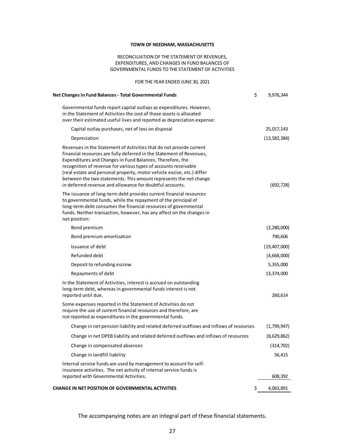### RECONCILIATION OF THE STATEMENT OF REVENUES, EXPENDITURES, AND CHANGES IN FUND BALANCES OF GOVERNMENTAL FUNDS TO THE STATEMENT OF ACTIVITIES

#### FOR THE YEAR ENDED JUNE 30, 2021

| Net Changes in Fund Balances - Total Governmental Funds                                                                                                                                                                                                                                                                                                                                                                                                                                | \$<br>9,976,344 |
|----------------------------------------------------------------------------------------------------------------------------------------------------------------------------------------------------------------------------------------------------------------------------------------------------------------------------------------------------------------------------------------------------------------------------------------------------------------------------------------|-----------------|
| Governmental funds report capital outlays as expenditures. However,<br>in the Statement of Activities the cost of those assets is allocated<br>over their estimated useful lives and reported as depreciation expense:                                                                                                                                                                                                                                                                 |                 |
| Capital outlay purchases, net of loss on disposal                                                                                                                                                                                                                                                                                                                                                                                                                                      | 25,017,143      |
| Depreciation                                                                                                                                                                                                                                                                                                                                                                                                                                                                           | (13, 582, 384)  |
| Revenues in the Statement of Activities that do not provide current<br>financial resources are fully deferred in the Statement of Revenues,<br>Expenditures and Changes in Fund Balances. Therefore, the<br>recognition of revenue for various types of accounts receivable<br>(real estate and personal property, motor vehicle excise, etc.) differ<br>between the two statements. This amount represents the net change<br>in deferred revenue and allowance for doubtful accounts. | (692, 728)      |
| The issuance of long-term debt provides current financial resources<br>to governmental funds, while the repayment of the principal of<br>long-term debt consumes the financial resources of governmental<br>funds. Neither transaction, however, has any affect on the changes in<br>net position:                                                                                                                                                                                     |                 |
| Bond premium                                                                                                                                                                                                                                                                                                                                                                                                                                                                           | (2,280,000)     |
| Bond premium amortization                                                                                                                                                                                                                                                                                                                                                                                                                                                              | 790,606         |
| Issuance of debt                                                                                                                                                                                                                                                                                                                                                                                                                                                                       | (19,407,000)    |
| Refunded debt                                                                                                                                                                                                                                                                                                                                                                                                                                                                          | (4,668,000)     |
| Deposit to refunding escrow                                                                                                                                                                                                                                                                                                                                                                                                                                                            | 5,355,000       |
| Repayments of debt                                                                                                                                                                                                                                                                                                                                                                                                                                                                     | 13,374,000      |
| In the Statement of Activities, interest is accrued on outstanding<br>long-term debt, whereas in governmental funds interest is not<br>reported until due.                                                                                                                                                                                                                                                                                                                             | 260,614         |
| Some expenses reported in the Statement of Activities do not<br>require the use of current financial resources and therefore, are<br>not reported as expenditures in the governmental funds.                                                                                                                                                                                                                                                                                           |                 |
| Change in net pension liability and related deferred outflows and inflows of resources                                                                                                                                                                                                                                                                                                                                                                                                 | (1,799,947)     |
| Change in net OPEB liability and related deferred outflows and inflows of resources                                                                                                                                                                                                                                                                                                                                                                                                    | (8,629,862)     |
| Change in compensated absences                                                                                                                                                                                                                                                                                                                                                                                                                                                         | (314, 702)      |
| Change in landfill liability                                                                                                                                                                                                                                                                                                                                                                                                                                                           | 56,415          |
| Internal service funds are used by management to account for self-<br>insurance activities. The net activity of internal service funds is                                                                                                                                                                                                                                                                                                                                              |                 |
| reported with Governmental Activities.                                                                                                                                                                                                                                                                                                                                                                                                                                                 | 608,392         |
| <b>CHANGE IN NET POSITION OF GOVERNMENTAL ACTIVITIES</b>                                                                                                                                                                                                                                                                                                                                                                                                                               | \$<br>4,063,891 |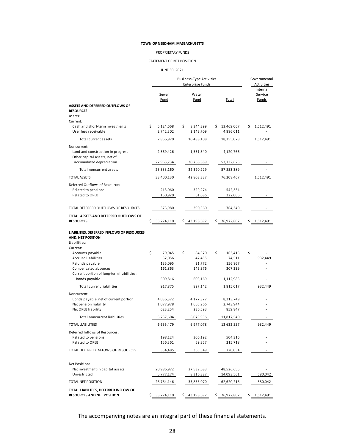#### PROPRIETARY FUNDS

#### STATEMENT OF NET POSITION

#### JUNE 30, 2021

|                                                                                             |    |                         | Business-Type Activities |                          |     | Governmental |
|---------------------------------------------------------------------------------------------|----|-------------------------|--------------------------|--------------------------|-----|--------------|
|                                                                                             |    |                         | Enterprise Funds         |                          |     | Activities   |
|                                                                                             |    |                         |                          |                          |     | Internal     |
|                                                                                             |    | Sewer                   | Water                    |                          |     | Service      |
|                                                                                             |    | <b>Fund</b>             | <b>Fund</b>              | <b>Total</b>             |     | <u>Funds</u> |
| ASSETS AND DEFERRED OUTFLOWS OF<br><b>RESOURCES</b>                                         |    |                         |                          |                          |     |              |
| Assets:                                                                                     |    |                         |                          |                          |     |              |
| Current:                                                                                    |    |                         |                          |                          |     |              |
| Cash and short-term investments                                                             | Ś. | 5,124,668               | \$<br>8,344,399          | \$<br>13,469,067         | Ś   | 1,512,491    |
| User fees receivable                                                                        |    | 2,742,302               | 2,143,709                | 4,886,011                |     |              |
| Total current assets                                                                        |    | 7,866,970               | 10,488,108               | 18,355,078               |     | 1,512,491    |
| Noncurrent:                                                                                 |    |                         |                          |                          |     |              |
| Land and construction in progress                                                           |    | 2,569,426               | 1,551,340                | 4,120,766                |     |              |
| Other capital assets, net of<br>accumulated depreciation                                    |    | 22,963,734              | 30,768,889               | 53,732,623               |     |              |
| Total noncurrent assets                                                                     |    | 25,533,160              | 32,320,229               | 57,853,389               |     |              |
| <b>TOTAL ASSETS</b>                                                                         |    | 33,400,130              | 42,808,337               | 76,208,467               |     | 1,512,491    |
| Deferred Outflows of Resources:                                                             |    |                         |                          |                          |     |              |
| Related to pensions                                                                         |    | 213,060                 | 329,274                  | 542,334                  |     |              |
| Related to OPEB                                                                             |    | 160,920                 | 61,086                   | 222,006                  |     |              |
|                                                                                             |    |                         |                          |                          |     |              |
| TOTAL DEFERRED OUTFLOWS OF RESOURCES                                                        |    | 373,980                 | 390,360                  | 764,340                  |     |              |
| TOTAL ASSETS AND DEFERRED OUTFLOWS OF                                                       |    |                         |                          |                          |     |              |
| <b>RESOURCES</b>                                                                            | Ş  | 33,774,110              | 43,198,697               | \$<br>76,972,807         | \$  | 1,512,491    |
| LIABILITIES, DEFERRED INFLOWS OF RESOURCES<br>AND, NET POSITION<br>Liabilities:<br>Current: |    |                         |                          |                          |     |              |
| Accounts payable                                                                            | \$ | 79,045                  | \$<br>84,370             | \$<br>163,415            | \$  |              |
| Accrued liabilities                                                                         |    | 32,056                  | 42,455                   | 74,511                   |     | 932,449      |
| Refunds payable<br>Compensated absences                                                     |    | 135,095<br>161,863      | 21,772<br>145,376        | 156,867<br>307,239       |     |              |
| Current portion of long-term liabilities:                                                   |    |                         |                          |                          |     |              |
| Bonds payable                                                                               |    | 509,816                 | 603,169                  | 1,112,985                |     |              |
| Total current liabilities                                                                   |    | 917,875                 | 897,142                  | 1,815,017                |     | 932,449      |
| Noncurrent:                                                                                 |    |                         |                          |                          |     |              |
| Bonds payable, net of current portion                                                       |    | 4,036,372               | 4,177,377                | 8,213,749                |     |              |
| Net pension liability                                                                       |    | 1,077,978               | 1,665,966                | 2,743,944                |     |              |
| Net OPEB liability                                                                          |    | 623,254                 | 236,593                  | 859,847                  |     | ٠            |
| Total noncurrent liabilities                                                                |    | 5,737,604               | 6,079,936                | 11,817,540               |     |              |
| <b>TOTAL LIABILITIES</b>                                                                    |    | 6,655,479               | 6,977,078                | 13,632,557               |     | 932,449      |
| Deferred Inflows of Resources:                                                              |    |                         |                          |                          |     |              |
| Related to pensions                                                                         |    | 198,124                 | 306,192                  | 504,316                  |     |              |
| Related to OPEB                                                                             |    | 156,361                 | 59,357                   | 215,718                  |     |              |
| TOTAL DEFERRED INFLOWS OF RESOURCES                                                         |    | 354,485                 | 365,549                  | 720,034                  |     |              |
|                                                                                             |    |                         |                          |                          |     |              |
| Net Position:<br>Net investment in capital assets                                           |    |                         | 27,539,683               |                          |     |              |
| Unrestricted                                                                                |    | 20,986,972<br>5,777,174 | 8,316,387                | 48,526,655<br>14,093,561 |     | 580,042      |
| TOTAL NET POSITION                                                                          |    | 26,764,146              | 35,856,070               | 62,620,216               |     | 580,042      |
|                                                                                             |    |                         |                          |                          |     |              |
| TOTAL LIABILITIES, DEFERRED INFLOW OF<br>RESOURCES AND NET POSITION                         |    | \$33,774,110            | \$<br>43,198,697         | \$<br>76,972,807         | \$. | 1,512,491    |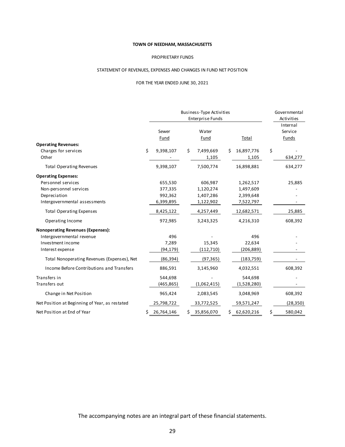#### PROPRIETARY FUNDS

### STATEMENT OF REVENUES, EXPENSES AND CHANGES IN FUND NET POSITION

### FOR THE YEAR ENDED JUNE 30, 2021

|                                                |                 | Business-Type Activities |   |              | Governmental  |
|------------------------------------------------|-----------------|--------------------------|---|--------------|---------------|
|                                                |                 | <b>Enterprise Funds</b>  |   |              | Activities    |
|                                                |                 |                          |   |              | Internal      |
|                                                | Sewer           | Water                    |   |              | Service       |
|                                                | Fund            | Fund                     |   | <b>Total</b> | <b>Funds</b>  |
| <b>Operating Revenues:</b>                     |                 |                          |   |              |               |
| Charges for services                           | \$<br>9,398,107 | \$<br>7,499,669          | Ś | 16,897,776   | \$            |
| Other                                          |                 | 1,105                    |   | 1,105        | 634,277       |
| <b>Total Operating Revenues</b>                | 9,398,107       | 7,500,774                |   | 16,898,881   | 634,277       |
| <b>Operating Expenses:</b>                     |                 |                          |   |              |               |
| Personnel services                             | 655,530         | 606,987                  |   | 1,262,517    | 25,885        |
| Non-personnel services                         | 377,335         | 1,120,274                |   | 1,497,609    |               |
| Depreciation                                   | 992,362         | 1,407,286                |   | 2,399,648    |               |
| Intergovernmental assessments                  | 6,399,895       | 1,122,902                |   | 7,522,797    |               |
| <b>Total Operating Expenses</b>                | 8,425,122       | 4,257,449                |   | 12,682,571   | 25,885        |
| Operating Income                               | 972,985         | 3,243,325                |   | 4,216,310    | 608,392       |
| <b>Nonoperating Revenues (Expenses):</b>       |                 |                          |   |              |               |
| Intergovernmental revenue                      | 496             |                          |   | 496          |               |
| Investment income                              | 7,289           | 15,345                   |   | 22,634       |               |
| Interest expense                               | (94, 179)       | (112, 710)               |   | (206, 889)   |               |
| Total Nonoperating Revenues (Expenses), Net    | (86, 394)       | (97, 365)                |   | (183, 759)   |               |
| Income Before Contributions and Transfers      | 886,591         | 3,145,960                |   | 4,032,551    | 608,392       |
| Transfers in                                   | 544,698         |                          |   | 544,698      |               |
| Transfers out                                  | (465, 865)      | (1,062,415)              |   | (1,528,280)  |               |
| Change in Net Position                         | 965,424         | 2,083,545                |   | 3,048,969    | 608,392       |
| Net Position at Beginning of Year, as restated | 25,798,722      | 33,772,525               |   | 59,571,247   | (28, 350)     |
| Net Position at End of Year                    | 26,764,146      | \$<br>35,856,070         | Ś | 62,620,216   | \$<br>580,042 |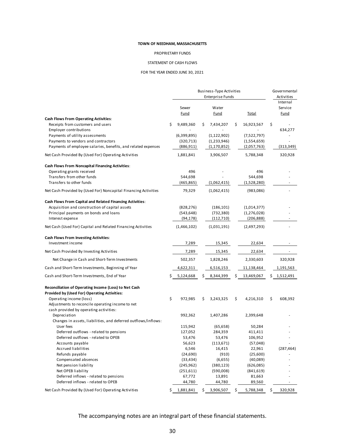### PROPRIETARY FUNDS

#### STATEMENT OF CASH FLOWS

### FOR THE YEAR ENDED JUNE 30, 2021

|                                                                                   |    |                      | Business-Type Activities | Governmental<br>Activities |    |              |                                    |
|-----------------------------------------------------------------------------------|----|----------------------|--------------------------|----------------------------|----|--------------|------------------------------------|
|                                                                                   |    | Sewer<br><b>Fund</b> |                          | Water<br><b>Fund</b>       |    | <b>Total</b> | Internal<br>Service<br><b>Fund</b> |
| <b>Cash Flows From Operating Activities:</b><br>Receipts from customers and users | \$ | 9,489,360            | s                        | 7,434,207                  | \$ | 16,923,567   | \$                                 |
| Employer contributions<br>Payments of utility assessments                         |    | (6,399,895)          |                          | (1, 122, 902)              |    | (7,522,797)  | 634,277                            |
| Payments to vendors and contractors                                               |    | (320, 713)           |                          | (1,233,946)                |    | (1,554,659)  |                                    |
| Payments of employee salaries, benefits, and related expenses                     |    | (886, 911)           |                          | (1, 170, 852)              |    | (2,057,763)  | (313, 349)                         |
| Net Cash Provided By (Used For) Operating Activities                              |    | 1,881,841            |                          | 3,906,507                  |    | 5,788,348    | 320,928                            |
| <b>Cash Flows From Noncapital Financing Activities:</b>                           |    |                      |                          |                            |    |              |                                    |
| Operating grants received                                                         |    | 496                  |                          |                            |    | 496          |                                    |
| Transfers from other funds                                                        |    | 544,698              |                          |                            |    | 544,698      |                                    |
| Transfers to other funds                                                          |    | (465,865)            |                          | (1,062,415)                |    | (1,528,280)  |                                    |
| Net Cash Provided by (Used For) Noncapital Financing Activities                   |    | 79,329               |                          | (1,062,415)                |    | (983,086)    |                                    |
| <b>Cash Flows From Capital and Related Financing Activities:</b>                  |    |                      |                          |                            |    |              |                                    |
| Acquisition and construction of capital assets                                    |    | (828, 276)           |                          | (186, 101)                 |    | (1,014,377)  |                                    |
| Principal payments on bonds and loans                                             |    | (543, 648)           |                          | (732, 380)                 |    | (1,276,028)  |                                    |
| Interest expense                                                                  |    | (94, 178)            |                          | (112, 710)                 |    | (206, 888)   |                                    |
| Net Cash (Used For) Capital and Related Financing Activities                      |    | (1,466,102)          |                          | (1,031,191)                |    | (2,497,293)  |                                    |
| <b>Cash Flows From Investing Activities:</b>                                      |    |                      |                          |                            |    |              |                                    |
| Investment income                                                                 |    | 7,289                |                          | 15,345                     |    | 22,634       |                                    |
| Net Cash Provided By Investing Activities                                         |    | 7,289                |                          | 15,345                     |    | 22,634       |                                    |
| Net Change in Cash and Short-Term Investments                                     |    | 502,357              |                          | 1,828,246                  |    | 2,330,603    | 320,928                            |
| Cash and Short-Term Investments, Beginning of Year                                |    | 4,622,311            |                          | 6,516,153                  |    | 11,138,464   | 1,191,563                          |
| Cash and Short-Term Investments, End of Year                                      | Ś  | 5,124,668            | \$                       | 8,344,399                  | \$ | 13,469,067   | \$<br>1,512,491                    |
| Reconciliation of Operating Income (Loss) to Net Cash                             |    |                      |                          |                            |    |              |                                    |
| Provided by (Used For) Operating Activities:                                      |    |                      |                          |                            |    |              |                                    |
| Operating income (loss)                                                           | \$ | 972,985              | \$                       | 3,243,325                  | \$ | 4,216,310    | \$<br>608,392                      |
| Adjustments to reconcile operating income to net                                  |    |                      |                          |                            |    |              |                                    |
| cash provided by operating activities:                                            |    |                      |                          |                            |    |              |                                    |
| Depreciation                                                                      |    | 992,362              |                          | 1,407,286                  |    | 2,399,648    |                                    |
| Changes in assets, liabilities, and deferred outflows/inflows:<br>User fees       |    |                      |                          |                            |    | 50,284       |                                    |
| Deferred outflows - related to pensions                                           |    | 115,942<br>127,052   |                          | (65, 658)<br>284,359       |    | 411,411      |                                    |
| Deferred outflows - related to OPEB                                               |    | 53,476               |                          | 53,476                     |    | 106,952      |                                    |
| Accounts payable                                                                  |    | 56,623               |                          | (113, 671)                 |    | (57,048)     |                                    |
| Accrued liabilities                                                               |    | 6,546                |                          | 16,415                     |    | 22,961       | (287, 464)                         |
| Refunds payable                                                                   |    | (24, 690)            |                          | (910)                      |    | (25,600)     |                                    |
| Compensated absences                                                              |    | (33, 434)            |                          | (6,655)                    |    | (40,089)     |                                    |
| Net pension liability                                                             |    | (245, 962)           |                          | (380, 123)                 |    | (626,085)    |                                    |
| Net OPEB liability                                                                |    | (251, 611)           |                          | (590,008)                  |    | (841, 619)   |                                    |
| Deferred inflows - related to pensions                                            |    | 67,772               |                          | 13,891                     |    | 81,663       |                                    |
| Deferred inflows - related to OPEB                                                |    | 44,780               |                          | 44,780                     |    | 89,560       |                                    |
| Net Cash Provided By (Used For) Operating Activities                              | \$ | 1,881,841            | \$                       | 3,906,507                  | \$ | 5,788,348    | \$<br>320,928                      |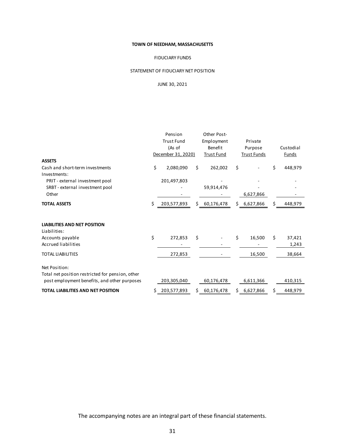### FIDUCIARY FUNDS

### STATEMENT OF FIDUCIARY NET POSITION

### JUNE 30, 2021

|                                                  | Pension<br><b>Trust Fund</b><br>(As of |                    |    | Other Post-       |                    |           |               |
|--------------------------------------------------|----------------------------------------|--------------------|----|-------------------|--------------------|-----------|---------------|
|                                                  |                                        |                    |    | Employment        |                    | Private   |               |
|                                                  |                                        |                    |    | Benefit           |                    | Purpose   | Custodial     |
|                                                  |                                        | December 31, 2020) |    | <b>Trust Fund</b> | <b>Trust Funds</b> |           | Funds         |
| <b>ASSETS</b>                                    |                                        |                    |    |                   |                    |           |               |
| Cash and short-term investments                  | \$                                     | 2,080,090          | \$ | 262,002           | \$                 |           | \$<br>448,979 |
| Investments:                                     |                                        |                    |    |                   |                    |           |               |
| PRIT - external investment pool                  |                                        | 201,497,803        |    |                   |                    |           |               |
| SRBT - external investment pool                  |                                        |                    |    | 59,914,476        |                    |           |               |
| Other                                            |                                        |                    |    |                   |                    | 6,627,866 |               |
| <b>TOTAL ASSETS</b>                              | Ś                                      | 203,577,893        | \$ | 60,176,478        | Ŝ.                 | 6,627,866 | \$<br>448,979 |
|                                                  |                                        |                    |    |                   |                    |           |               |
| <b>LIABILITIES AND NET POSITION</b>              |                                        |                    |    |                   |                    |           |               |
| Liabilities:                                     |                                        |                    |    |                   |                    |           |               |
| Accounts payable                                 | \$                                     | 272,853            | \$ |                   | \$                 | 16,500    | \$<br>37,421  |
| <b>Accrued liabilities</b>                       |                                        |                    |    |                   |                    |           | 1,243         |
| <b>TOTAL LIABILITIES</b>                         |                                        | 272,853            |    |                   |                    | 16,500    | 38,664        |
| Net Position:                                    |                                        |                    |    |                   |                    |           |               |
| Total net position restricted for pension, other |                                        |                    |    |                   |                    |           |               |
| post employment benefits, and other purposes     |                                        | 203,305,040        |    | 60,176,478        |                    | 6,611,366 | 410,315       |
| <b>TOTAL LIABILITIES AND NET POSITION</b>        | S.                                     | 203,577,893        | \$ | 60,176,478        | Ś.                 | 6,627,866 | \$<br>448,979 |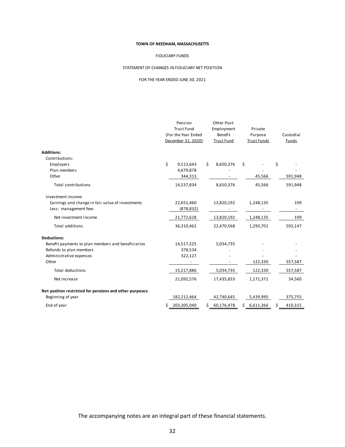### FIDUCIARY FUNDS

### STATEMENT OF CHANGES IN FIDUCIARY NET POSITION

### FOR THE YEAR ENDED JUNE 30, 2021

|                                                          | Pension<br><b>Trust Fund</b><br>(For the Year Ended<br>December 31, 2020) |             |    | Other Post-<br>Employment<br><b>Benefit</b><br><b>Trust Fund</b> | Private<br>Purpose<br><b>Trust Funds</b> |   | Custodial<br>Funds       |
|----------------------------------------------------------|---------------------------------------------------------------------------|-------------|----|------------------------------------------------------------------|------------------------------------------|---|--------------------------|
| <b>Additions:</b>                                        |                                                                           |             |    |                                                                  |                                          |   |                          |
| Contributions:                                           |                                                                           |             |    |                                                                  |                                          |   |                          |
| Employers                                                | \$                                                                        | 9,513,643   | \$ | 8,650,376                                                        | \$                                       | Ś |                          |
| Plan members                                             |                                                                           | 4,679,878   |    |                                                                  |                                          |   |                          |
| Other                                                    |                                                                           | 344,313     |    |                                                                  | 45,566                                   |   | 591,948                  |
| <b>Total contributions</b>                               |                                                                           | 14,537,834  |    | 8,650,376                                                        | 45,566                                   |   | 591,948                  |
| Investment income:                                       |                                                                           |             |    |                                                                  |                                          |   |                          |
| Earnings and change in fair value of investments         |                                                                           | 22,651,460  |    | 13,820,192                                                       | 1,248,135                                |   | 199                      |
| Less: management fees                                    |                                                                           | (878, 832)  |    |                                                                  |                                          |   | $\overline{\phantom{a}}$ |
| Net investment income                                    |                                                                           | 21,772,628  |    | 13,820,192                                                       | 1,248,135                                |   | 199                      |
| <b>Total additions</b>                                   |                                                                           | 36,310,462  |    | 22,470,568                                                       | 1,293,701                                |   | 592,147                  |
| <b>Deductions:</b>                                       |                                                                           |             |    |                                                                  |                                          |   |                          |
| Benefit payments to plan members and beneficiaries       |                                                                           | 14,517,225  |    | 5,034,735                                                        |                                          |   |                          |
| Refunds to plan members                                  |                                                                           | 378,534     |    |                                                                  |                                          |   |                          |
| Administrative expenses                                  |                                                                           | 322,127     |    |                                                                  |                                          |   |                          |
| Other                                                    |                                                                           |             |    |                                                                  | 122,330                                  |   | 557,587                  |
| <b>Total deductions</b>                                  |                                                                           | 15,217,886  |    | 5,034,735                                                        | 122,330                                  |   | 557,587                  |
| Net increase                                             |                                                                           | 21,092,576  |    | 17,435,833                                                       | 1,171,371                                |   | 34,560                   |
| Net position restricted for pensions and other purposes: |                                                                           |             |    |                                                                  |                                          |   |                          |
| Beginning of year                                        |                                                                           | 182,212,464 |    | 42,740,645                                                       | 5,439,995                                |   | 375,755                  |
| End of year                                              | \$                                                                        | 203,305,040 | \$ | 60,176,478                                                       | \$<br>6,611,366                          | Ś | 410,315                  |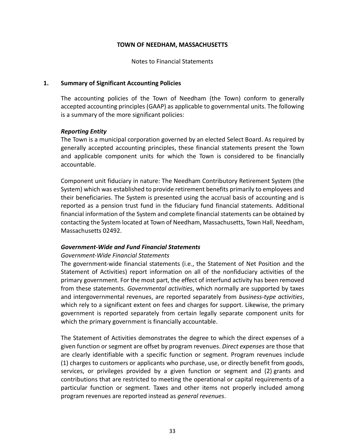Notes to Financial Statements

## **1. Summary of Significant Accounting Policies**

The accounting policies of the Town of Needham (the Town) conform to generally accepted accounting principles (GAAP) as applicable to governmental units. The following is a summary of the more significant policies:

# *Reporting Entity*

The Town is a municipal corporation governed by an elected Select Board. As required by generally accepted accounting principles, these financial statements present the Town and applicable component units for which the Town is considered to be financially accountable.

Component unit fiduciary in nature: The Needham Contributory Retirement System (the System) which was established to provide retirement benefits primarily to employees and their beneficiaries. The System is presented using the accrual basis of accounting and is reported as a pension trust fund in the fiduciary fund financial statements. Additional financial information of the System and complete financial statements can be obtained by contacting the System located at Town of Needham, Massachusetts, Town Hall, Needham, Massachusetts 02492.

# *Government-Wide and Fund Financial Statements*

# *Government-Wide Financial Statements*

The government-wide financial statements (i.e., the Statement of Net Position and the Statement of Activities) report information on all of the nonfiduciary activities of the primary government. For the most part, the effect of interfund activity has been removed from these statements. *Governmental activities*, which normally are supported by taxes and intergovernmental revenues, are reported separately from *business-type activities*, which rely to a significant extent on fees and charges for support. Likewise, the primary government is reported separately from certain legally separate component units for which the primary government is financially accountable.

The Statement of Activities demonstrates the degree to which the direct expenses of a given function or segment are offset by program revenues. *Direct expenses* are those that are clearly identifiable with a specific function or segment. Program revenues include (1) charges to customers or applicants who purchase, use, or directly benefit from goods, services, or privileges provided by a given function or segment and (2) grants and contributions that are restricted to meeting the operational or capital requirements of a particular function or segment. Taxes and other items not properly included among program revenues are reported instead as *general revenues*.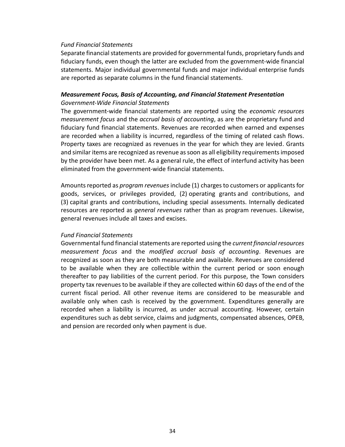### *Fund Financial Statements*

Separate financial statements are provided for governmental funds, proprietary funds and fiduciary funds, even though the latter are excluded from the government-wide financial statements. Major individual governmental funds and major individual enterprise funds are reported as separate columns in the fund financial statements.

## *Measurement Focus, Basis of Accounting, and Financial Statement Presentation Government-Wide Financial Statements*

The government-wide financial statements are reported using the *economic resources measurement focus* and the *accrual basis of accounting*, as are the proprietary fund and fiduciary fund financial statements. Revenues are recorded when earned and expenses are recorded when a liability is incurred, regardless of the timing of related cash flows. Property taxes are recognized as revenues in the year for which they are levied. Grants and similar items are recognized as revenue as soon as all eligibility requirements imposed by the provider have been met. As a general rule, the effect of interfund activity has been eliminated from the government-wide financial statements.

Amounts reported as *program revenues*include (1) charges to customers or applicants for goods, services, or privileges provided, (2) operating grants and contributions, and (3) capital grants and contributions, including special assessments. Internally dedicated resources are reported as *general revenues* rather than as program revenues. Likewise, general revenues include all taxes and excises.

#### *Fund Financial Statements*

Governmental fund financial statements are reported using the *current financial resources measurement focus* and the *modified accrual basis of accounting*. Revenues are recognized as soon as they are both measurable and available. Revenues are considered to be available when they are collectible within the current period or soon enough thereafter to pay liabilities of the current period. For this purpose, the Town considers property tax revenues to be available if they are collected within 60 days of the end of the current fiscal period. All other revenue items are considered to be measurable and available only when cash is received by the government. Expenditures generally are recorded when a liability is incurred, as under accrual accounting. However, certain expenditures such as debt service, claims and judgments, compensated absences, OPEB, and pension are recorded only when payment is due.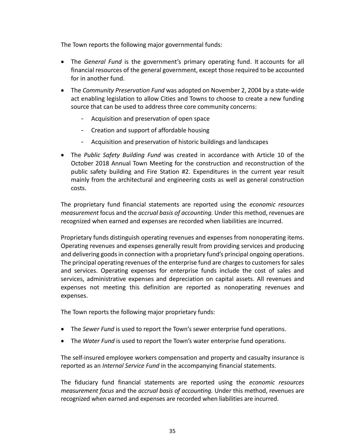The Town reports the following major governmental funds:

- The *General Fund* is the government's primary operating fund. It accounts for all financial resources of the general government, except those required to be accounted for in another fund.
- The *Community Preservation Fund* was adopted on November 2, 2004 by a state-wide act enabling legislation to allow Cities and Towns to choose to create a new funding source that can be used to address three core community concerns:
	- Acquisition and preservation of open space
	- Creation and support of affordable housing
	- Acquisition and preservation of historic buildings and landscapes
- The *Public Safety Building Fund* was created in accordance with Article 10 of the October 2018 Annual Town Meeting for the construction and reconstruction of the public safety building and Fire Station #2. Expenditures in the current year result mainly from the architectural and engineering costs as well as general construction costs.

The proprietary fund financial statements are reported using the *economic resources measurement* focus and the *accrual basis of accounting.* Under this method, revenues are recognized when earned and expenses are recorded when liabilities are incurred.

Proprietary funds distinguish operating revenues and expenses from nonoperating items. Operating revenues and expenses generally result from providing services and producing and delivering goods in connection with a proprietary fund's principal ongoing operations. The principal operating revenues of the enterprise fund are charges to customers for sales and services. Operating expenses for enterprise funds include the cost of sales and services, administrative expenses and depreciation on capital assets. All revenues and expenses not meeting this definition are reported as nonoperating revenues and expenses.

The Town reports the following major proprietary funds:

- The *Sewer Fund* is used to report the Town's sewer enterprise fund operations.
- The *Water Fund* is used to report the Town's water enterprise fund operations.

The self-insured employee workers compensation and property and casualty insurance is reported as an *Internal Service Fund* in the accompanying financial statements.

The fiduciary fund financial statements are reported using the *economic resources measurement focus* and the *accrual basis of accounting.* Under this method, revenues are recognized when earned and expenses are recorded when liabilities are incurred.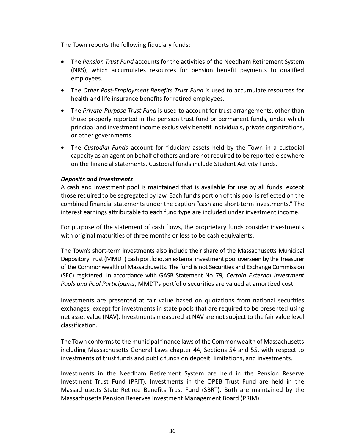The Town reports the following fiduciary funds:

- The *Pension Trust Fund* accounts for the activities of the Needham Retirement System (NRS), which accumulates resources for pension benefit payments to qualified employees.
- The *Other Post-Employment Benefits Trust Fund* is used to accumulate resources for health and life insurance benefits for retired employees.
- The *Private-Purpose Trust Fund* is used to account for trust arrangements, other than those properly reported in the pension trust fund or permanent funds, under which principal and investment income exclusively benefit individuals, private organizations, or other governments.
- The *Custodial Funds* account for fiduciary assets held by the Town in a custodial capacity as an agent on behalf of others and are not required to be reported elsewhere on the financial statements. Custodial funds include Student Activity Funds.

## *Deposits and Investments*

A cash and investment pool is maintained that is available for use by all funds, except those required to be segregated by law. Each fund's portion of this pool is reflected on the combined financial statements under the caption "cash and short-term investments." The interest earnings attributable to each fund type are included under investment income.

For purpose of the statement of cash flows, the proprietary funds consider investments with original maturities of three months or less to be cash equivalents.

The Town's short-term investments also include their share of the Massachusetts Municipal Depository Trust (MMDT) cash portfolio, an external investment pool overseen by the Treasurer of the Commonwealth of Massachusetts. The fund is not Securities and Exchange Commission (SEC) registered. In accordance with GASB Statement No. 79, *Certain External Investment Pools and Pool Participants*, MMDT's portfolio securities are valued at amortized cost.

Investments are presented at fair value based on quotations from national securities exchanges, except for investments in state pools that are required to be presented using net asset value (NAV). Investments measured at NAV are not subject to the fair value level classification.

The Town conforms to the municipal finance laws of the Commonwealth of Massachusetts including Massachusetts General Laws chapter 44, Sections 54 and 55, with respect to investments of trust funds and public funds on deposit, limitations, and investments.

Investments in the Needham Retirement System are held in the Pension Reserve Investment Trust Fund (PRIT). Investments in the OPEB Trust Fund are held in the Massachusetts State Retiree Benefits Trust Fund (SBRT). Both are maintained by the Massachusetts Pension Reserves Investment Management Board (PRIM).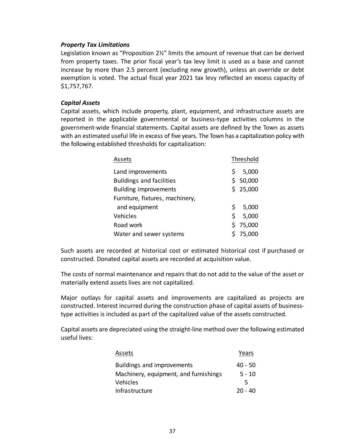### *Property Tax Limitations*

Legislation known as "Proposition 2½" limits the amount of revenue that can be derived from property taxes. The prior fiscal year's tax levy limit is used as a base and cannot increase by more than 2.5 percent (excluding new growth), unless an override or debt exemption is voted. The actual fiscal year 2021 tax levy reflected an excess capacity of \$1,757,767.

### *Capital Assets*

Capital assets, which include property, plant, equipment, and infrastructure assets are reported in the applicable governmental or business-type activities columns in the government-wide financial statements. Capital assets are defined by the Town as assets with an estimated useful life in excess of five years. The Town has a capitalization policy with the following established thresholds for capitalization:

| Assets                          |    | Threshold |
|---------------------------------|----|-----------|
| Land improvements               | Ś  | 5,000     |
| <b>Buildings and facilities</b> |    | \$50,000  |
| <b>Building improvements</b>    |    | \$25,000  |
| Furniture, fixtures, machinery, |    |           |
| and equipment                   | Ś  | 5,000     |
| Vehicles                        | \$ | 5,000     |
| Road work                       |    | \$75,000  |
| Water and sewer systems         |    | 75,000    |

Such assets are recorded at historical cost or estimated historical cost if purchased or constructed. Donated capital assets are recorded at acquisition value.

The costs of normal maintenance and repairs that do not add to the value of the asset or materially extend assets lives are not capitalized.

Major outlays for capital assets and improvements are capitalized as projects are constructed. Interest incurred during the construction phase of capital assets of businesstype activities is included as part of the capitalized value of the assets constructed.

Capital assets are depreciated using the straight-line method over the following estimated useful lives:

| Assets                                | Years     |
|---------------------------------------|-----------|
| Buildings and improvements            | $40 - 50$ |
| Machinery, equipment, and furnishings | $5 - 10$  |
| Vehicles                              | 5         |
| Infrastructure                        | $20 - 40$ |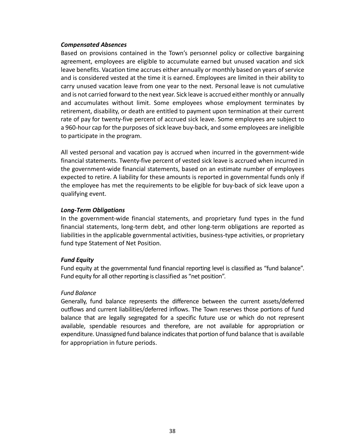#### *Compensated Absences*

Based on provisions contained in the Town's personnel policy or collective bargaining agreement, employees are eligible to accumulate earned but unused vacation and sick leave benefits. Vacation time accrues either annually or monthly based on years of service and is considered vested at the time it is earned. Employees are limited in their ability to carry unused vacation leave from one year to the next. Personal leave is not cumulative and is not carried forward to the next year. Sick leave is accrued either monthly or annually and accumulates without limit. Some employees whose employment terminates by retirement, disability, or death are entitled to payment upon termination at their current rate of pay for twenty-five percent of accrued sick leave. Some employees are subject to a 960-hour cap for the purposes of sick leave buy-back, and some employees are ineligible to participate in the program.

All vested personal and vacation pay is accrued when incurred in the government-wide financial statements. Twenty-five percent of vested sick leave is accrued when incurred in the government-wide financial statements, based on an estimate number of employees expected to retire. A liability for these amounts is reported in governmental funds only if the employee has met the requirements to be eligible for buy-back of sick leave upon a qualifying event.

#### *Long-Term Obligations*

In the government-wide financial statements, and proprietary fund types in the fund financial statements, long-term debt, and other long-term obligations are reported as liabilities in the applicable governmental activities, business-type activities, or proprietary fund type Statement of Net Position.

#### *Fund Equity*

Fund equity at the governmental fund financial reporting level is classified as "fund balance". Fund equity for all other reporting is classified as "net position".

#### *Fund Balance*

Generally, fund balance represents the difference between the current assets/deferred outflows and current liabilities/deferred inflows. The Town reserves those portions of fund balance that are legally segregated for a specific future use or which do not represent available, spendable resources and therefore, are not available for appropriation or expenditure. Unassigned fund balance indicates that portion of fund balance that is available for appropriation in future periods.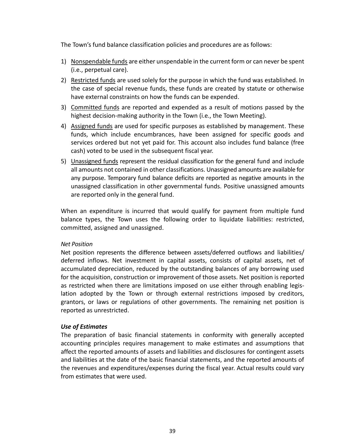The Town's fund balance classification policies and procedures are as follows:

- 1) Nonspendable funds are either unspendable in the current form or can never be spent (i.e., perpetual care).
- 2) Restricted funds are used solely for the purpose in which the fund was established. In the case of special revenue funds, these funds are created by statute or otherwise have external constraints on how the funds can be expended.
- 3) Committed funds are reported and expended as a result of motions passed by the highest decision-making authority in the Town (i.e., the Town Meeting).
- 4) Assigned funds are used for specific purposes as established by management. These funds, which include encumbrances, have been assigned for specific goods and services ordered but not yet paid for. This account also includes fund balance (free cash) voted to be used in the subsequent fiscal year.
- 5) Unassigned funds represent the residual classification for the general fund and include all amounts not contained in other classifications. Unassigned amounts are available for any purpose. Temporary fund balance deficits are reported as negative amounts in the unassigned classification in other governmental funds. Positive unassigned amounts are reported only in the general fund.

When an expenditure is incurred that would qualify for payment from multiple fund balance types, the Town uses the following order to liquidate liabilities: restricted, committed, assigned and unassigned.

## *Net Position*

Net position represents the difference between assets/deferred outflows and liabilities/ deferred inflows. Net investment in capital assets, consists of capital assets, net of accumulated depreciation, reduced by the outstanding balances of any borrowing used for the acquisition, construction or improvement of those assets. Net position is reported as restricted when there are limitations imposed on use either through enabling legislation adopted by the Town or through external restrictions imposed by creditors, grantors, or laws or regulations of other governments. The remaining net position is reported as unrestricted.

## *Use of Estimates*

The preparation of basic financial statements in conformity with generally accepted accounting principles requires management to make estimates and assumptions that affect the reported amounts of assets and liabilities and disclosures for contingent assets and liabilities at the date of the basic financial statements, and the reported amounts of the revenues and expenditures/expenses during the fiscal year. Actual results could vary from estimates that were used.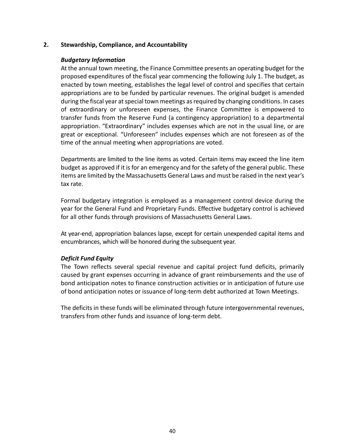## **2. Stewardship, Compliance, and Accountability**

#### *Budgetary Information*

At the annual town meeting, the Finance Committee presents an operating budget for the proposed expenditures of the fiscal year commencing the following July 1. The budget, as enacted by town meeting, establishes the legal level of control and specifies that certain appropriations are to be funded by particular revenues. The original budget is amended during the fiscal year at special town meetings as required by changing conditions. In cases of extraordinary or unforeseen expenses, the Finance Committee is empowered to transfer funds from the Reserve Fund (a contingency appropriation) to a departmental appropriation. "Extraordinary" includes expenses which are not in the usual line, or are great or exceptional. "Unforeseen" includes expenses which are not foreseen as of the time of the annual meeting when appropriations are voted.

Departments are limited to the line items as voted. Certain items may exceed the line item budget as approved if it is for an emergency and for the safety of the general public. These items are limited by the Massachusetts General Laws and must be raised in the next year's tax rate.

Formal budgetary integration is employed as a management control device during the year for the General Fund and Proprietary Funds. Effective budgetary control is achieved for all other funds through provisions of Massachusetts General Laws.

At year-end, appropriation balances lapse, except for certain unexpended capital items and encumbrances, which will be honored during the subsequent year.

## *Deficit Fund Equity*

The Town reflects several special revenue and capital project fund deficits, primarily caused by grant expenses occurring in advance of grant reimbursements and the use of bond anticipation notes to finance construction activities or in anticipation of future use of bond anticipation notes or issuance of long-term debt authorized at Town Meetings.

The deficits in these funds will be eliminated through future intergovernmental revenues, transfers from other funds and issuance of long-term debt.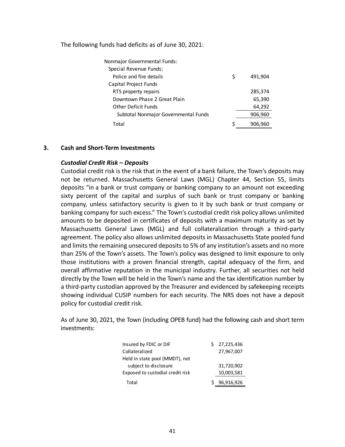The following funds had deficits as of June 30, 2021:

| Nonmajor Governmental Funds:         |   |         |
|--------------------------------------|---|---------|
| Special Revenue Funds:               |   |         |
| Police and fire details              | S | 491,904 |
| Capital Project Funds                |   |         |
| RTS property repairs                 |   | 285,374 |
| Downtown Phase 2 Great Plain         |   | 65,390  |
| <b>Other Deficit Funds</b>           |   | 64,292  |
| Subtotal Nonmajor Governmental Funds |   | 906,960 |
| Total                                |   | 906,960 |

#### **3. Cash and Short-Term Investments**

#### *Custodial Credit Risk* **–** *Deposits*

Custodial credit risk is the risk that in the event of a bank failure, the Town's deposits may not be returned. Massachusetts General Laws (MGL) Chapter 44, Section 55, limits deposits "in a bank or trust company or banking company to an amount not exceeding sixty percent of the capital and surplus of such bank or trust company or banking company, unless satisfactory security is given to it by such bank or trust company or banking company for such excess." The Town's custodial credit risk policy allows unlimited amounts to be deposited in certificates of deposits with a maximum maturity as set by Massachusetts General Laws (MGL) and full collateralization through a third-party agreement. The policy also allows unlimited deposits in Massachusetts State pooled fund and limits the remaining unsecured deposits to 5% of any institution's assets and no more than 25% of the Town's assets. The Town's policy was designed to limit exposure to only those institutions with a proven financial strength, capital adequacy of the firm, and overall affirmative reputation in the municipal industry. Further, all securities not held directly by the Town will be held in the Town's name and the tax identification number by a third-party custodian approved by the Treasurer and evidenced by safekeeping receipts showing individual CUSIP numbers for each security. The NRS does not have a deposit policy for custodial credit risk.

As of June 30, 2021, the Town (including OPEB fund) had the following cash and short term investments:

| Insured by FDIC or DIF           | Š. | 27,225,436 |
|----------------------------------|----|------------|
| Collateralized                   |    | 27,967,007 |
| Held in state pool (MMDT), not   |    |            |
| subject to disclosure            |    | 31,720,902 |
| Exposed to custodial credit risk |    | 10,003,581 |
| Total                            |    | 96,916,926 |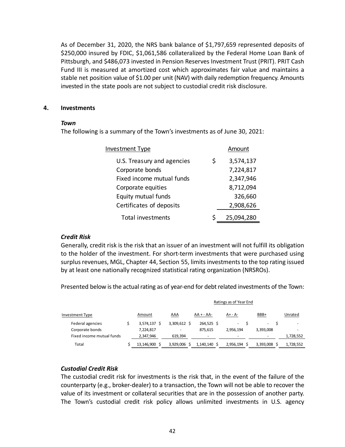As of December 31, 2020, the NRS bank balance of \$1,797,659 represented deposits of \$250,000 insured by FDIC, \$1,061,586 collateralized by the Federal Home Loan Bank of Pittsburgh, and \$486,073 invested in Pension Reserves Investment Trust (PRIT). PRIT Cash Fund III is measured at amortized cost which approximates fair value and maintains a stable net position value of \$1.00 per unit (NAV) with daily redemption frequency. Amounts invested in the state pools are not subject to custodial credit risk disclosure.

### **4. Investments**

### *Town*

The following is a summary of the Town's investments as of June 30, 2021:

| <b>Investment Type</b>     |    | Amount     |
|----------------------------|----|------------|
| U.S. Treasury and agencies | \$ | 3,574,137  |
| Corporate bonds            |    | 7,224,817  |
| Fixed income mutual funds  |    | 2,347,946  |
| Corporate equities         |    | 8,712,094  |
| Equity mutual funds        |    | 326,660    |
| Certificates of deposits   |    | 2,908,626  |
| <b>Total investments</b>   | S  | 25,094,280 |

## *Credit Risk*

Generally, credit risk is the risk that an issuer of an investment will not fulfill its obligation to the holder of the investment. For short-term investments that were purchased using surplus revenues, MGL, Chapter 44, Section 55, limits investments to the top rating issued by at least one nationally recognized statistical rating organization (NRSROs).

Presented below is the actual rating as of year-end for debt related investments of the Town:

|                           |               | Ratings as of Year End |                          |                          |                          |           |  |  |  |  |
|---------------------------|---------------|------------------------|--------------------------|--------------------------|--------------------------|-----------|--|--|--|--|
| Investment Type           | Amount        | <b>AAA</b>             | AA + - AA-               | A+ - A-                  | BBB+                     | Unrated   |  |  |  |  |
| Federal agencies          | 3,574,137 \$  | 3,309,612 \$           | 264.525 \$               | $\sim$ $-$               | <b>Contract Contract</b> |           |  |  |  |  |
| Corporate bonds           | 7,224,817     | -                      | 875,615                  | 2.956.194                | 3,393,008                |           |  |  |  |  |
| Fixed income mutual funds | 2,347,946     | 619,394                | $\overline{\phantom{0}}$ | $\overline{\phantom{0}}$ |                          | 1,728,552 |  |  |  |  |
| Total                     | 13.146.900 \$ | 3,929,006<br>S.        | 1.140.140 \$             | 2.956.194 S              | 3,393,008 \$             | 1,728,552 |  |  |  |  |

# *Custodial Credit Risk*

The custodial credit risk for investments is the risk that, in the event of the failure of the counterparty (e.g., broker-dealer) to a transaction, the Town will not be able to recover the value of its investment or collateral securities that are in the possession of another party. The Town's custodial credit risk policy allows unlimited investments in U.S. agency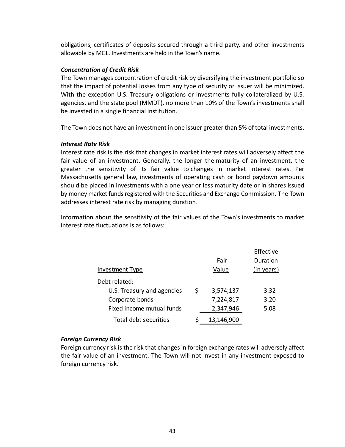obligations, certificates of deposits secured through a third party, and other investments allowable by MGL. Investments are held in the Town's name.

## *Concentration of Credit Risk*

The Town manages concentration of credit risk by diversifying the investment portfolio so that the impact of potential losses from any type of security or issuer will be minimized. With the exception U.S. Treasury obligations or investments fully collateralized by U.S. agencies, and the state pool (MMDT), no more than 10% of the Town's investments shall be invested in a single financial institution.

The Town does not have an investment in one issuer greater than 5% of total investments.

### *Interest Rate Risk*

Interest rate risk is the risk that changes in market interest rates will adversely affect the fair value of an investment. Generally, the longer the maturity of an investment, the greater the sensitivity of its fair value to changes in market interest rates. Per Massachusetts general law, investments of operating cash or bond paydown amounts should be placed in investments with a one year or less maturity date or in shares issued by money market funds registered with the Securities and Exchange Commission. The Town addresses interest rate risk by managing duration.

Information about the sensitivity of the fair values of the Town's investments to market interest rate fluctuations is as follows:

|                              |   |            | Effective  |
|------------------------------|---|------------|------------|
|                              |   | Fair       | Duration   |
| Investment Type              |   | Value      | (in years) |
| Debt related:                |   |            |            |
| U.S. Treasury and agencies   | Ś | 3,574,137  | 3.32       |
| Corporate bonds              |   | 7,224,817  | 3.20       |
| Fixed income mutual funds    |   | 2,347,946  | 5.08       |
| <b>Total debt securities</b> |   | 13,146,900 |            |

#### *Foreign Currency Risk*

Foreign currency risk is the risk that changes in foreign exchange rates will adversely affect the fair value of an investment. The Town will not invest in any investment exposed to foreign currency risk.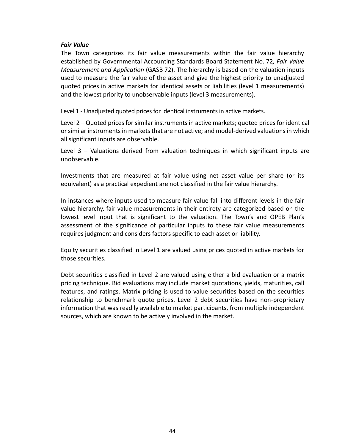### *Fair Value*

The Town categorizes its fair value measurements within the fair value hierarchy established by Governmental Accounting Standards Board Statement No. 72*, Fair Value Measurement and Application* (GASB 72). The hierarchy is based on the valuation inputs used to measure the fair value of the asset and give the highest priority to unadjusted quoted prices in active markets for identical assets or liabilities (level 1 measurements) and the lowest priority to unobservable inputs (level 3 measurements).

Level 1 - Unadjusted quoted prices for identical instruments in active markets.

Level 2 – Quoted prices for similar instruments in active markets; quoted prices for identical or similar instruments in markets that are not active; and model-derived valuations in which all significant inputs are observable.

Level 3 – Valuations derived from valuation techniques in which significant inputs are unobservable.

Investments that are measured at fair value using net asset value per share (or its equivalent) as a practical expedient are not classified in the fair value hierarchy.

In instances where inputs used to measure fair value fall into different levels in the fair value hierarchy, fair value measurements in their entirety are categorized based on the lowest level input that is significant to the valuation. The Town's and OPEB Plan's assessment of the significance of particular inputs to these fair value measurements requires judgment and considers factors specific to each asset or liability.

Equity securities classified in Level 1 are valued using prices quoted in active markets for those securities.

Debt securities classified in Level 2 are valued using either a bid evaluation or a matrix pricing technique. Bid evaluations may include market quotations, yields, maturities, call features, and ratings. Matrix pricing is used to value securities based on the securities relationship to benchmark quote prices. Level 2 debt securities have non-proprietary information that was readily available to market participants, from multiple independent sources, which are known to be actively involved in the market.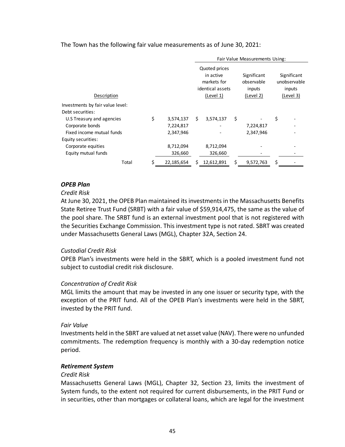The Town has the following fair value measurements as of June 30, 2021:

|                                  |                  | Fair Value Measurements Using: |                                                                            |    |                                                  |    |                                                    |  |
|----------------------------------|------------------|--------------------------------|----------------------------------------------------------------------------|----|--------------------------------------------------|----|----------------------------------------------------|--|
| Description                      |                  |                                | Quoted prices<br>in active<br>markets for<br>identical assets<br>(Level 1) |    | Significant<br>observable<br>inputs<br>(Level 2) |    | Significant<br>unobservable<br>inputs<br>(Level 3) |  |
| Investments by fair value level: |                  |                                |                                                                            |    |                                                  |    |                                                    |  |
| Debt securities:                 |                  |                                |                                                                            |    |                                                  |    |                                                    |  |
| U.S Treasury and agencies        | \$<br>3,574,137  | Ŝ.                             | 3,574,137                                                                  | \$ |                                                  | \$ |                                                    |  |
| Corporate bonds                  | 7,224,817        |                                |                                                                            |    | 7,224,817                                        |    |                                                    |  |
| Fixed income mutual funds        | 2,347,946        |                                |                                                                            |    | 2,347,946                                        |    |                                                    |  |
| Equity securities:               |                  |                                |                                                                            |    |                                                  |    |                                                    |  |
| Corporate equities               | 8,712,094        |                                | 8,712,094                                                                  |    |                                                  |    |                                                    |  |
| Equity mutual funds              | 326,660          |                                | 326,660                                                                    |    |                                                  |    |                                                    |  |
| Total                            | \$<br>22,185,654 |                                | 12,612,891                                                                 | S  | 9,572,763                                        | \$ |                                                    |  |

## *OPEB Plan*

## *Credit Risk*

At June 30, 2021, the OPEB Plan maintained its investments in the Massachusetts Benefits State Retiree Trust Fund (SRBT) with a fair value of \$59,914,475, the same as the value of the pool share. The SRBT fund is an external investment pool that is not registered with the Securities Exchange Commission. This investment type is not rated. SBRT was created under Massachusetts General Laws (MGL), Chapter 32A, Section 24.

## *Custodial Credit Risk*

OPEB Plan's investments were held in the SBRT, which is a pooled investment fund not subject to custodial credit risk disclosure.

## *Concentration of Credit Risk*

MGL limits the amount that may be invested in any one issuer or security type, with the exception of the PRIT fund. All of the OPEB Plan's investments were held in the SBRT, invested by the PRIT fund.

## *Fair Value*

Investments held in the SBRT are valued at net asset value (NAV). There were no unfunded commitments. The redemption frequency is monthly with a 30-day redemption notice period.

## *Retirement System*

## *Credit Risk*

Massachusetts General Laws (MGL), Chapter 32, Section 23, limits the investment of System funds, to the extent not required for current disbursements, in the PRIT Fund or in securities, other than mortgages or collateral loans, which are legal for the investment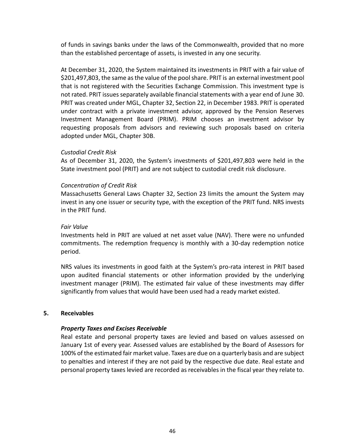of funds in savings banks under the laws of the Commonwealth, provided that no more than the established percentage of assets, is invested in any one security.

At December 31, 2020, the System maintained its investments in PRIT with a fair value of \$201,497,803, the same as the value of the pool share. PRIT is an external investment pool that is not registered with the Securities Exchange Commission. This investment type is not rated. PRIT issues separately available financial statements with a year end of June 30. PRIT was created under MGL, Chapter 32, Section 22, in December 1983. PRIT is operated under contract with a private investment advisor, approved by the Pension Reserves Investment Management Board (PRIM). PRIM chooses an investment advisor by requesting proposals from advisors and reviewing such proposals based on criteria adopted under MGL, Chapter 30B.

### *Custodial Credit Risk*

As of December 31, 2020, the System's investments of \$201,497,803 were held in the State investment pool (PRIT) and are not subject to custodial credit risk disclosure.

### *Concentration of Credit Risk*

Massachusetts General Laws Chapter 32, Section 23 limits the amount the System may invest in any one issuer or security type, with the exception of the PRIT fund. NRS invests in the PRIT fund.

#### *Fair Value*

Investments held in PRIT are valued at net asset value (NAV). There were no unfunded commitments. The redemption frequency is monthly with a 30-day redemption notice period.

NRS values its investments in good faith at the System's pro-rata interest in PRIT based upon audited financial statements or other information provided by the underlying investment manager (PRIM). The estimated fair value of these investments may differ significantly from values that would have been used had a ready market existed.

### **5. Receivables**

#### *Property Taxes and Excises Receivable*

Real estate and personal property taxes are levied and based on values assessed on January 1st of every year. Assessed values are established by the Board of Assessors for 100% of the estimated fair market value. Taxes are due on a quarterly basis and are subject to penalties and interest if they are not paid by the respective due date. Real estate and personal property taxes levied are recorded as receivables in the fiscal year they relate to.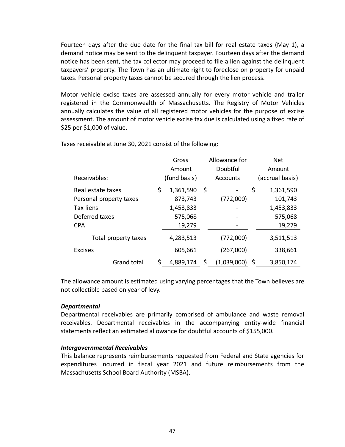Fourteen days after the due date for the final tax bill for real estate taxes (May 1), a demand notice may be sent to the delinquent taxpayer. Fourteen days after the demand notice has been sent, the tax collector may proceed to file a lien against the delinquent taxpayers' property. The Town has an ultimate right to foreclose on property for unpaid taxes. Personal property taxes cannot be secured through the lien process.

Motor vehicle excise taxes are assessed annually for every motor vehicle and trailer registered in the Commonwealth of Massachusetts. The Registry of Motor Vehicles annually calculates the value of all registered motor vehicles for the purpose of excise assessment. The amount of motor vehicle excise tax due is calculated using a fixed rate of \$25 per \$1,000 of value.

|                         |    | Gross        |          |                  |    | Allowance for   |  |  |  | <b>Net</b> |
|-------------------------|----|--------------|----------|------------------|----|-----------------|--|--|--|------------|
|                         |    | Amount       | Doubtful |                  |    | Amount          |  |  |  |            |
| Receivables:            |    | (fund basis) |          | <b>Accounts</b>  |    | (accrual basis) |  |  |  |            |
| Real estate taxes       | \$ | 1,361,590    | \$       |                  | \$ | 1,361,590       |  |  |  |            |
| Personal property taxes |    | 873,743      |          | (772,000)        |    | 101,743         |  |  |  |            |
| <b>Tax liens</b>        |    | 1,453,833    |          |                  |    | 1,453,833       |  |  |  |            |
| Deferred taxes          |    | 575,068      |          |                  |    | 575,068         |  |  |  |            |
| <b>CPA</b>              |    | 19,279       |          |                  |    | 19,279          |  |  |  |            |
| Total property taxes    |    | 4,283,513    |          | (772,000)        |    | 3,511,513       |  |  |  |            |
| <b>Excises</b>          |    | 605,661      |          | (267,000)        |    | 338,661         |  |  |  |            |
| Grand total             | \$ | 4,889,174    | S        | $(1,039,000)$ \$ |    | 3,850,174       |  |  |  |            |

Taxes receivable at June 30, 2021 consist of the following:

The allowance amount is estimated using varying percentages that the Town believes are not collectible based on year of levy.

## *Departmental*

Departmental receivables are primarily comprised of ambulance and waste removal receivables. Departmental receivables in the accompanying entity-wide financial statements reflect an estimated allowance for doubtful accounts of \$155,000.

#### *Intergovernmental Receivables*

This balance represents reimbursements requested from Federal and State agencies for expenditures incurred in fiscal year 2021 and future reimbursements from the Massachusetts School Board Authority (MSBA).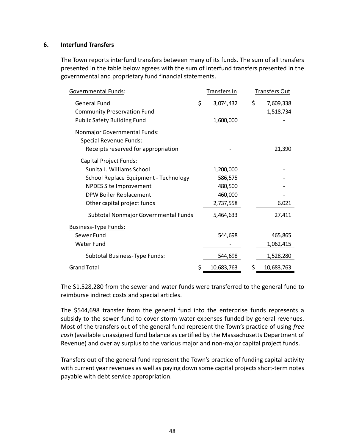### **6. Interfund Transfers**

The Town reports interfund transfers between many of its funds. The sum of all transfers presented in the table below agrees with the sum of interfund transfers presented in the governmental and proprietary fund financial statements.

| <b>Governmental Funds:</b>                                    | Transfers In    |    | Transfers Out          |
|---------------------------------------------------------------|-----------------|----|------------------------|
| <b>General Fund</b><br><b>Community Preservation Fund</b>     | \$<br>3,074,432 | \$ | 7,609,338<br>1,518,734 |
| <b>Public Safety Building Fund</b>                            | 1,600,000       |    |                        |
| Nonmajor Governmental Funds:<br><b>Special Revenue Funds:</b> |                 |    |                        |
| Receipts reserved for appropriation                           |                 |    | 21,390                 |
| <b>Capital Project Funds:</b>                                 |                 |    |                        |
| Sunita L. Williams School                                     | 1,200,000       |    |                        |
| School Replace Equipment - Technology                         | 586,575         |    |                        |
| <b>NPDES Site Improvement</b>                                 | 480,500         |    |                        |
| <b>DPW Boiler Replacement</b>                                 | 460,000         |    |                        |
| Other capital project funds                                   | 2,737,558       |    | 6,021                  |
| Subtotal Nonmajor Governmental Funds                          | 5,464,633       |    | 27,411                 |
| <b>Business-Type Funds:</b>                                   |                 |    |                        |
| Sewer Fund                                                    | 544,698         |    | 465,865                |
| <b>Water Fund</b>                                             |                 |    | 1,062,415              |
| Subtotal Business-Type Funds:                                 | 544,698         |    | 1,528,280              |
| <b>Grand Total</b>                                            | 10,683,763      | S  | 10,683,763             |

The \$1,528,280 from the sewer and water funds were transferred to the general fund to reimburse indirect costs and special articles.

The \$544,698 transfer from the general fund into the enterprise funds represents a subsidy to the sewer fund to cover storm water expenses funded by general revenues. Most of the transfers out of the general fund represent the Town's practice of using *free cash* (available unassigned fund balance as certified by the Massachusetts Department of Revenue) and overlay surplus to the various major and non-major capital project funds.

Transfers out of the general fund represent the Town's practice of funding capital activity with current year revenues as well as paying down some capital projects short-term notes payable with debt service appropriation.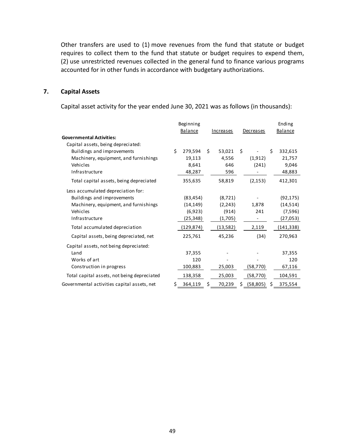Other transfers are used to (1) move revenues from the fund that statute or budget requires to collect them to the fund that statute or budget requires to expend them, (2) use unrestricted revenues collected in the general fund to finance various programs accounted for in other funds in accordance with budgetary authorizations.

### **7. Capital Assets**

Capital asset activity for the year ended June 30, 2021 was as follows (in thousands):

|                                             | Beginning      |              |    |           |    | Ending         |
|---------------------------------------------|----------------|--------------|----|-----------|----|----------------|
|                                             | <b>Balance</b> | Increases    |    | Decreases |    | <b>Balance</b> |
| <b>Governmental Activities:</b>             |                |              |    |           |    |                |
| Capital assets, being depreciated:          |                |              |    |           |    |                |
| Buildings and improvements                  | \$<br>279,594  | \$<br>53,021 | Ŝ. |           | Ś. | 332,615        |
| Machinery, equipment, and furnishings       | 19,113         | 4,556        |    | (1, 912)  |    | 21,757         |
| Vehicles                                    | 8,641          | 646          |    | (241)     |    | 9,046          |
| Infrastructure                              | 48,287         | 596          |    |           |    | 48,883         |
| Total capital assets, being depreciated     | 355,635        | 58,819       |    | (2, 153)  |    | 412,301        |
| Less accumulated depreciation for:          |                |              |    |           |    |                |
| Buildings and improvements                  | (83, 454)      | (8, 721)     |    |           |    | (92, 175)      |
| Machinery, equipment, and furnishings       | (14, 149)      | (2, 243)     |    | 1,878     |    | (14, 514)      |
| Vehicles                                    | (6,923)        | (914)        |    | 241       |    | (7, 596)       |
| Infrastructure                              | (25,348)       | (1,705)      |    |           |    | (27,053)       |
| Total accumulated depreciation              | (129,874)      | (13,582)     |    | 2,119     |    | (141, 338)     |
| Capital assets, being depreciated, net      | 225,761        | 45,236       |    | (34)      |    | 270,963        |
| Capital assets, not being depreciated:      |                |              |    |           |    |                |
| Land                                        | 37,355         |              |    |           |    | 37,355         |
| Works of art                                | 120            |              |    |           |    | 120            |
| Construction in progress                    | 100,883        | 25,003       |    | (58,770)  |    | 67,116         |
| Total capital assets, not being depreciated | 138,358        | 25,003       |    | (58,770)  |    | 104,591        |
| Governmental activities capital assets, net | \$<br>364,119  | \$<br>70,239 | \$ | (58, 805) | Ś  | 375,554        |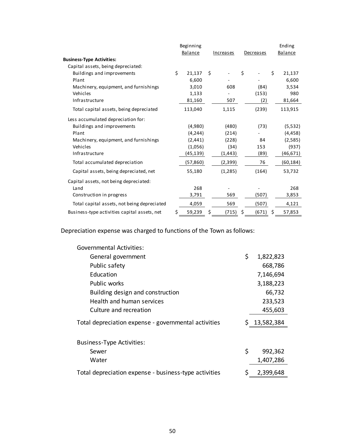|                                              | Beginning    |    |           |             |    | Ending         |
|----------------------------------------------|--------------|----|-----------|-------------|----|----------------|
|                                              | Balance      |    | Increases | Decreases   |    | <b>Balance</b> |
| <b>Business-Type Activities:</b>             |              |    |           |             |    |                |
| Capital assets, being depreciated:           |              |    |           |             |    |                |
| Buildings and improvements                   | \$<br>21,137 | Ś. |           | \$          | Ś  | 21,137         |
| Plant                                        | 6,600        |    |           |             |    | 6,600          |
| Machinery, equipment, and furnishings        | 3,010        |    | 608       | (84)        |    | 3,534          |
| Vehicles                                     | 1,133        |    |           | (153)       |    | 980            |
| Infrastructure                               | 81,160       |    | 507       | (2)         |    | 81,664         |
| Total capital assets, being depreciated      | 113,040      |    | 1,115     | (239)       |    | 113,915        |
| Less accumulated depreciation for:           |              |    |           |             |    |                |
| Buildings and improvements                   | (4,980)      |    | (480)     | (73)        |    | (5, 532)       |
| Plant                                        | (4, 244)     |    | (214)     |             |    | (4, 458)       |
| Machinery, equipment, and furnishings        | (2, 441)     |    | (228)     | 84          |    | (2,585)        |
| Vehicles                                     | (1,056)      |    | (34)      | 153         |    | (937)          |
| Infrastructure                               | (45,139)     |    | (1,443)   | (89)        |    | (46,671)       |
| Total accumulated depreciation               | (57,860)     |    | (2,399)   | 76          |    | (60,184)       |
| Capital assets, being depreciated, net       | 55,180       |    | (1, 285)  | (164)       |    | 53,732         |
| Capital assets, not being depreciated:       |              |    |           |             |    |                |
| Land                                         | 268          |    |           |             |    | 268            |
| Construction in progress                     | 3,791        |    | 569       | (507)       |    | 3,853          |
| Total capital assets, not being depreciated  | 4,059        |    | 569       | (507)       |    | 4,121          |
| Business-type activities capital assets, net | 59,239       | \$ | (715)     | \$<br>(671) | \$ | 57,853         |

Depreciation expense was charged to functions of the Town as follows:

| Governmental Activities:                              |    |            |
|-------------------------------------------------------|----|------------|
| General government                                    | \$ | 1,822,823  |
| Public safety                                         |    | 668,786    |
| Education                                             |    | 7,146,694  |
| Public works                                          |    | 3,188,223  |
| Building design and construction                      |    | 66,732     |
| Health and human services                             |    | 233,523    |
| Culture and recreation                                |    | 455,603    |
| Total depreciation expense - governmental activities  | \$ | 13,582,384 |
|                                                       |    |            |
| <b>Business-Type Activities:</b>                      |    |            |
| Sewer                                                 | \$ | 992,362    |
| Water                                                 |    | 1,407,286  |
| Total depreciation expense - business-type activities | S  | 2,399,648  |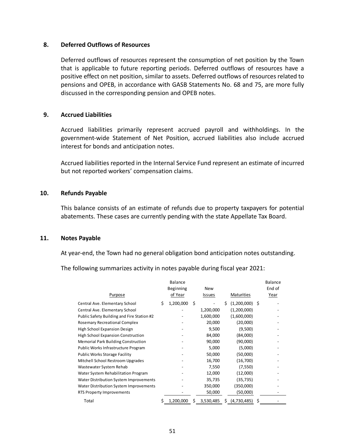#### **8. Deferred Outflows of Resources**

Deferred outflows of resources represent the consumption of net position by the Town that is applicable to future reporting periods. Deferred outflows of resources have a positive effect on net position, similar to assets. Deferred outflows of resources related to pensions and OPEB, in accordance with GASB Statements No. 68 and 75, are more fully discussed in the corresponding pension and OPEB notes.

## **9. Accrued Liabilities**

Accrued liabilities primarily represent accrued payroll and withholdings. In the government-wide Statement of Net Position, accrued liabilities also include accrued interest for bonds and anticipation notes.

Accrued liabilities reported in the Internal Service Fund represent an estimate of incurred but not reported workers' compensation claims.

### **10. Refunds Payable**

This balance consists of an estimate of refunds due to property taxpayers for potential abatements. These cases are currently pending with the state Appellate Tax Board.

#### **11. Notes Payable**

At year-end, the Town had no general obligation bond anticipation notes outstanding.

The following summarizes activity in notes payable during fiscal year 2021:

|                                            |    | <b>Balance</b> |    |            |   |                  | <b>Balance</b> |
|--------------------------------------------|----|----------------|----|------------|---|------------------|----------------|
|                                            |    | Beginning      |    | <b>New</b> |   |                  | End of         |
| Purpose                                    |    | of Year        |    | Issues     |   | Maturities       | Year           |
| Central Ave. Elementary School             | Ś. | 1,200,000      | \$ |            | Ś | $(1,200,000)$ \$ |                |
| Central Ave. Elementary School             |    |                |    | 1,200,000  |   | (1,200,000)      |                |
| Public Safety Building and Fire Station #2 |    |                |    | 1,600,000  |   | (1,600,000)      |                |
| <b>Rosemary Recreational Complex</b>       |    |                |    | 20,000     |   | (20,000)         |                |
| High School Expansion Design               |    |                |    | 9,500      |   | (9,500)          |                |
| High School Expansion Construction         |    |                |    | 84,000     |   | (84,000)         |                |
| <b>Memorial Park Building Construction</b> |    |                |    | 90,000     |   | (90,000)         |                |
| Public Works Infrastructure Program        |    |                |    | 5,000      |   | (5,000)          |                |
| Public Works Storage Facility              |    |                |    | 50,000     |   | (50,000)         |                |
| Mitchell School Restroom Upgrades          |    |                |    | 16,700     |   | (16,700)         |                |
| Wastewater System Rehab                    |    |                |    | 7,550      |   | (7,550)          |                |
| Water System Rehabilitation Program        |    |                |    | 12,000     |   | (12,000)         |                |
| Water Distribution System Improvements     |    |                |    | 35,735     |   | (35,735)         |                |
| Water Distribution System Improvements     |    |                |    | 350,000    |   | (350,000)        |                |
| RTS Property Improvements                  |    |                |    | 50,000     |   | 50,000)          |                |
| Total                                      | \$ | 1,200,000      | Ś  | 3,530,485  | s | (4,730,485)      | \$             |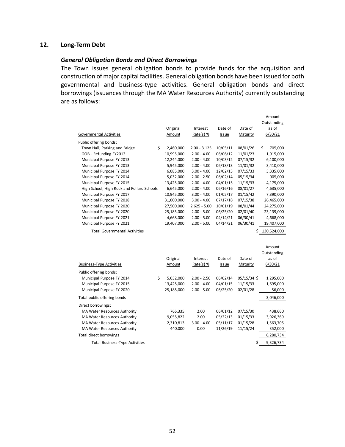# **12. Long-Term Debt**

#### *General Obligation Bonds and Direct Borrowings*

The Town issues general obligation bonds to provide funds for the acquisition and construction of major capital facilities. General obligation bonds have been issued for both governmental and business-type activities. General obligation bonds and direct borrowings (issuances through the MA Water Resources Authority) currently outstanding are as follows:

|                                            |    |            |                |          |          |    | Amount      |
|--------------------------------------------|----|------------|----------------|----------|----------|----|-------------|
|                                            |    |            |                |          |          |    | Outstanding |
|                                            |    | Original   | Interest       | Date of  | Date of  |    | as of       |
| Governmental Activities                    |    | Amount     | Rate(s) $%$    | Issue    | Maturity |    | 6/30/21     |
| Public offering bonds:                     |    |            |                |          |          |    |             |
| Town Hall, Parking and Bridge              | Ś. | 2,460,000  | $2.00 - 3.125$ | 10/05/11 | 08/01/26 | Ś. | 705,000     |
| GOB - Refunding FY2012                     |    | 10,995,000 | $2.00 - 4.00$  | 06/06/12 | 11/01/23 |    | 1,915,000   |
| Municipal Purpose FY 2013                  |    | 12,244,000 | $2.00 - 4.00$  | 10/03/12 | 07/15/32 |    | 6,100,000   |
| Municipal Purpose FY 2013                  |    | 5,945,000  | $2.00 - 4.00$  | 06/18/13 | 11/01/32 |    | 3,410,000   |
| Municipal Purpose FY 2014                  |    | 6,085,000  | $3.00 - 4.00$  | 12/02/13 | 07/15/33 |    | 3,335,000   |
| Municipal Purpose FY 2014                  |    | 5,032,000  | $2.00 - 2.50$  | 06/02/14 | 05/15/34 |    | 905,000     |
| Municipal Purpose FY 2015                  |    | 13,425,000 | $2.00 - 4.00$  | 04/01/15 | 11/15/33 |    | 4,175,000   |
| High School, High Rock and Pollard Schools |    | 6,645,000  | $2.00 - 4.00$  | 06/16/16 | 08/01/27 |    | 4,635,000   |
| Municipal Purpose FY 2017                  |    | 10,945,000 | $3.00 - 4.00$  | 01/05/17 | 01/15/42 |    | 7,390,000   |
| Municipal Purpose FY 2018                  |    | 31,000,000 | $3.00 - 4.00$  | 07/17/18 | 07/15/38 |    | 26,465,000  |
| Municipal Purpose FY 2020                  |    | 27,500,000 | $2.625 - 5.00$ | 10/01/19 | 08/01/44 |    | 24,275,000  |
| Municipal Purpose FY 2020                  |    | 25,185,000 | $2.00 - 5.00$  | 06/25/20 | 02/01/40 |    | 23,139,000  |
| Municipal Purpose FY 2021                  |    | 4,668,000  | $2.00 - 5.00$  | 04/14/21 | 06/30/41 |    | 4,668,000   |
| Municipal Purpose FY 2021                  |    | 19,407,000 | $2.00 - 5.00$  | 04/14/21 | 06/30/41 |    | 19,407,000  |
| <b>Total Governmental Activities</b>       |    |            |                |          |          | \$ | 130,524,000 |

|                                       |                 |               |          |               | Amount      |
|---------------------------------------|-----------------|---------------|----------|---------------|-------------|
|                                       |                 |               |          |               | Outstanding |
|                                       | Original        | Interest      | Date of  | Date of       | as of       |
| <b>Business-Type Activities</b>       | Amount          | Rate(s) $%$   | Issue    | Maturity      | 6/30/21     |
| Public offering bonds:                |                 |               |          |               |             |
| Municipal Purpose FY 2014             | \$<br>5,032,000 | $2.00 - 2.50$ | 06/02/14 | $05/15/34$ \$ | 1,295,000   |
| Municipal Purpose FY 2015             | 13,425,000      | $2.00 - 4.00$ | 04/01/15 | 11/15/33      | 1,695,000   |
| Municipal Purpose FY 2020             | 25,185,000      | $2.00 - 5.00$ | 06/25/20 | 02/01/28      | 56,000      |
| Total public offering bonds           |                 |               |          |               | 3,046,000   |
| Direct borrowings:                    |                 |               |          |               |             |
| MA Water Resources Authority          | 765,335         | 2.00          | 06/01/12 | 07/15/30      | 438,660     |
| MA Water Resources Authority          | 9,055,822       | 2.00          | 05/22/13 | 01/15/33      | 3,926,369   |
| MA Water Resources Authority          | 2,310,813       | $3.00 - 4.00$ | 05/11/17 | 01/15/28      | 1,563,705   |
| MA Water Resources Authority          | 440,000         | 0.00          | 11/26/19 | 11/15/24      | 352,000     |
| Total direct borrowings               |                 |               |          |               | 6,280,734   |
| <b>Total Business-Type Activities</b> |                 |               |          | \$            | 9,326,734   |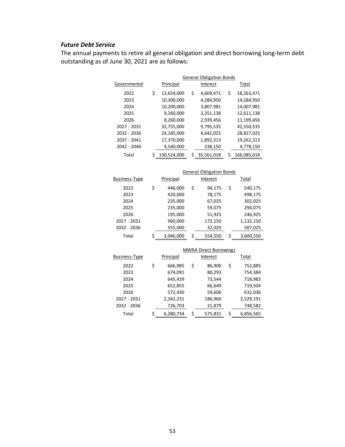# *Future Debt Service*

The annual payments to retire all general obligation and direct borrowing long-term debt outstanding as of June 30, 2021 are as follows:

|                      |     |             | <b>General Obligation Bonds</b> |    |             |
|----------------------|-----|-------------|---------------------------------|----|-------------|
| Governmental         |     | Principal   | Interest                        |    | Total       |
| 2022                 | \$  | 13,654,000  | \$<br>4,609,471                 | \$ | 18,263,471  |
| 2023                 |     | 10,300,000  | 4,284,950                       |    | 14,584,950  |
| 2024                 |     | 10,200,000  | 3,807,981                       |    | 14,007,981  |
| 2025                 |     | 9,260,000   | 3,351,138                       |    | 12,611,138  |
| 2026                 |     | 8,260,000   | 2,939,456                       |    | 11,199,456  |
| 2027 - 2031          |     | 32,755,000  | 9,795,535                       |    | 42,550,535  |
| 2032 - 2036          |     | 24,185,000  | 4,642,025                       |    | 28,827,025  |
| 2037 - 2041          |     | 17,370,000  | 1,892,313                       |    | 19,262,313  |
| 2042 - 2046          |     | 4,540,000   | 238,150                         |    | 4,778,150   |
| Total                | \$. | 130,524,000 | \$35,561,018                    | \$ | 166,085,018 |
|                      |     |             |                                 |    |             |
|                      |     |             | <b>General Obligation Bonds</b> |    |             |
| <b>Business-Type</b> |     | Principal   | Interest                        |    | Total       |
| 2022                 | \$  | 446,000     | \$<br>94,175                    | \$ | 540,175     |
| 2023                 |     | 420,000     | 78,175                          |    | 498,175     |
| 2024                 |     | 235,000     | 67,025                          |    | 302,025     |
| 2025                 |     | 235,000     | 59,075                          |    | 294,075     |
| 2026                 |     | 195,000     | 51,925                          |    | 246,925     |
| 2027 - 2031          |     | 960,000     | 172,150                         |    | 1,132,150   |
| 2032 - 2036          |     | 555,000     | 32,025                          |    | 587,025     |
| Total                | \$  | 3,046,000   | \$<br>554,550                   | Ś  | 3,600,550   |
|                      |     |             |                                 |    |             |
|                      |     |             | <b>MWRA Direct Borrowings</b>   |    |             |
| <b>Business-Type</b> |     | Principal   | Interest                        |    | Total       |
| 2022                 | \$  | 666,985     | \$<br>86,900                    | \$ | 753,885     |
| 2023                 |     | 674,091     | 80,293                          |    | 754,384     |
| 2024                 |     | 645,439     | 73,544                          |    | 718,983     |
| 2025                 |     | 652,855     | 66,649                          |    | 719,504     |
| 2026                 |     | 572,430     | 59,606                          |    | 632,036     |

2027 - 2031 2,342,231 186,960 2,529,191 2032 - 2036 726,703 21,879 748,582 Total \$ 6,280,734 \$ 575,831 \$ 6,856,565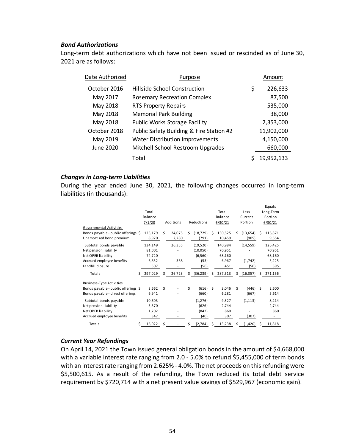#### *Bond Authorizations*

Long-term debt authorizations which have not been issued or rescinded as of June 30, 2021 are as follows:

| Date Authorized | Purpose                                  | Amount        |
|-----------------|------------------------------------------|---------------|
| October 2016    | Hillside School Construction             | \$<br>226,633 |
| May 2017        | <b>Rosemary Recreation Complex</b>       | 87,500        |
| May 2018        | <b>RTS Property Repairs</b>              | 535,000       |
| May 2018        | <b>Memorial Park Building</b>            | 38,000        |
| May 2018        | Public Works Storage Facility            | 2,353,000     |
| October 2018    | Public Safety Building & Fire Station #2 | 11,902,000    |
| May 2019        | <b>Water Distribution Improvements</b>   | 4,150,000     |
| June 2020       | Mitchell School Restroom Upgrades        | 660,000       |
|                 | Total                                    | 19,952,133    |

#### *Changes in Long-term Liabilities*

During the year ended June 30, 2021, the following changes occurred in long-term liabilities (in thousands):

|                                     |    |         |    |           |    |             |    |           |    |             |    | Equals    |
|-------------------------------------|----|---------|----|-----------|----|-------------|----|-----------|----|-------------|----|-----------|
|                                     |    | Total   |    |           |    |             |    | Total     |    | Les s       |    | Long-Term |
|                                     |    | Balance |    |           |    |             |    | Balance   |    | Current     |    | Portion   |
|                                     |    | 7/1/20  |    | Additions |    | Reductions  |    | 6/30/21   |    | Portion     |    | 6/30/21   |
| Governmental Activities             |    |         |    |           |    |             |    |           |    |             |    |           |
| Bonds payable - public offerings \$ |    | 125,179 | Ś. | 24,075    | Ś. | (18, 729)   | Ś  | 130,525   | Ś. | (13, 654)   | Ś  | 116,871   |
| Unamortized bond premium            |    | 8,970   |    | 2,280     |    | (791)       |    | 10,459    |    | (905)       |    | 9,554     |
| Subtotal bonds payable              |    | 134,149 |    | 26,355    |    | (19,520)    |    | 140,984   |    | (14, 559)   |    | 126,425   |
| Net pension liability               |    | 81,001  |    |           |    | (10,050)    |    | 70,951    |    |             |    | 70,951    |
| Net OPEB liability                  |    | 74,720  |    | ٠         |    | (6, 560)    |    | 68,160    |    |             |    | 68,160    |
| Accrued employee benefits           |    | 6,652   |    | 368       |    | (53)        |    | 6,967     |    | (1,742)     |    | 5,225     |
| Landfill closure                    |    | 507     |    |           |    | (56)        |    | 451       |    | (56)        |    | 395       |
| Totals                              | Ś  | 297,029 | Ś  | 26,723    |    | \$ (36,239) |    | \$287,513 |    | \$ (16,357) |    | \$271,156 |
| Business-Type Activities            |    |         |    |           |    |             |    |           |    |             |    |           |
| Bonds payable - public offerings \$ |    | 3,662   | Ś  |           | Ś  | (616)       | Ś. | 3,046     | Ś  | (446)       | Ś. | 2,600     |
| Bonds payable - direct offerings    |    | 6,941   |    |           |    | (660)       |    | 6,281     |    | (667)       |    | 5,614     |
| Subtotal bonds payable              |    | 10,603  |    |           |    | (1,276)     |    | 9,327     |    | (1, 113)    |    | 8,214     |
| Net pension liability               |    | 3,370   |    |           |    | (626)       |    | 2,744     |    |             |    | 2,744     |
| Net OPEB liability                  |    | 1,702   |    |           |    | (842)       |    | 860       |    |             |    | 860       |
| Accrued employee benefits           |    | 347     |    |           |    | (40)        |    | 307       |    | (307)       |    | ٠         |
| Totals                              | \$ | 16,022  |    |           | \$ | (2,784)     | Ŝ  | 13,238    | Ś. | (1,420)     | Ŝ  | 11,818    |

#### *Current Year Refundings*

On April 14, 2021 the Town issued general obligation bonds in the amount of \$4,668,000 with a variable interest rate ranging from 2.0 - 5.0% to refund \$5,455,000 of term bonds with an interest rate ranging from 2.625% - 4.0%. The net proceeds on this refunding were \$5,500,615. As a result of the refunding, the Town reduced its total debt service requirement by \$720,714 with a net present value savings of \$529,967 (economic gain).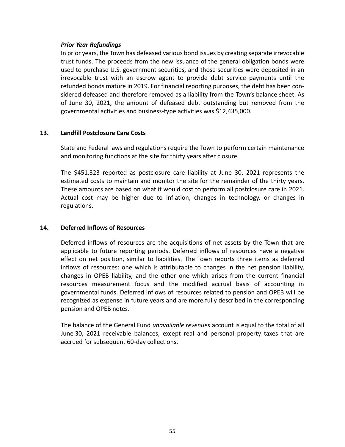## *Prior Year Refundings*

In prior years, the Town has defeased various bond issues by creating separate irrevocable trust funds. The proceeds from the new issuance of the general obligation bonds were used to purchase U.S. government securities, and those securities were deposited in an irrevocable trust with an escrow agent to provide debt service payments until the refunded bonds mature in 2019. For financial reporting purposes, the debt has been considered defeased and therefore removed as a liability from the Town's balance sheet. As of June 30, 2021, the amount of defeased debt outstanding but removed from the governmental activities and business-type activities was \$12,435,000.

### **13. Landfill Postclosure Care Costs**

State and Federal laws and regulations require the Town to perform certain maintenance and monitoring functions at the site for thirty years after closure.

The \$451,323 reported as postclosure care liability at June 30, 2021 represents the estimated costs to maintain and monitor the site for the remainder of the thirty years. These amounts are based on what it would cost to perform all postclosure care in 2021. Actual cost may be higher due to inflation, changes in technology, or changes in regulations.

## **14. Deferred Inflows of Resources**

Deferred inflows of resources are the acquisitions of net assets by the Town that are applicable to future reporting periods. Deferred inflows of resources have a negative effect on net position, similar to liabilities. The Town reports three items as deferred inflows of resources: one which is attributable to changes in the net pension liability, changes in OPEB liability, and the other one which arises from the current financial resources measurement focus and the modified accrual basis of accounting in governmental funds. Deferred inflows of resources related to pension and OPEB will be recognized as expense in future years and are more fully described in the corresponding pension and OPEB notes.

The balance of the General Fund *unavailable revenues* account is equal to the total of all June 30, 2021 receivable balances, except real and personal property taxes that are accrued for subsequent 60-day collections.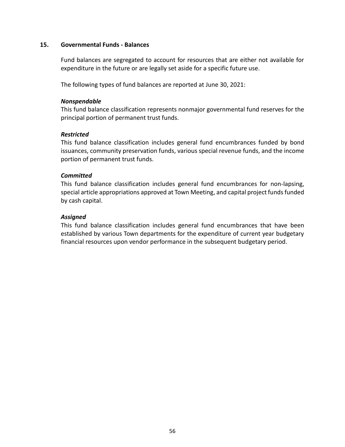### **15. Governmental Funds - Balances**

Fund balances are segregated to account for resources that are either not available for expenditure in the future or are legally set aside for a specific future use.

The following types of fund balances are reported at June 30, 2021:

## *Nonspendable*

This fund balance classification represents nonmajor governmental fund reserves for the principal portion of permanent trust funds.

## *Restricted*

This fund balance classification includes general fund encumbrances funded by bond issuances, community preservation funds, various special revenue funds, and the income portion of permanent trust funds.

## *Committed*

This fund balance classification includes general fund encumbrances for non-lapsing, special article appropriations approved at Town Meeting, and capital project funds funded by cash capital.

### *Assigned*

This fund balance classification includes general fund encumbrances that have been established by various Town departments for the expenditure of current year budgetary financial resources upon vendor performance in the subsequent budgetary period.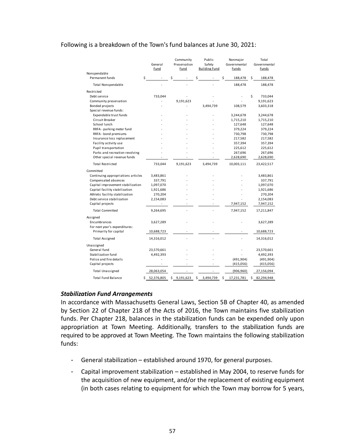#### Following is a breakdown of the Town's fund balances at June 30, 2021:

|                                    | General<br>Fund  |    | Community<br>Preservation<br>Fund | Public<br>Safety<br><b>Building Fund</b> |    | Nonmajor<br>Governmental<br><b>Funds</b> |     | Total<br>Governmental<br><b>Funds</b> |
|------------------------------------|------------------|----|-----------------------------------|------------------------------------------|----|------------------------------------------|-----|---------------------------------------|
| Nonspendable                       |                  |    |                                   |                                          |    |                                          |     |                                       |
| Permanent funds                    | \$               | \$ |                                   | \$                                       | \$ | 188,478                                  | \$. | 188,478                               |
| <b>Total Nonspendable</b>          |                  |    |                                   |                                          |    | 188,478                                  |     | 188,478                               |
| Restricted                         |                  |    |                                   |                                          |    |                                          |     |                                       |
| Debt service                       | 733.044          |    |                                   |                                          |    |                                          | Ś   | 733,044                               |
| Community preservation             |                  |    | 9,191,623                         |                                          |    |                                          |     | 9,191,623                             |
| Bonded projects                    |                  |    |                                   | 3,494,739                                |    | 108,579                                  |     | 3,603,318                             |
| Special revenue funds:             |                  |    |                                   |                                          |    |                                          |     |                                       |
| Expendable trust funds             |                  |    |                                   |                                          |    | 3,244,678                                |     | 3,244,678                             |
| Circuit Breaker                    |                  |    |                                   |                                          |    | 1,715,210                                |     | 1,715,210                             |
| School lunch                       |                  |    |                                   |                                          |    | 127,648                                  |     | 127,648                               |
| RRFA - parking meter fund          |                  |    |                                   |                                          |    | 379,224                                  |     | 379,224                               |
| RRFA - bond premiums               |                  |    |                                   |                                          |    | 730,798                                  |     | 730,798                               |
| Insurance loss replacement         |                  |    |                                   |                                          |    | 217,582                                  |     | 217,582                               |
| Facility activity use              |                  |    |                                   |                                          |    | 357,394                                  |     | 357,394                               |
| Pupil transportation               |                  |    |                                   |                                          |    | 225,612                                  |     | 225,612                               |
| Parks and recreation revolving     |                  |    |                                   |                                          |    | 267,696                                  |     | 267,696                               |
| Other special revenue funds        |                  |    |                                   |                                          |    | 2,628,690                                |     | 2,628,690                             |
| <b>Total Restricted</b>            | 733,044          |    | 9,191,623                         | 3,494,739                                |    | 10,003,111                               |     | 23,422,517                            |
| Committed                          |                  |    |                                   |                                          |    |                                          |     |                                       |
| Continuing appropriations articles | 3,483,861        |    |                                   |                                          |    |                                          |     | 3,483,861                             |
| Compensated absences               | 337,791          |    |                                   |                                          |    |                                          |     | 337,791                               |
| Capital improvement stabilization  | 1,097,070        |    |                                   |                                          |    |                                          |     | 1,097,070                             |
| Capital facility stabilization     | 1,921,686        |    |                                   |                                          |    |                                          |     | 1,921,686                             |
| Athletic facility stabilization    | 270,204          |    |                                   |                                          |    |                                          |     | 270,204                               |
| Debt service stabilization         | 2,154,083        |    |                                   |                                          |    |                                          |     | 2,154,083                             |
| Capital projects                   |                  |    |                                   |                                          |    | 7,947,152                                |     | 7,947,152                             |
| <b>Total Committed</b>             | 9,264,695        |    |                                   |                                          |    | 7,947,152                                |     | 17,211,847                            |
| Assigned                           |                  |    |                                   |                                          |    |                                          |     |                                       |
| Encumbrances                       | 3,627,289        |    |                                   |                                          |    |                                          |     | 3,627,289                             |
| For next year's expenditures:      |                  |    |                                   |                                          |    |                                          |     |                                       |
| Primarily for capital              | 10,688,723       |    |                                   |                                          |    |                                          |     | 10,688,723                            |
| <b>Total Assigned</b>              | 14,316,012       |    |                                   |                                          |    |                                          |     | 14,316,012                            |
| Unassigned                         |                  |    |                                   |                                          |    |                                          |     |                                       |
| General fund                       | 23,570,661       |    |                                   |                                          |    |                                          |     | 23,570,661                            |
| Stabilization fund                 | 4,492,393        |    |                                   |                                          |    |                                          |     | 4,492,393                             |
| Police and fire details            |                  |    |                                   |                                          |    | (491, 904)                               |     | (491, 904)                            |
| Capital projects                   |                  |    |                                   |                                          |    | (415,056)                                |     | (415,056)                             |
| <b>Total Unassigned</b>            | 28,063,054       |    |                                   |                                          |    | (906, 960)                               |     | 27,156,094                            |
| <b>Total Fund Balance</b>          | \$<br>52,376,805 | Ś  | 9.191.623                         | \$<br>3,494,739                          | Ś  | 17,231,781                               | Ś.  | 82,294,948                            |

#### *Stabilization Fund Arrangements*

In accordance with Massachusetts General Laws, Section 5B of Chapter 40, as amended by Section 22 of Chapter 218 of the Acts of 2016, the Town maintains five stabilization funds. Per Chapter 218, balances in the stabilization funds can be expended only upon appropriation at Town Meeting. Additionally, transfers to the stabilization funds are required to be approved at Town Meeting. The Town maintains the following stabilization funds:

- General stabilization established around 1970, for general purposes.
- Capital improvement stabilization established in May 2004, to reserve funds for the acquisition of new equipment, and/or the replacement of existing equipment (in both cases relating to equipment for which the Town may borrow for 5 years,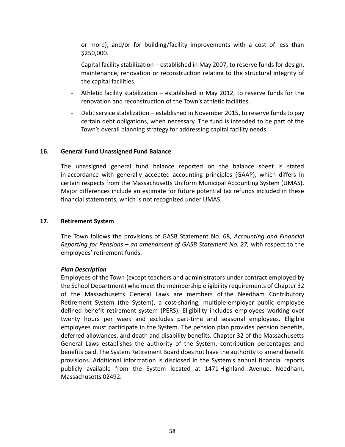or more), and/or for building/facility improvements with a cost of less than \$250,000.

- Capital facility stabilization established in May 2007, to reserve funds for design, maintenance, renovation or reconstruction relating to the structural integrity of the capital facilities.
- Athletic facility stabilization established in May 2012, to reserve funds for the renovation and reconstruction of the Town's athletic facilities.
- Debt service stabilization established in November 2015, to reserve funds to pay certain debt obligations, when necessary. The fund is intended to be part of the Town's overall planning strategy for addressing capital facility needs.

## **16. General Fund Unassigned Fund Balance**

The unassigned general fund balance reported on the balance sheet is stated in accordance with generally accepted accounting principles (GAAP), which differs in certain respects from the Massachusetts Uniform Municipal Accounting System (UMAS). Major differences include an estimate for future potential tax refunds included in these financial statements, which is not recognized under UMAS.

#### **17. Retirement System**

The Town follows the provisions of GASB Statement No. 68*, Accounting and Financial Reporting for Pensions – an amendment of GASB Statement No. 27,* with respect to the employees' retirement funds.

#### *Plan Description*

Employees of the Town (except teachers and administrators under contract employed by the School Department) who meet the membership eligibility requirements of Chapter 32 of the Massachusetts General Laws are members of the Needham Contributory Retirement System (the System), a cost-sharing, multiple-employer public employee defined benefit retirement system (PERS). Eligibility includes employees working over twenty hours per week and excludes part-time and seasonal employees. Eligible employees must participate in the System. The pension plan provides pension benefits, deferred allowances, and death and disability benefits. Chapter 32 of the Massachusetts General Laws establishes the authority of the System, contribution percentages and benefits paid. The System Retirement Board does not have the authority to amend benefit provisions. Additional information is disclosed in the System's annual financial reports publicly available from the System located at 1471 Highland Avenue, Needham, Massachusetts 02492.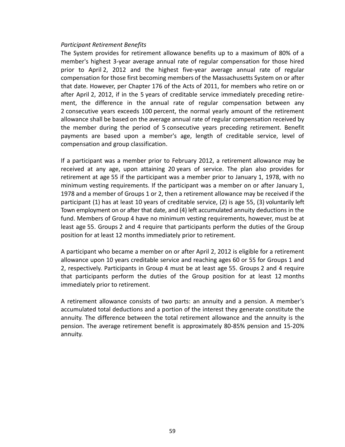### *Participant Retirement Benefits*

The System provides for retirement allowance benefits up to a maximum of 80% of a member's highest 3-year average annual rate of regular compensation for those hired prior to April 2, 2012 and the highest five-year average annual rate of regular compensation for those first becoming members of the Massachusetts System on or after that date. However, per Chapter 176 of the Acts of 2011, for members who retire on or after April 2, 2012, if in the 5 years of creditable service immediately preceding retirement, the difference in the annual rate of regular compensation between any 2 consecutive years exceeds 100 percent, the normal yearly amount of the retirement allowance shall be based on the average annual rate of regular compensation received by the member during the period of 5 consecutive years preceding retirement. Benefit payments are based upon a member's age, length of creditable service, level of compensation and group classification.

If a participant was a member prior to February 2012, a retirement allowance may be received at any age, upon attaining 20 years of service. The plan also provides for retirement at age 55 if the participant was a member prior to January 1, 1978, with no minimum vesting requirements. If the participant was a member on or after January 1, 1978 and a member of Groups 1 or 2, then a retirement allowance may be received if the participant (1) has at least 10 years of creditable service, (2) is age 55, (3) voluntarily left Town employment on or after that date, and (4) left accumulated annuity deductions in the fund. Members of Group 4 have no minimum vesting requirements, however, must be at least age 55. Groups 2 and 4 require that participants perform the duties of the Group position for at least 12 months immediately prior to retirement.

A participant who became a member on or after April 2, 2012 is eligible for a retirement allowance upon 10 years creditable service and reaching ages 60 or 55 for Groups 1 and 2, respectively. Participants in Group 4 must be at least age 55. Groups 2 and 4 require that participants perform the duties of the Group position for at least 12 months immediately prior to retirement.

A retirement allowance consists of two parts: an annuity and a pension. A member's accumulated total deductions and a portion of the interest they generate constitute the annuity. The difference between the total retirement allowance and the annuity is the pension. The average retirement benefit is approximately 80-85% pension and 15-20% annuity.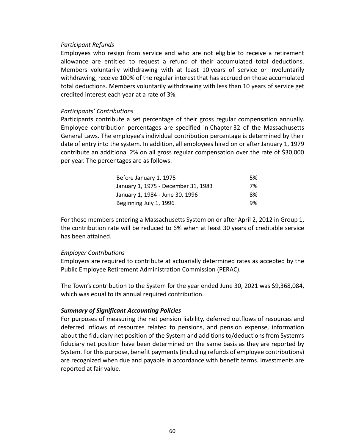#### *Participant Refunds*

Employees who resign from service and who are not eligible to receive a retirement allowance are entitled to request a refund of their accumulated total deductions. Members voluntarily withdrawing with at least 10 years of service or involuntarily withdrawing, receive 100% of the regular interest that has accrued on those accumulated total deductions. Members voluntarily withdrawing with less than 10 years of service get credited interest each year at a rate of 3%.

### *Participants' Contributions*

Participants contribute a set percentage of their gross regular compensation annually. Employee contribution percentages are specified in Chapter 32 of the Massachusetts General Laws. The employee's individual contribution percentage is determined by their date of entry into the system. In addition, all employees hired on or after January 1, 1979 contribute an additional 2% on all gross regular compensation over the rate of \$30,000 per year. The percentages are as follows:

| Before January 1, 1975              | .5% |
|-------------------------------------|-----|
| January 1, 1975 - December 31, 1983 | 7%  |
| January 1, 1984 - June 30, 1996     | 8%  |
| Beginning July 1, 1996              | 9%  |

For those members entering a Massachusetts System on or after April 2, 2012 in Group 1, the contribution rate will be reduced to 6% when at least 30 years of creditable service has been attained.

#### *Employer Contributions*

Employers are required to contribute at actuarially determined rates as accepted by the Public Employee Retirement Administration Commission (PERAC).

The Town's contribution to the System for the year ended June 30, 2021 was \$9,368,084, which was equal to its annual required contribution.

## *Summary of Significant Accounting Policies*

For purposes of measuring the net pension liability, deferred outflows of resources and deferred inflows of resources related to pensions, and pension expense, information about the fiduciary net position of the System and additions to/deductions from System's fiduciary net position have been determined on the same basis as they are reported by System. For this purpose, benefit payments (including refunds of employee contributions) are recognized when due and payable in accordance with benefit terms. Investments are reported at fair value.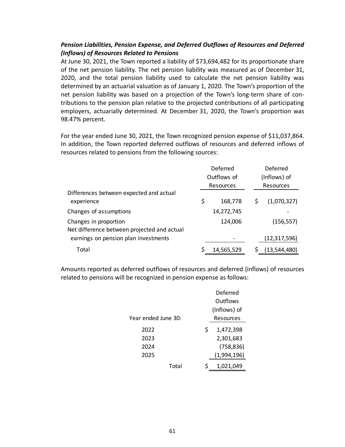# *Pension Liabilities, Pension Expense, and Deferred Outflows of Resources and Deferred (Inflows) of Resources Related to Pensions*

At June 30, 2021, the Town reported a liability of \$73,694,482 for its proportionate share of the net pension liability. The net pension liability was measured as of December 31, 2020, and the total pension liability used to calculate the net pension liability was determined by an actuarial valuation as of January 1, 2020. The Town's proportion of the net pension liability was based on a projection of the Town's long-term share of contributions to the pension plan relative to the projected contributions of all participating employers, actuarially determined. At December 31, 2020, the Town's proportion was 98.47% percent.

For the year ended June 30, 2021, the Town recognized pension expense of \$11,037,864. In addition, the Town reported deferred outflows of resources and deferred inflows of resources related to pensions from the following sources:

|                                                                      | Deferred<br>Outflows of<br>Resources | Deferred<br>(Inflows) of<br>Resources |
|----------------------------------------------------------------------|--------------------------------------|---------------------------------------|
| Differences between expected and actual<br>experience                | \$<br>168,778                        | \$<br>(1,070,327)                     |
| Changes of assumptions                                               | 14,272,745                           |                                       |
| Changes in proportion<br>Net difference between projected and actual | 124,006                              | (156, 557)                            |
| earnings on pension plan investments                                 |                                      | (12,317,596)                          |
| Total                                                                | 14,565,529                           | (13,544,480)                          |

Amounts reported as deferred outflows of resources and deferred (inflows) of resources related to pensions will be recognized in pension expense as follows:

|                     | Deferred<br>Outflows<br>(Inflows) of |
|---------------------|--------------------------------------|
| Year ended June 30: | Resources                            |
| 2022                | S<br>1,472,398                       |
| 2023                | 2,301,683                            |
| 2024                | (758, 836)                           |
| 2025                | (1,994,196)                          |
| Total               | 1,021,049                            |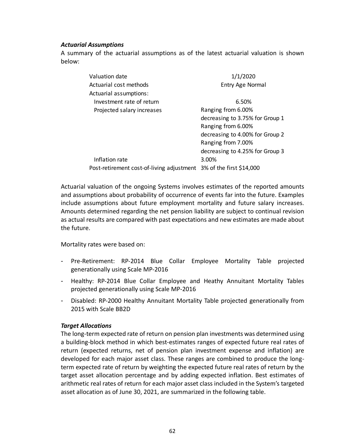### *Actuarial Assumptions*

A summary of the actuarial assumptions as of the latest actuarial valuation is shown below:

| Valuation date                                                     | 1/1/2020                        |
|--------------------------------------------------------------------|---------------------------------|
| Actuarial cost methods                                             | Entry Age Normal                |
| Actuarial assumptions:                                             |                                 |
| Investment rate of return                                          | 6.50%                           |
| Projected salary increases                                         | Ranging from 6.00%              |
|                                                                    | decreasing to 3.75% for Group 1 |
|                                                                    | Ranging from 6.00%              |
|                                                                    | decreasing to 4.00% for Group 2 |
|                                                                    | Ranging from 7.00%              |
|                                                                    | decreasing to 4.25% for Group 3 |
| Inflation rate                                                     | 3.00%                           |
| Post-retirement cost-of-living adjustment 3% of the first \$14,000 |                                 |

Actuarial valuation of the ongoing Systems involves estimates of the reported amounts and assumptions about probability of occurrence of events far into the future. Examples include assumptions about future employment mortality and future salary increases. Amounts determined regarding the net pension liability are subject to continual revision as actual results are compared with past expectations and new estimates are made about the future.

Mortality rates were based on:

- Pre-Retirement: RP-2014 Blue Collar Employee Mortality Table projected generationally using Scale MP-2016
- Healthy: RP-2014 Blue Collar Employee and Heathy Annuitant Mortality Tables projected generationally using Scale MP-2016
- Disabled: RP-2000 Healthy Annuitant Mortality Table projected generationally from 2015 with Scale BB2D

## *Target Allocations*

The long-term expected rate of return on pension plan investments was determined using a building-block method in which best-estimates ranges of expected future real rates of return (expected returns, net of pension plan investment expense and inflation) are developed for each major asset class. These ranges are combined to produce the longterm expected rate of return by weighting the expected future real rates of return by the target asset allocation percentage and by adding expected inflation. Best estimates of arithmetic real rates of return for each major asset class included in the System's targeted asset allocation as of June 30, 2021, are summarized in the following table.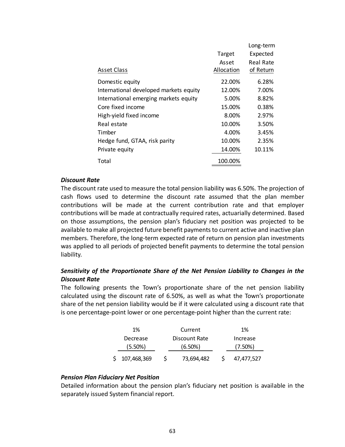|                                        |            | Long-term |
|----------------------------------------|------------|-----------|
|                                        | Target     | Expected  |
|                                        | Asset      | Real Rate |
| <b>Asset Class</b>                     | Allocation | of Return |
| Domestic equity                        | 22.00%     | 6.28%     |
| International developed markets equity | 12.00%     | 7.00%     |
| International emerging markets equity  | 5.00%      | 8.82%     |
| Core fixed income                      | 15.00%     | 0.38%     |
| High-yield fixed income                | 8.00%      | 2.97%     |
| Real estate                            | 10.00%     | 3.50%     |
| Timber                                 | 4.00%      | 3.45%     |
| Hedge fund, GTAA, risk parity          | 10.00%     | 2.35%     |
| Private equity                         | 14.00%     | 10.11%    |
| Total                                  | 100.00%    |           |

### *Discount Rate*

The discount rate used to measure the total pension liability was 6.50%. The projection of cash flows used to determine the discount rate assumed that the plan member contributions will be made at the current contribution rate and that employer contributions will be made at contractually required rates, actuarially determined. Based on those assumptions, the pension plan's fiduciary net position was projected to be available to make all projected future benefit payments to current active and inactive plan members. Therefore, the long-term expected rate of return on pension plan investments was applied to all periods of projected benefit payments to determine the total pension liability.

# *Sensitivity of the Proportionate Share of the Net Pension Liability to Changes in the Discount Rate*

The following presents the Town's proportionate share of the net pension liability calculated using the discount rate of 6.50%, as well as what the Town's proportionate share of the net pension liability would be if it were calculated using a discount rate that is one percentage-point lower or one percentage-point higher than the current rate:

| 1%            | Current       |    | 1%         |
|---------------|---------------|----|------------|
| Decrease      | Discount Rate |    | Increase   |
| (5.50%)       | $(6.50\%)$    |    | $(7.50\%)$ |
| \$107,468,369 | 73.694.482    | S. | 47,477,527 |

## *Pension Plan Fiduciary Net Position*

Detailed information about the pension plan's fiduciary net position is available in the separately issued System financial report.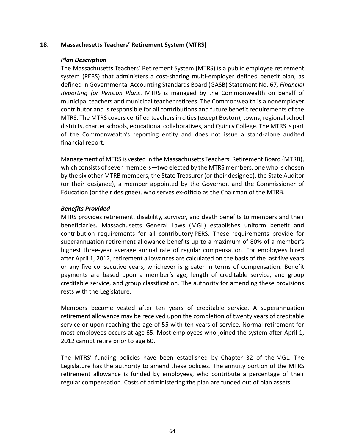### **18. Massachusetts Teachers' Retirement System (MTRS)**

### *Plan Description*

The Massachusetts Teachers' Retirement System (MTRS) is a public employee retirement system (PERS) that administers a cost-sharing multi-employer defined benefit plan, as defined in Governmental Accounting Standards Board (GASB) Statement No. 67*, Financial Reporting for Pension Plans*. MTRS is managed by the Commonwealth on behalf of municipal teachers and municipal teacher retirees. The Commonwealth is a nonemployer contributor and is responsible for all contributions and future benefit requirements of the MTRS. The MTRS covers certified teachers in cities (except Boston), towns, regional school districts, charter schools, educational collaboratives, and Quincy College. The MTRS is part of the Commonwealth's reporting entity and does not issue a stand-alone audited financial report.

Management of MTRS is vested in the Massachusetts Teachers' Retirement Board (MTRB), which consists of seven members—two elected by the MTRS members, one who is chosen by the six other MTRB members, the State Treasurer (or their designee), the State Auditor (or their designee), a member appointed by the Governor, and the Commissioner of Education (or their designee), who serves ex-officio as the Chairman of the MTRB.

## *Benefits Provided*

MTRS provides retirement, disability, survivor, and death benefits to members and their beneficiaries. Massachusetts General Laws (MGL) establishes uniform benefit and contribution requirements for all contributory PERS. These requirements provide for superannuation retirement allowance benefits up to a maximum of 80% of a member's highest three-year average annual rate of regular compensation. For employees hired after April 1, 2012, retirement allowances are calculated on the basis of the last five years or any five consecutive years, whichever is greater in terms of compensation. Benefit payments are based upon a member's age, length of creditable service, and group creditable service, and group classification. The authority for amending these provisions rests with the Legislature.

Members become vested after ten years of creditable service. A superannuation retirement allowance may be received upon the completion of twenty years of creditable service or upon reaching the age of 55 with ten years of service. Normal retirement for most employees occurs at age 65. Most employees who joined the system after April 1, 2012 cannot retire prior to age 60.

The MTRS' funding policies have been established by Chapter 32 of the MGL. The Legislature has the authority to amend these policies. The annuity portion of the MTRS retirement allowance is funded by employees, who contribute a percentage of their regular compensation. Costs of administering the plan are funded out of plan assets.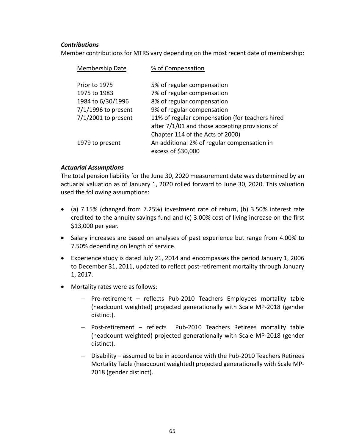## *Contributions*

Member contributions for MTRS vary depending on the most recent date of membership:

| <b>Membership Date</b> | % of Compensation                                                                                                                     |
|------------------------|---------------------------------------------------------------------------------------------------------------------------------------|
| Prior to 1975          | 5% of regular compensation                                                                                                            |
| 1975 to 1983           | 7% of regular compensation                                                                                                            |
| 1984 to 6/30/1996      | 8% of regular compensation                                                                                                            |
| $7/1/1996$ to present  | 9% of regular compensation                                                                                                            |
| $7/1/2001$ to present  | 11% of regular compensation (for teachers hired<br>after 7/1/01 and those accepting provisions of<br>Chapter 114 of the Acts of 2000) |
| 1979 to present        | An additional 2% of regular compensation in<br>excess of \$30,000                                                                     |

#### *Actuarial Assumptions*

The total pension liability for the June 30, 2020 measurement date was determined by an actuarial valuation as of January 1, 2020 rolled forward to June 30, 2020. This valuation used the following assumptions:

- (a) 7.15% (changed from 7.25%) investment rate of return, (b) 3.50% interest rate credited to the annuity savings fund and (c) 3.00% cost of living increase on the first \$13,000 per year.
- Salary increases are based on analyses of past experience but range from 4.00% to 7.50% depending on length of service.
- Experience study is dated July 21, 2014 and encompasses the period January 1, 2006 to December 31, 2011, updated to reflect post-retirement mortality through January 1, 2017.
- Mortality rates were as follows:
	- − Pre-retirement reflects Pub-2010 Teachers Employees mortality table (headcount weighted) projected generationally with Scale MP-2018 (gender distinct).
	- − Post-retirement reflects Pub-2010 Teachers Retirees mortality table (headcount weighted) projected generationally with Scale MP-2018 (gender distinct).
	- − Disability assumed to be in accordance with the Pub-2010 Teachers Retirees Mortality Table (headcount weighted) projected generationally with Scale MP-2018 (gender distinct).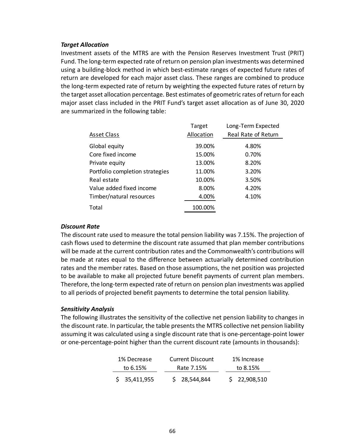#### *Target Allocation*

Investment assets of the MTRS are with the Pension Reserves Investment Trust (PRIT) Fund. The long-term expected rate of return on pension plan investments was determined using a building-block method in which best-estimate ranges of expected future rates of return are developed for each major asset class. These ranges are combined to produce the long-term expected rate of return by weighting the expected future rates of return by the target asset allocation percentage. Best estimates of geometric rates of return for each major asset class included in the PRIT Fund's target asset allocation as of June 30, 2020 are summarized in the following table:

|                                 | Target     | Long-Term Expected  |
|---------------------------------|------------|---------------------|
| <b>Asset Class</b>              | Allocation | Real Rate of Return |
| Global equity                   | 39.00%     | 4.80%               |
| Core fixed income               | 15.00%     | 0.70%               |
| Private equity                  | 13.00%     | 8.20%               |
| Portfolio completion strategies | 11.00%     | 3.20%               |
| Real estate                     | 10.00%     | 3.50%               |
| Value added fixed income        | 8.00%      | 4.20%               |
| Timber/natural resources        | 4.00%      | 4.10%               |
| Total                           | 100.00%    |                     |

#### *Discount Rate*

The discount rate used to measure the total pension liability was 7.15%. The projection of cash flows used to determine the discount rate assumed that plan member contributions will be made at the current contribution rates and the Commonwealth's contributions will be made at rates equal to the difference between actuarially determined contribution rates and the member rates. Based on those assumptions, the net position was projected to be available to make all projected future benefit payments of current plan members. Therefore, the long-term expected rate of return on pension plan investments was applied to all periods of projected benefit payments to determine the total pension liability.

#### *Sensitivity Analysis*

The following illustrates the sensitivity of the collective net pension liability to changes in the discount rate. In particular, the table presents the MTRS collective net pension liability assuming it was calculated using a single discount rate that is one-percentage-point lower or one-percentage-point higher than the current discount rate (amounts in thousands):

| 1% Decrease  | <b>Current Discount</b> | 1% Increase  |
|--------------|-------------------------|--------------|
| to 6.15%     | Rate 7.15%              | to 8.15%     |
| \$35,411,955 | \$28,544,844            | \$22,908,510 |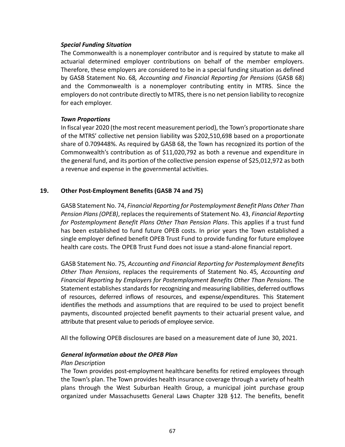## *Special Funding Situation*

The Commonwealth is a nonemployer contributor and is required by statute to make all actuarial determined employer contributions on behalf of the member employers. Therefore, these employers are considered to be in a special funding situation as defined by GASB Statement No. 68*, Accounting and Financial Reporting for Pensions* (GASB 68) and the Commonwealth is a nonemployer contributing entity in MTRS. Since the employers do not contribute directly to MTRS, there is no net pension liability to recognize for each employer.

## *Town Proportions*

In fiscal year 2020 (the most recent measurement period), the Town's proportionate share of the MTRS' collective net pension liability was \$202,510,698 based on a proportionate share of 0.709448%. As required by GASB 68, the Town has recognized its portion of the Commonwealth's contribution as of \$11,020,792 as both a revenue and expenditure in the general fund, and its portion of the collective pension expense of \$25,012,972 as both a revenue and expense in the governmental activities.

# **19. Other Post-Employment Benefits (GASB 74 and 75)**

GASB Statement No. 74, *Financial Reporting for Postemployment Benefit Plans Other Than Pension Plans (OPEB)*, replaces the requirements of Statement No. 43, *Financial Reporting for Postemployment Benefit Plans Other Than Pension Plans*. This applies if a trust fund has been established to fund future OPEB costs. In prior years the Town established a single employer defined benefit OPEB Trust Fund to provide funding for future employee health care costs. The OPEB Trust Fund does not issue a stand-alone financial report.

GASB Statement No. 75*, Accounting and Financial Reporting for Postemployment Benefits Other Than Pensions*, replaces the requirements of Statement No. 45*, Accounting and Financial Reporting by Employers for Postemployment Benefits Other Than Pensions*. The Statement establishes standards for recognizing and measuring liabilities, deferred outflows of resources, deferred inflows of resources, and expense/expenditures. This Statement identifies the methods and assumptions that are required to be used to project benefit payments, discounted projected benefit payments to their actuarial present value, and attribute that present value to periods of employee service.

All the following OPEB disclosures are based on a measurement date of June 30, 2021.

## *General Information about the OPEB Plan*

## *Plan Description*

The Town provides post-employment healthcare benefits for retired employees through the Town's plan. The Town provides health insurance coverage through a variety of health plans through the West Suburban Health Group, a municipal joint purchase group organized under Massachusetts General Laws Chapter 32B §12. The benefits, benefit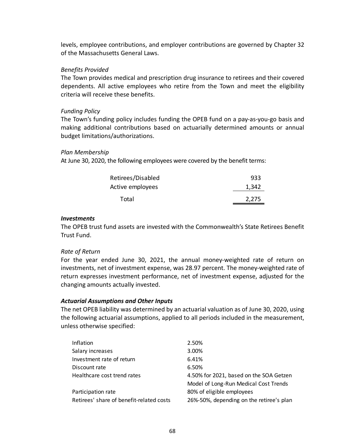levels, employee contributions, and employer contributions are governed by Chapter 32 of the Massachusetts General Laws.

### *Benefits Provided*

The Town provides medical and prescription drug insurance to retirees and their covered dependents. All active employees who retire from the Town and meet the eligibility criteria will receive these benefits.

### *Funding Policy*

The Town's funding policy includes funding the OPEB fund on a pay-as-you-go basis and making additional contributions based on actuarially determined amounts or annual budget limitations/authorizations.

### *Plan Membership*

At June 30, 2020, the following employees were covered by the benefit terms:

| Retirees/Disabled | 933   |
|-------------------|-------|
| Active employees  | 1,342 |
| Total             | 2,275 |

### *Investments*

The OPEB trust fund assets are invested with the Commonwealth's State Retirees Benefit Trust Fund.

## *Rate of Return*

For the year ended June 30, 2021, the annual money-weighted rate of return on investments, net of investment expense, was 28.97 percent. The money-weighted rate of return expresses investment performance, net of investment expense, adjusted for the changing amounts actually invested.

## *Actuarial Assumptions and Other Inputs*

The net OPEB liability was determined by an actuarial valuation as of June 30, 2020, using the following actuarial assumptions, applied to all periods included in the measurement, unless otherwise specified:

| Inflation                                | 2.50%                                    |
|------------------------------------------|------------------------------------------|
| Salary increases                         | 3.00%                                    |
| Investment rate of return                | 6.41%                                    |
| Discount rate                            | 6.50%                                    |
| Healthcare cost trend rates              | 4.50% for 2021, based on the SOA Getzen  |
|                                          | Model of Long-Run Medical Cost Trends    |
| Participation rate                       | 80% of eligible employees                |
| Retirees' share of benefit-related costs | 26%-50%, depending on the retiree's plan |
|                                          |                                          |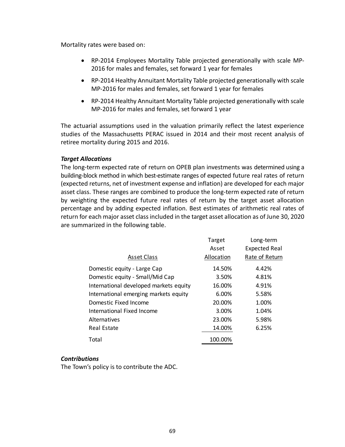Mortality rates were based on:

- RP-2014 Employees Mortality Table projected generationally with scale MP-2016 for males and females, set forward 1 year for females
- RP-2014 Healthy Annuitant Mortality Table projected generationally with scale MP-2016 for males and females, set forward 1 year for females
- RP-2014 Healthy Annuitant Mortality Table projected generationally with scale MP-2016 for males and females, set forward 1 year

The actuarial assumptions used in the valuation primarily reflect the latest experience studies of the Massachusetts PERAC issued in 2014 and their most recent analysis of retiree mortality during 2015 and 2016.

## *Target Allocations*

The long-term expected rate of return on OPEB plan investments was determined using a building-block method in which best-estimate ranges of expected future real rates of return (expected returns, net of investment expense and inflation) are developed for each major asset class. These ranges are combined to produce the long-term expected rate of return by weighting the expected future real rates of return by the target asset allocation percentage and by adding expected inflation. Best estimates of arithmetic real rates of return for each major asset class included in the target asset allocation as of June 30, 2020 are summarized in the following table.

|                                        | Target     | Long-term            |
|----------------------------------------|------------|----------------------|
|                                        | Asset      | <b>Expected Real</b> |
| <b>Asset Class</b>                     | Allocation | Rate of Return       |
| Domestic equity - Large Cap            | 14.50%     | 4.42%                |
| Domestic equity - Small/Mid Cap        | 3.50%      | 4.81%                |
| International developed markets equity | 16.00%     | 4.91%                |
| International emerging markets equity  | 6.00%      | 5.58%                |
| Domestic Fixed Income                  | 20.00%     | 1.00%                |
| International Fixed Income             | 3.00%      | 1.04%                |
| Alternatives                           | 23.00%     | 5.98%                |
| Real Estate                            | 14.00%     | 6.25%                |
| Total                                  | 100.00%    |                      |

## *Contributions*

The Town's policy is to contribute the ADC.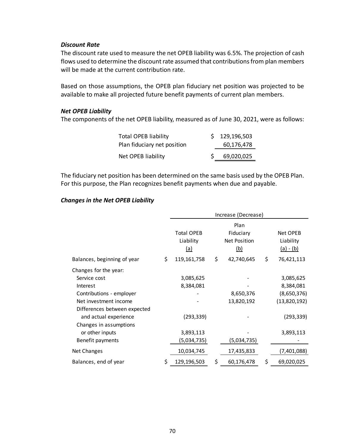## *Discount Rate*

The discount rate used to measure the net OPEB liability was 6.5%. The projection of cash flows used to determine the discount rate assumed that contributions from plan members will be made at the current contribution rate.

Based on those assumptions, the OPEB plan fiduciary net position was projected to be available to make all projected future benefit payments of current plan members.

### *Net OPEB Liability*

The components of the net OPEB liability, measured as of June 30, 2021, were as follows:

| <b>Total OPEB liability</b> | \$129,196,503 |
|-----------------------------|---------------|
| Plan fiduciary net position | 60,176,478    |
| Net OPEB liability          | 69,020,025    |

The fiduciary net position has been determined on the same basis used by the OPEB Plan. For this purpose, the Plan recognizes benefit payments when due and payable.

## *Changes in the Net OPEB Liability*

|                              | Increase (Decrease)                   |    |                                                 |    |                                           |  |  |  |
|------------------------------|---------------------------------------|----|-------------------------------------------------|----|-------------------------------------------|--|--|--|
|                              | <b>Total OPEB</b><br>Liability<br>(a) |    | Plan<br>Fiduciary<br>Net Position<br><u>(b)</u> |    | Net OPEB<br>Liability<br><u>(a) - (b)</u> |  |  |  |
| Balances, beginning of year  | \$<br>119,161,758                     | \$ | 42,740,645                                      | \$ | 76,421,113                                |  |  |  |
| Changes for the year:        |                                       |    |                                                 |    |                                           |  |  |  |
| Service cost                 | 3,085,625                             |    |                                                 |    | 3,085,625                                 |  |  |  |
| Interest                     | 8,384,081                             |    |                                                 |    | 8,384,081                                 |  |  |  |
| Contributions - employer     |                                       |    | 8,650,376                                       |    | (8,650,376)                               |  |  |  |
| Net investment income        |                                       |    | 13,820,192                                      |    | (13,820,192)                              |  |  |  |
| Differences between expected |                                       |    |                                                 |    |                                           |  |  |  |
| and actual experience        | (293, 339)                            |    |                                                 |    | (293, 339)                                |  |  |  |
| Changes in assumptions       |                                       |    |                                                 |    |                                           |  |  |  |
| or other inputs              | 3,893,113                             |    |                                                 |    | 3,893,113                                 |  |  |  |
| Benefit payments             | (5,034,735)                           |    | (5,034,735)                                     |    |                                           |  |  |  |
| <b>Net Changes</b>           | 10,034,745                            |    | 17,435,833                                      |    | (7,401,088)                               |  |  |  |
| Balances, end of year        | \$<br>129,196,503                     | \$ | 60,176,478                                      | \$ | 69,020,025                                |  |  |  |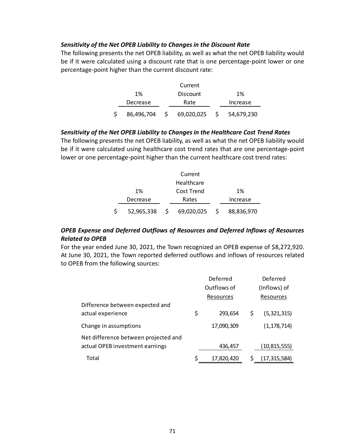## *Sensitivity of the Net OPEB Liability to Changes in the Discount Rate*

The following presents the net OPEB liability, as well as what the net OPEB liability would be if it were calculated using a discount rate that is one percentage-point lower or one percentage-point higher than the current discount rate:

|            | Current         |            |
|------------|-----------------|------------|
| 1%         | <b>Discount</b> | 1%         |
| Decrease   | Rate            | Increase   |
| 86,496,704 | 69,020,025      | 54,679,230 |

## *Sensitivity of the Net OPEB Liability to Changes in the Healthcare Cost Trend Rates*

The following presents the net OPEB liability, as well as what the net OPEB liability would be if it were calculated using healthcare cost trend rates that are one percentage-point lower or one percentage-point higher than the current healthcare cost trend rates:

|            |    | Current         |            |
|------------|----|-----------------|------------|
|            |    | Healthcare      |            |
| 1%         |    | Cost Trend      | 1%         |
| Decrease   |    | Rates           | Increase   |
| 52,965,338 | -S | $69,020,025$ \$ | 88,836,970 |

# *OPEB Expense and Deferred Outflows of Resources and Deferred Inflows of Resources Related to OPEB*

For the year ended June 30, 2021, the Town recognized an OPEB expense of \$8,272,920. At June 30, 2021, the Town reported deferred outflows and inflows of resources related to OPEB from the following sources:

|                                      | Deferred         | Deferred          |
|--------------------------------------|------------------|-------------------|
|                                      | Outflows of      | (Inflows) of      |
|                                      | Resources        | Resources         |
| Difference between expected and      |                  |                   |
| actual experience                    | \$<br>293,654    | \$<br>(5,321,315) |
| Change in assumptions                | 17,090,309       | (1, 178, 714)     |
| Net difference between projected and |                  |                   |
| actual OPEB investment earnings      | 436,457          | (10, 815, 555)    |
| Total                                | \$<br>17,820,420 | (17, 315, 584)    |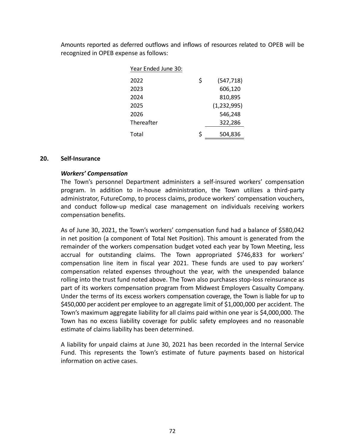Amounts reported as deferred outflows and inflows of resources related to OPEB will be recognized in OPEB expense as follows:

| Year Ended June 30: |                  |
|---------------------|------------------|
| 2022                | \$<br>(547, 718) |
| 2023                | 606,120          |
| 2024                | 810,895          |
| 2025                | (1,232,995)      |
| 2026                | 546,248          |
| Thereafter          | 322,286          |
| Total               | \$<br>504,836    |

## **20. Self-Insurance**

# *Workers' Compensation*

The Town's personnel Department administers a self-insured workers' compensation program. In addition to in-house administration, the Town utilizes a third-party administrator, FutureComp, to process claims, produce workers' compensation vouchers, and conduct follow-up medical case management on individuals receiving workers compensation benefits.

As of June 30, 2021, the Town's workers' compensation fund had a balance of \$580,042 in net position (a component of Total Net Position). This amount is generated from the remainder of the workers compensation budget voted each year by Town Meeting, less accrual for outstanding claims. The Town appropriated \$746,833 for workers' compensation line item in fiscal year 2021. These funds are used to pay workers' compensation related expenses throughout the year, with the unexpended balance rolling into the trust fund noted above. The Town also purchases stop-loss reinsurance as part of its workers compensation program from Midwest Employers Casualty Company. Under the terms of its excess workers compensation coverage, the Town is liable for up to \$450,000 per accident per employee to an aggregate limit of \$1,000,000 per accident. The Town's maximum aggregate liability for all claims paid within one year is \$4,000,000. The Town has no excess liability coverage for public safety employees and no reasonable estimate of claims liability has been determined.

A liability for unpaid claims at June 30, 2021 has been recorded in the Internal Service Fund. This represents the Town's estimate of future payments based on historical information on active cases.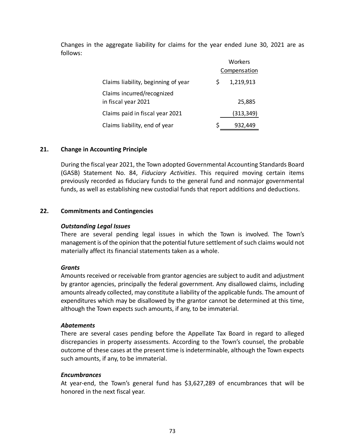Changes in the aggregate liability for claims for the year ended June 30, 2021 are as follows:

|                                                   | Workers      |            |  |
|---------------------------------------------------|--------------|------------|--|
|                                                   | Compensation |            |  |
| Claims liability, beginning of year               | S.           | 1,219,913  |  |
| Claims incurred/recognized<br>in fiscal year 2021 |              | 25,885     |  |
| Claims paid in fiscal year 2021                   |              | (313, 349) |  |
| Claims liability, end of year                     |              | 932,449    |  |

# **21. Change in Accounting Principle**

During the fiscal year 2021, the Town adopted Governmental Accounting Standards Board (GASB) Statement No. 84, *Fiduciary Activities*. This required moving certain items previously recorded as fiduciary funds to the general fund and nonmajor governmental funds, as well as establishing new custodial funds that report additions and deductions.

## **22. Commitments and Contingencies**

## *Outstanding Legal Issues*

There are several pending legal issues in which the Town is involved. The Town's management is of the opinion that the potential future settlement of such claims would not materially affect its financial statements taken as a whole.

## *Grants*

Amounts received or receivable from grantor agencies are subject to audit and adjustment by grantor agencies, principally the federal government. Any disallowed claims, including amounts already collected, may constitute a liability of the applicable funds. The amount of expenditures which may be disallowed by the grantor cannot be determined at this time, although the Town expects such amounts, if any, to be immaterial.

## *Abatements*

There are several cases pending before the Appellate Tax Board in regard to alleged discrepancies in property assessments. According to the Town's counsel, the probable outcome of these cases at the present time is indeterminable, although the Town expects such amounts, if any, to be immaterial.

## *Encumbrances*

At year-end, the Town's general fund has \$3,627,289 of encumbrances that will be honored in the next fiscal year.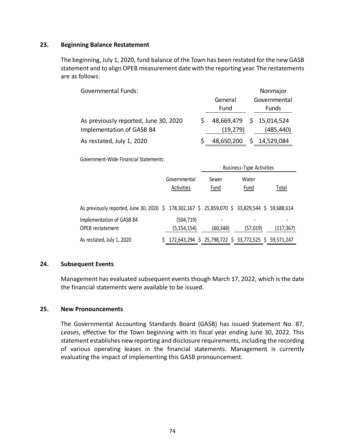## **23. Beginning Balance Restatement**

The beginning, July 1, 2020, fund balance of the Town has been restated for the new GASB statement and to align OPEB measurement date with the reporting year. The restatements are as follows:

| Governmental Funds:                                                      |                                                       |    |                         |  |           |  | Nonmajor                 |  |  |  |
|--------------------------------------------------------------------------|-------------------------------------------------------|----|-------------------------|--|-----------|--|--------------------------|--|--|--|
|                                                                          |                                                       |    | General<br>Fund         |  |           |  | Governmental<br>Funds    |  |  |  |
| As previously reported, June 30, 2020<br>Implementation of GASB 84       |                                                       | \$ | 48,669,479<br>(19, 279) |  | \$.       |  | 15,014,524<br>(485, 440) |  |  |  |
| As restated, July 1, 2020                                                |                                                       | \$ | 48,650,200              |  |           |  | \$14,529,084             |  |  |  |
| Government-Wide Financial Statements:<br><b>Business-Type Activities</b> |                                                       |    |                         |  |           |  |                          |  |  |  |
|                                                                          | Governmental                                          |    | Sewer                   |  |           |  |                          |  |  |  |
|                                                                          | Activities                                            |    | Fund                    |  | Fund      |  | Total                    |  |  |  |
| As previously reported, June 30, 2020 $\oint$                            | 178,302,167 \$ 25,859,070 \$ 33,829,544 \$ 59,688,614 |    |                         |  |           |  |                          |  |  |  |
| Implementation of GASB 84                                                | (504, 719)                                            |    |                         |  |           |  |                          |  |  |  |
| <b>OPEB</b> restatement                                                  | (5,154,154)                                           |    | (60, 348)               |  | (57, 019) |  | (117,367)                |  |  |  |

# **24. Subsequent Events**

Management has evaluated subsequent events though March 17, 2022, which is the date the financial statements were available to be issued.

As restated, July 1, 2020 \$ 172,643,294 \$ 25,798,722 \$ 33,772,525 \$ 59,571,247

## **25. New Pronouncements**

The Governmental Accounting Standards Board (GASB) has issued Statement No. 87, *Leases*, effective for the Town beginning with its fiscal year ending June 30, 2022. This statement establishes new reporting and disclosure requirements, including the recording of various operating leases in the financial statements. Management is currently evaluating the impact of implementing this GASB pronouncement.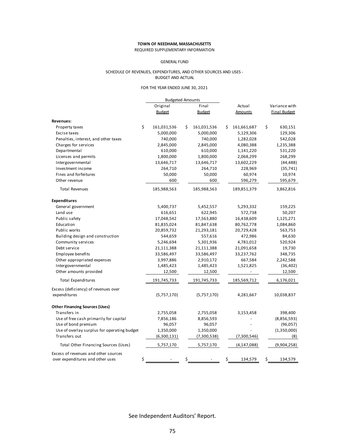REQUIRED SUPPLEMENTARY INFORMATION

#### GENERAL FUND

#### SCHEDULE OF REVENUES, EXPENDITURES, AND OTHER SOURCES AND USES - BUDGET AND ACTUAL

#### FOR THE YEAR ENDED JUNE 30, 2021

|                                             | <b>Budgeted Amounts</b> |                   |                   |                     |  |  |  |
|---------------------------------------------|-------------------------|-------------------|-------------------|---------------------|--|--|--|
|                                             | Original                | Final             | Actual            | Variance with       |  |  |  |
|                                             | <b>Budget</b>           | <b>Budget</b>     | <b>Amounts</b>    | <b>Final Budget</b> |  |  |  |
| Revenues:                                   |                         |                   |                   |                     |  |  |  |
| \$<br>Property taxes                        | 161,031,536             | \$<br>161,031,536 | 161,661,687<br>\$ | \$<br>630,151       |  |  |  |
| Excise taxes                                | 5,000,000               | 5,000,000         | 5,129,306         | 129,306             |  |  |  |
| Penalties, interest, and other taxes        | 740,000                 | 740,000           | 1,282,028         | 542,028             |  |  |  |
| Charges for services                        | 2,845,000               | 2,845,000         | 4,080,388         | 1,235,388           |  |  |  |
| Departmental                                | 610,000                 | 610,000           | 1,141,220         | 531,220             |  |  |  |
| Licenses and permits                        | 1,800,000               | 1,800,000         | 2,068,299         | 268,299             |  |  |  |
| Intergovernmental                           | 13,646,717              | 13,646,717        | 13,602,229        | (44, 488)           |  |  |  |
| Investment income                           | 264,710                 | 264,710           | 228,969           | (35, 741)           |  |  |  |
| Fines and forfeitures                       | 50,000                  | 50,000            | 60,974            | 10,974              |  |  |  |
| Other revenue                               | 600                     | 600               | 596,279           | 595,679             |  |  |  |
| <b>Total Revenues</b>                       | 185,988,563             | 185,988,563       | 189,851,379       | 3,862,816           |  |  |  |
| <b>Expenditures</b>                         |                         |                   |                   |                     |  |  |  |
| General government                          | 5,400,737               | 5,452,557         | 5,293,332         | 159,225             |  |  |  |
| Land use                                    | 616,651                 | 622,945           | 572,738           | 50,207              |  |  |  |
| Public safety                               | 17,048,542              | 17,563,880        | 16,438,609        | 1,125,271           |  |  |  |
| Education                                   | 81,835,024              | 81,847,638        | 80,762,778        | 1,084,860           |  |  |  |
| Public works                                | 20,859,732              | 21,293,181        | 20,729,428        | 563,753             |  |  |  |
| Building design and construction            | 544,659                 | 557,616           | 472,986           | 84,630              |  |  |  |
| Community services                          | 5,246,694               | 5,301,936         | 4,781,012         | 520,924             |  |  |  |
| Debt service                                | 21,111,388              | 21,111,388        | 21,091,658        | 19,730              |  |  |  |
| Employee benefits                           | 33,586,497              | 33,586,497        | 33,237,762        | 348,735             |  |  |  |
| Other appropriated expenses                 | 3,997,886               | 2,910,172         | 667,584           | 2,242,588           |  |  |  |
| Intergovernmental                           | 1,485,423               | 1,485,423         | 1,521,825         | (36, 402)           |  |  |  |
| Other amounts provided                      | 12,500                  | 12,500            |                   | 12,500              |  |  |  |
| <b>Total Expenditures</b>                   | 191,745,733             | 191,745,733       | 185,569,712       | 6,176,021           |  |  |  |
| Excess (deficiency) of revenues over        |                         |                   |                   |                     |  |  |  |
| expenditures                                | (5,757,170)             | (5,757,170)       | 4,281,667         | 10,038,837          |  |  |  |
| <b>Other Financing Sources (Uses)</b>       |                         |                   |                   |                     |  |  |  |
| Transfers in                                | 2,755,058               | 2,755,058         | 3,153,458         | 398,400             |  |  |  |
| Use of free cash primarily for capital      | 7,856,186               | 8,856,593         |                   | (8,856,593)         |  |  |  |
| Use of bond premium                         | 96,057                  | 96,057            |                   | (96,057)            |  |  |  |
| Use of overlay surplus for operating budget | 1,350,000               | 1,350,000         |                   | (1,350,000)         |  |  |  |
| Transfers out                               | (6,300,131)             | (7,300,538)       | (7,300,546)       | (8)                 |  |  |  |
| Total Other Financing Sources (Uses)        | 5,757,170               | 5,757,170         | (4, 147, 088)     | (9,904,258)         |  |  |  |
| Excess of revenues and other sources        |                         |                   |                   |                     |  |  |  |
| \$<br>over expenditures and other uses      |                         | \$                | \$<br>134,579     | \$<br>134,579       |  |  |  |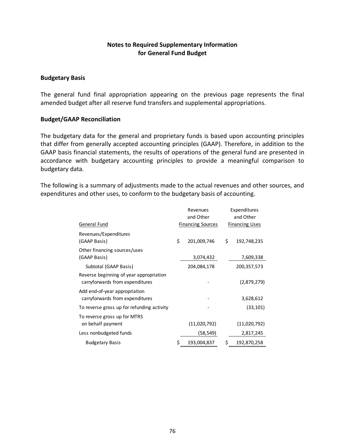# **Notes to Required Supplementary Information for General Fund Budget**

# **Budgetary Basis**

The general fund final appropriation appearing on the previous page represents the final amended budget after all reserve fund transfers and supplemental appropriations.

# **Budget/GAAP Reconciliation**

The budgetary data for the general and proprietary funds is based upon accounting principles that differ from generally accepted accounting principles (GAAP). Therefore, in addition to the GAAP basis financial statements, the results of operations of the general fund are presented in accordance with budgetary accounting principles to provide a meaningful comparison to budgetary data.

The following is a summary of adjustments made to the actual revenues and other sources, and expenditures and other uses, to conform to the budgetary basis of accounting.

|                                                                            | Revenues<br>and Other    |    | Expenditures<br>and Other |
|----------------------------------------------------------------------------|--------------------------|----|---------------------------|
| General Fund                                                               | <b>Financing Sources</b> |    | <b>Financing Uses</b>     |
| Revenues/Expenditures<br>(GAAP Basis)                                      | \$<br>201,009,746        | \$ | 192,748,235               |
| Other financing sources/uses<br>(GAAP Basis)                               | 3,074,432                |    | 7,609,338                 |
| Subtotal (GAAP Basis)                                                      | 204,084,178              |    | 200,357,573               |
| Reverse beginning of year appropriation<br>carryforwards from expenditures |                          |    | (2,879,279)               |
| Add end-of-year appropriation<br>carryforwards from expenditures           |                          |    | 3,628,612                 |
| To reverse gross up for refunding activity                                 |                          |    | (33, 101)                 |
| To reverse gross up for MTRS<br>on behalf payment                          | (11,020,792)             |    | (11,020,792)              |
| Less nonbudgeted funds                                                     | (58, 549)                |    | 2,817,245                 |
| <b>Budgetary Basis</b>                                                     | \$<br>193,004,837        | Ś  | 192,870,258               |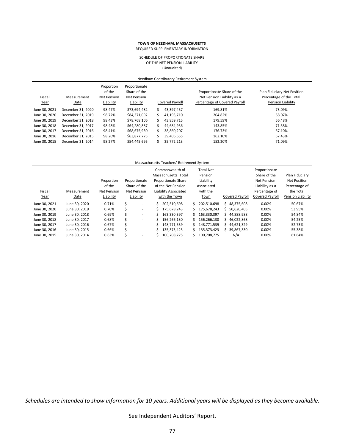#### **TOWN OF NEEDHAM, MASSACHUSETTS** REQUIRED SUPPLEMENTARY INFORMATION

#### SCHEDULE OF PROPORTIONATE SHARE OF THE NET PENSION LIABILITY (Unaudited)

#### Needham Contributory Retirement System

|               |                   | Proportion  | Proportionate |                 |                               |                             |
|---------------|-------------------|-------------|---------------|-----------------|-------------------------------|-----------------------------|
|               |                   | of the      | Share of the  |                 | Proportionate Share of the    | Plan Fiduciary Net Position |
| Fiscal        | Measurement       | Net Pension | Net Pension   |                 | Net Pension Liability as a    | Percentage of the Total     |
| Year          | Date              | Liability   | Liability     | Covered Payroll | Percentage of Covered Payroll | Pension Liability           |
| June 30, 2021 | December 31, 2020 | 98.47%      | \$73,694,482  | 43.397.457      | 169.81%                       | 73.09%                      |
| June 30, 2020 | December 31, 2019 | 98.72%      | \$84,371,092  | 41,193,710      | 204.82%                       | 68.07%                      |
| June 30, 2019 | December 31, 2018 | 98.43%      | \$78,768,106  | 43.859.715      | 179.59%                       | 66.48%                      |
| June 30, 2018 | December 31, 2017 | 98.48%      | \$64,280,887  | 44,684,936      | 143.85%                       | 71.58%                      |
| June 30, 2017 | December 31, 2016 | 98.41%      | \$68,675,930  | 38,860,207      | 176.73%                       | 67.10%                      |
| June 30, 2016 | December 31, 2015 | 98.20%      | \$63,877,775  | 39,406,655      | 162.10%                       | 67.43%                      |
| June 30, 2015 | December 31, 2014 | 98.27%      | \$54,445,695  | 35,772,213      | 152.20%                       | 71.09%                      |

#### Massachusetts Teachers' Retirement System

|               |               | Proportion<br>of the |    | Proportionate<br>Share of the |   | Commonwealth of<br>Massachusetts' Total<br>Proportionate Share<br>of the Net Pension |    | <b>Total Net</b><br>Pension<br>Liability<br>Associated |                        | Proportionate<br>Share of the<br>Net Pension<br>Liability as a | Plan Fiduciary<br>Net Position<br>Percentage of |
|---------------|---------------|----------------------|----|-------------------------------|---|--------------------------------------------------------------------------------------|----|--------------------------------------------------------|------------------------|----------------------------------------------------------------|-------------------------------------------------|
| Fiscal        | Measurement   | Net Pension          |    | Net Pension                   |   | Liability Associated                                                                 |    | with the                                               |                        | Percentage of                                                  | the Total                                       |
| Year          | Date          | Liability            |    | Liability                     |   | with the Town                                                                        |    | Town                                                   | <b>Covered Payroll</b> | <b>Covered Pavroll</b>                                         | Pension Liability                               |
| June 30, 2021 | June 30, 2020 | 0.71%                | Ś  | $\overline{\phantom{a}}$      | Ś | 202,510,698                                                                          | S. | 202.510.698                                            | \$48.375.608           | 0.00%                                                          | 50.67%                                          |
| June 30, 2020 | June 30, 2019 | 0.70%                | Ś. | $\overline{\phantom{a}}$      | Ś | 175.678.243                                                                          | Ś. | 175.678.243                                            | 50.620.405<br>S.       | 0.00%                                                          | 53.95%                                          |
| June 30, 2019 | June 30, 2018 | 0.69%                | Ś  | $\sim$                        |   | 163.330.397                                                                          | Ś. | 163,330,397                                            | \$44.888.988           | 0.00%                                                          | 54.84%                                          |
| June 30, 2018 | June 30, 2017 | 0.68%                | Ś. | $\sim$                        |   | 156.266.130                                                                          | Ś. | 156,266,130                                            | 46.022.868<br>S        | 0.00%                                                          | 54.25%                                          |
| June 30, 2017 | June 30, 2016 | 0.67%                | Ś  | $\overline{\phantom{a}}$      |   | 148.771.539                                                                          |    | 148.771.539                                            | 44.621.329<br>s        | 0.00%                                                          | 52.73%                                          |
| June 30, 2016 | June 30, 2015 | 0.66%                | Ś  | $\overline{\phantom{a}}$      |   | 135,373,423                                                                          |    | 135,373,423                                            | 39,867,330             | 0.00%                                                          | 55.38%                                          |
| June 30, 2015 | June 30, 2014 | 0.63%                |    | ٠                             |   | 100,708,775                                                                          |    | 100.708.775                                            | N/A                    | 0.00%                                                          | 61.64%                                          |

*Schedules are intended to show information for 10 years. Additional years will be displayed as they become available.*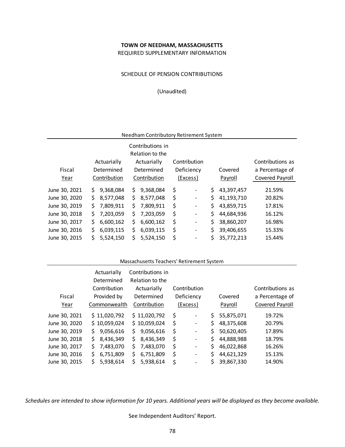REQUIRED SUPPLEMENTARY INFORMATION

### SCHEDULE OF PENSION CONTRIBUTIONS

(Unaudited)

## Needham Contributory Retirement System

|               |              |             |    | Contributions in<br>Relation to the |    |                              |    |            |                  |
|---------------|--------------|-------------|----|-------------------------------------|----|------------------------------|----|------------|------------------|
|               |              | Actuarially |    | Actuarially                         |    | Contribution                 |    |            | Contributions as |
| Fiscal        | Determined   |             |    | Determined                          |    | Deficiency                   |    | Covered    | a Percentage of  |
| Year          | Contribution |             |    | Contribution                        |    | (Excess)                     |    | Payroll    | Covered Payroll  |
| June 30, 2021 | S.           | 9,368,084   | S. | 9,368,084                           | \$ | -                            | \$ | 43,397,457 | 21.59%           |
| June 30, 2020 | S.           | 8,577,048   | Ś. | 8,577,048                           | \$ | $\qquad \qquad \blacksquare$ | \$ | 41,193,710 | 20.82%           |
| June 30, 2019 | \$.          | 7,809,911   | Ś. | 7,809,911                           | \$ | -                            | \$ | 43,859,715 | 17.81%           |
| June 30, 2018 | Ś.           | 7,203,059   | Ś. | 7,203,059                           | \$ | -                            | \$ | 44,684,936 | 16.12%           |
| June 30, 2017 | Ś.           | 6,600,162   | \$ | 6,600,162                           | \$ | -                            | \$ | 38,860,207 | 16.98%           |
| June 30, 2016 | Ś.           | 6,039,115   | Ś. | 6,039,115                           | \$ | -                            | \$ | 39,406,655 | 15.33%           |
| June 30, 2015 |              | 5,524,150   | Ś  | 5,524,150                           | \$ | -                            | \$ | 35,772,213 | 15.44%           |

### Massachusetts Teachers' Retirement System

|               | Actuarially     | Contributions in |                                |     |            |                  |
|---------------|-----------------|------------------|--------------------------------|-----|------------|------------------|
|               | Determined      | Relation to the  |                                |     |            |                  |
|               | Contribution    | Actuarially      | Contribution                   |     |            | Contributions as |
| Fiscal        | Provided by     | Determined       | Deficiency                     |     | Covered    | a Percentage of  |
| Year          | Commonwealth    | Contribution     | (Excess)                       |     | Payroll    | Covered Payroll  |
| June 30, 2021 | \$11,020,792    | \$11,020,792     | \$<br>$\overline{\phantom{a}}$ | Ś.  | 55,875,071 | 19.72%           |
| June 30, 2020 | \$10,059,024    | \$10,059,024     | \$<br>$\overline{\phantom{a}}$ | \$  | 48,375,608 | 20.79%           |
| June 30, 2019 | 9,056,616<br>S  | 9,056,616<br>S.  | \$<br>$\overline{\phantom{a}}$ | Ś.  | 50,620,405 | 17.89%           |
| June 30, 2018 | 8,436,349<br>S  | 8,436,349<br>S.  | \$<br>$\overline{\phantom{a}}$ | Ŝ.  | 44,888,988 | 18.79%           |
| June 30, 2017 | 7,483,070<br>S. | 7,483,070<br>S.  | \$<br>$\overline{\phantom{a}}$ | Ŝ.  | 46,022,868 | 16.26%           |
| June 30, 2016 | 6,751,809<br>S  | 6,751,809<br>S   | \$<br>$\overline{\phantom{a}}$ | \$. | 44,621,329 | 15.13%           |
| June 30, 2015 | 5,938,614       | Ś<br>5,938,614   | \$<br>$\overline{\phantom{a}}$ | \$  | 39,867,330 | 14.90%           |

*Schedules are intended to show information for 10 years. Additional years will be displayed as they become available.*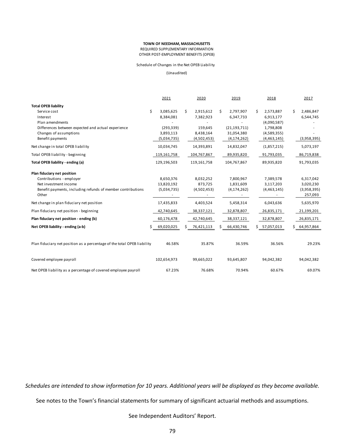OTHER POST-EMPLOYMENT BENEFITS (OPEB) REQUIRED SUPPLEMENTARY INFORMATION

#### Schedule of Changes in the Net OPEB Liability

(Unaudited)

|                                                                         | 2021            | 2020            | 2019            | 2018            | 2017            |
|-------------------------------------------------------------------------|-----------------|-----------------|-----------------|-----------------|-----------------|
| <b>Total OPEB liability</b>                                             |                 |                 |                 |                 |                 |
| Service cost                                                            | \$<br>3,085,625 | \$<br>2,915,612 | \$<br>2,797,907 | 2,573,887<br>\$ | Ś.<br>2,486,847 |
| Interest                                                                | 8,384,081       | 7,382,923       | 6,347,733       | 6,913,177       | 6,544,745       |
| Plan amendments                                                         |                 |                 |                 | (4,090,587)     |                 |
| Differences between expected and actual experience                      | (293, 339)      | 159,645         | (21, 193, 711)  | 1,798,808       |                 |
| Changes of assumptions                                                  | 3,893,113       | 8,438,164       | 31,054,380      | (4,589,355)     |                 |
| Benefit payments                                                        | (5,034,735)     | (4,502,453)     | (4, 174, 262)   | (4,463,145)     | (3,958,395)     |
| Net change in total OPEB liability                                      | 10,034,745      | 14,393,891      | 14,832,047      | (1,857,215)     | 5,073,197       |
| Total OPEB liability - beginning                                        | 119,161,758     | 104,767,867     | 89,935,820      | 91,793,035      | 86,719,838      |
| Total OPEB liability - ending (a)                                       | 129,196,503     | 119,161,758     | 104,767,867     | 89,935,820      | 91,793,035      |
| Plan fiduciary net position                                             |                 |                 |                 |                 |                 |
| Contributions - employer                                                | 8,650,376       | 8,032,252       | 7,800,967       | 7,389,578       | 6,317,042       |
| Net investment income                                                   | 13,820,192      | 873,725         | 1,831,609       | 3,117,203       | 3,020,230       |
| Benefit payments, including refunds of member contributions             | (5,034,735)     | (4,502,453)     | (4, 174, 262)   | (4,463,145)     | (3,958,395)     |
| Other                                                                   |                 |                 |                 |                 | 257,093         |
| Net change in plan fiduciary net position                               | 17,435,833      | 4,403,524       | 5,458,314       | 6,043,636       | 5,635,970       |
| Plan fiduciary net position - beginning                                 | 42,740,645      | 38,337,121      | 32,878,807      | 26,835,171      | 21,199,201      |
| Plan fiduciary net position - ending (b)                                | 60,176,478      | 42,740,645      | 38,337,121      | 32,878,807      | 26,835,171      |
| Net OPEB liability - ending (a-b)                                       | 69,020,025      | 76,421,113      | 66,430,746      | \$7,057,013     | 64,957,864      |
| Plan fiduciary net position as a percentage of the total OPEB liability | 46.58%          | 35.87%          | 36.59%          | 36.56%          | 29.23%          |
| Covered employee payroll                                                | 102,654,973     | 99,665,022      | 93,645,807      | 94,042,382      | 94,042,382      |
| Net OPEB liability as a percentage of covered employee payroll          | 67.23%          | 76.68%          | 70.94%          | 60.67%          | 69.07%          |

*Schedules are intended to show information for 10 years. Additional years will be displayed as they become available.*

See notes to the Town's financial statements for summary of significant actuarial methods and assumptions.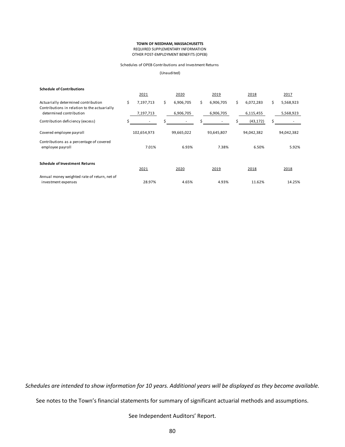OTHER POST-EMPLOYMENT BENEFITS (OPEB) REQUIRED SUPPLEMENTARY INFORMATION

#### Schedules of OPEB Contributions and Investment Returns

(Unaudited)

#### **Schedule of Contributions**

|                                                                                     | 2021            | 2020            | 2019            |    | 2018       | 2017            |
|-------------------------------------------------------------------------------------|-----------------|-----------------|-----------------|----|------------|-----------------|
| Actuarially determined contribution<br>Contributions in relation to the actuarially | \$<br>7,197,713 | \$<br>6,906,705 | \$<br>6,906,705 | \$ | 6,072,283  | \$<br>5,568,923 |
| determined contribution                                                             | 7,197,713       | 6,906,705       | 6,906,705       |    | 6,115,455  | 5,568,923       |
| Contribution deficiency (excess)                                                    |                 |                 |                 | Ś  | (43, 172)  |                 |
| Covered employee payroll                                                            | 102,654,973     | 99,665,022      | 93,645,807      |    | 94,042,382 | 94,042,382      |
| Contributions as a percentage of covered<br>employee payroll                        | 7.01%           | 6.93%           | 7.38%           |    | 6.50%      | 5.92%           |
| <b>Schedule of Investment Returns</b>                                               | 2021            | 2020            | 2019            |    | 2018       | 2018            |
| Annual money weighted rate of return, net of                                        |                 |                 |                 |    |            |                 |
| investment expenses                                                                 | 28.97%          | 4.65%           | 4.93%           |    | 11.62%     | 14.25%          |

*Schedules are intended to show information for 10 years. Additional years will be displayed as they become available.*

See notes to the Town's financial statements for summary of significant actuarial methods and assumptions.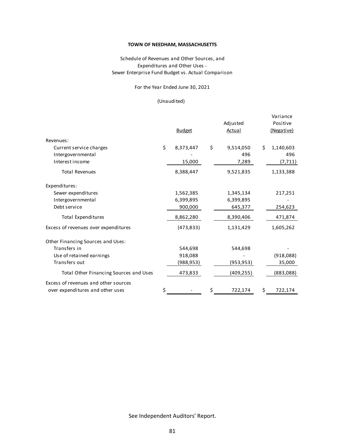## Schedule of Revenues and Other Sources, and Expenditures and Other Uses - Sewer Enterprise Fund Budget vs. Actual Comparison

### For the Year Ended June 30, 2021

## (Unaudited)

|                                        | <b>Budget</b>   | Adjusted<br>Actual     |    | Variance<br>Positive<br>(Negative) |
|----------------------------------------|-----------------|------------------------|----|------------------------------------|
| Revenues:                              |                 |                        |    |                                    |
| Current service charges                | \$<br>8,373,447 | \$<br>9,514,050<br>496 | Ś. | 1,140,603                          |
| Intergovernmental<br>Interest income   | 15,000          | 7,289                  |    | 496<br>(7, 711)                    |
|                                        |                 |                        |    |                                    |
| <b>Total Revenues</b>                  | 8,388,447       | 9,521,835              |    | 1,133,388                          |
| Expenditures:                          |                 |                        |    |                                    |
| Sewer expenditures                     | 1,562,385       | 1,345,134              |    | 217,251                            |
| Intergovernmental                      | 6,399,895       | 6,399,895              |    |                                    |
| Debt service                           | 900,000         | 645,377                |    | 254,623                            |
| <b>Total Expenditures</b>              | 8,862,280       | 8,390,406              |    | 471,874                            |
| Excess of revenues over expenditures   | (473, 833)      | 1,131,429              |    | 1,605,262                          |
| Other Financing Sources and Uses:      |                 |                        |    |                                    |
| Transfers in                           | 544,698         | 544,698                |    |                                    |
| Use of retained earnings               | 918,088         |                        |    | (918,088)                          |
| Transfers out                          | (988,953)       | (953, 953)             |    | 35,000                             |
| Total Other Financing Sources and Uses | 473,833         | (409, 255)             |    | (883,088)                          |
| Excess of revenues and other sources   |                 |                        |    |                                    |
| over expenditures and other uses       |                 | 722,174                | \$ | 722,174                            |